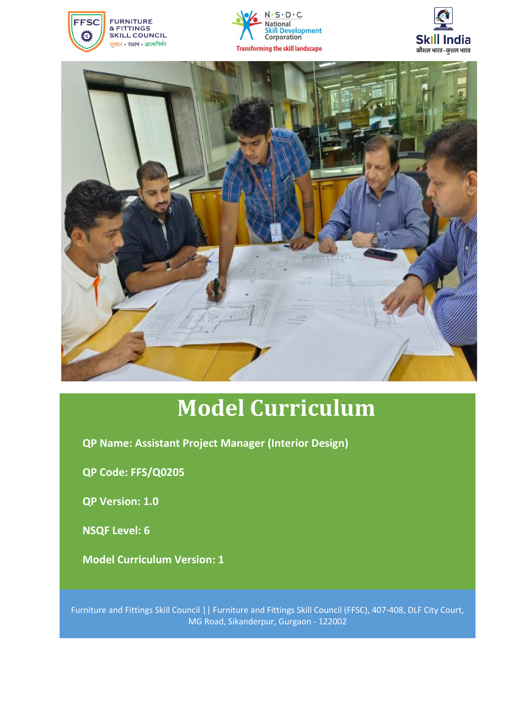







# **Model Curriculum**

**QP Name: Assistant Project Manager (Interior Design)**

**QP Code: FFS/Q0205**

**QP Version: 1.0**

**NSQF Level: 6**

**Model Curriculum Version: 1**

Furniture and Fittings Skill Council || Furniture and Fittings Skill Council (FFSC), 407-408, DLF City Court, MG Road, Sikanderpur, Gurgaon - 122002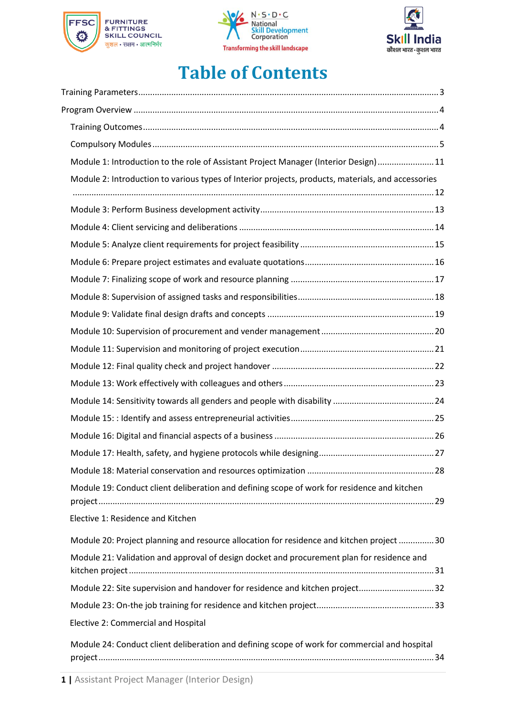





# **Table of Contents**

| Module 1: Introduction to the role of Assistant Project Manager (Interior Design)11                |  |
|----------------------------------------------------------------------------------------------------|--|
| Module 2: Introduction to various types of Interior projects, products, materials, and accessories |  |
|                                                                                                    |  |
|                                                                                                    |  |
|                                                                                                    |  |
|                                                                                                    |  |
|                                                                                                    |  |
|                                                                                                    |  |
|                                                                                                    |  |
|                                                                                                    |  |
|                                                                                                    |  |
|                                                                                                    |  |
|                                                                                                    |  |
|                                                                                                    |  |
|                                                                                                    |  |
|                                                                                                    |  |
|                                                                                                    |  |
|                                                                                                    |  |
| Module 19: Conduct client deliberation and defining scope of work for residence and kitchen        |  |
| Elective 1: Residence and Kitchen                                                                  |  |
| Module 20: Project planning and resource allocation for residence and kitchen project 30           |  |
| Module 21: Validation and approval of design docket and procurement plan for residence and         |  |
| Module 22: Site supervision and handover for residence and kitchen project32                       |  |
|                                                                                                    |  |
| Elective 2: Commercial and Hospital                                                                |  |
| Module 24: Conduct client deliberation and defining scope of work for commercial and hospital      |  |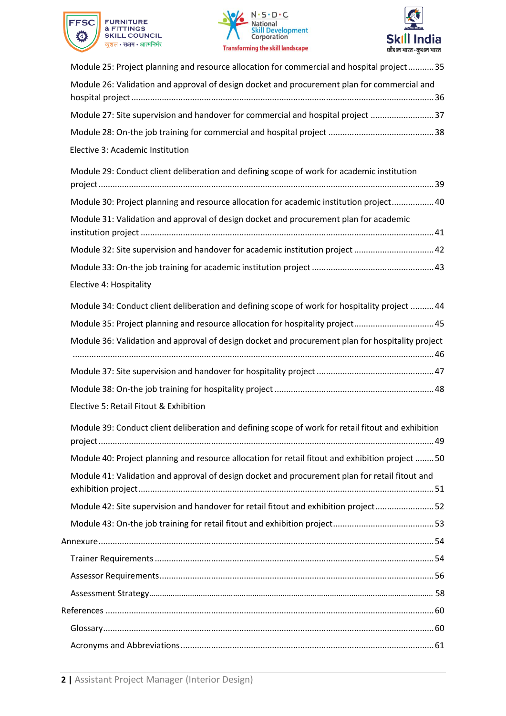





| Module 25: Project planning and resource allocation for commercial and hospital project35          |
|----------------------------------------------------------------------------------------------------|
| Module 26: Validation and approval of design docket and procurement plan for commercial and        |
|                                                                                                    |
| Module 27: Site supervision and handover for commercial and hospital project 37                    |
|                                                                                                    |
| Elective 3: Academic Institution                                                                   |
| Module 29: Conduct client deliberation and defining scope of work for academic institution         |
| Module 30: Project planning and resource allocation for academic institution project 40            |
| Module 31: Validation and approval of design docket and procurement plan for academic              |
| Module 32: Site supervision and handover for academic institution project  42                      |
|                                                                                                    |
| Elective 4: Hospitality                                                                            |
| Module 34: Conduct client deliberation and defining scope of work for hospitality project  44      |
| Module 35: Project planning and resource allocation for hospitality project45                      |
| Module 36: Validation and approval of design docket and procurement plan for hospitality project   |
|                                                                                                    |
|                                                                                                    |
| Elective 5: Retail Fitout & Exhibition                                                             |
| Module 39: Conduct client deliberation and defining scope of work for retail fitout and exhibition |
| Module 40: Project planning and resource allocation for retail fitout and exhibition project 50    |
| Module 41: Validation and approval of design docket and procurement plan for retail fitout and     |
| Module 42: Site supervision and handover for retail fitout and exhibition project52                |
|                                                                                                    |
|                                                                                                    |
|                                                                                                    |
|                                                                                                    |
|                                                                                                    |
|                                                                                                    |
|                                                                                                    |
|                                                                                                    |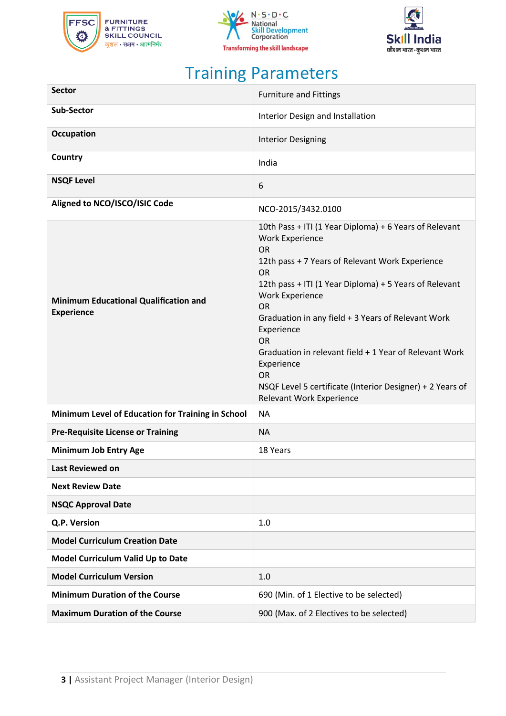





# Training Parameters

<span id="page-3-0"></span>

| <b>Sector</b>                                                     | <b>Furniture and Fittings</b>                                                                                                                                                                                                                                                                                                                                                                                                                                                                                                 |  |  |
|-------------------------------------------------------------------|-------------------------------------------------------------------------------------------------------------------------------------------------------------------------------------------------------------------------------------------------------------------------------------------------------------------------------------------------------------------------------------------------------------------------------------------------------------------------------------------------------------------------------|--|--|
| <b>Sub-Sector</b>                                                 | Interior Design and Installation                                                                                                                                                                                                                                                                                                                                                                                                                                                                                              |  |  |
| <b>Occupation</b>                                                 | <b>Interior Designing</b>                                                                                                                                                                                                                                                                                                                                                                                                                                                                                                     |  |  |
| Country                                                           | India                                                                                                                                                                                                                                                                                                                                                                                                                                                                                                                         |  |  |
| <b>NSQF Level</b>                                                 | 6                                                                                                                                                                                                                                                                                                                                                                                                                                                                                                                             |  |  |
| Aligned to NCO/ISCO/ISIC Code                                     | NCO-2015/3432.0100                                                                                                                                                                                                                                                                                                                                                                                                                                                                                                            |  |  |
| <b>Minimum Educational Qualification and</b><br><b>Experience</b> | 10th Pass + ITI (1 Year Diploma) + 6 Years of Relevant<br><b>Work Experience</b><br><b>OR</b><br>12th pass + 7 Years of Relevant Work Experience<br><b>OR</b><br>12th pass + ITI (1 Year Diploma) + 5 Years of Relevant<br><b>Work Experience</b><br><b>OR</b><br>Graduation in any field + 3 Years of Relevant Work<br>Experience<br><b>OR</b><br>Graduation in relevant field + 1 Year of Relevant Work<br>Experience<br><b>OR</b><br>NSQF Level 5 certificate (Interior Designer) + 2 Years of<br>Relevant Work Experience |  |  |
| Minimum Level of Education for Training in School                 | <b>NA</b>                                                                                                                                                                                                                                                                                                                                                                                                                                                                                                                     |  |  |
| <b>Pre-Requisite License or Training</b>                          | <b>NA</b>                                                                                                                                                                                                                                                                                                                                                                                                                                                                                                                     |  |  |
| <b>Minimum Job Entry Age</b>                                      | 18 Years                                                                                                                                                                                                                                                                                                                                                                                                                                                                                                                      |  |  |
| Last Reviewed on                                                  |                                                                                                                                                                                                                                                                                                                                                                                                                                                                                                                               |  |  |
| <b>Next Review Date</b>                                           |                                                                                                                                                                                                                                                                                                                                                                                                                                                                                                                               |  |  |
| <b>NSQC Approval Date</b>                                         |                                                                                                                                                                                                                                                                                                                                                                                                                                                                                                                               |  |  |
| Q.P. Version                                                      | 1.0                                                                                                                                                                                                                                                                                                                                                                                                                                                                                                                           |  |  |
| <b>Model Curriculum Creation Date</b>                             |                                                                                                                                                                                                                                                                                                                                                                                                                                                                                                                               |  |  |
| Model Curriculum Valid Up to Date                                 |                                                                                                                                                                                                                                                                                                                                                                                                                                                                                                                               |  |  |
| <b>Model Curriculum Version</b>                                   | 1.0                                                                                                                                                                                                                                                                                                                                                                                                                                                                                                                           |  |  |
| <b>Minimum Duration of the Course</b>                             | 690 (Min. of 1 Elective to be selected)                                                                                                                                                                                                                                                                                                                                                                                                                                                                                       |  |  |
| <b>Maximum Duration of the Course</b>                             | 900 (Max. of 2 Electives to be selected)                                                                                                                                                                                                                                                                                                                                                                                                                                                                                      |  |  |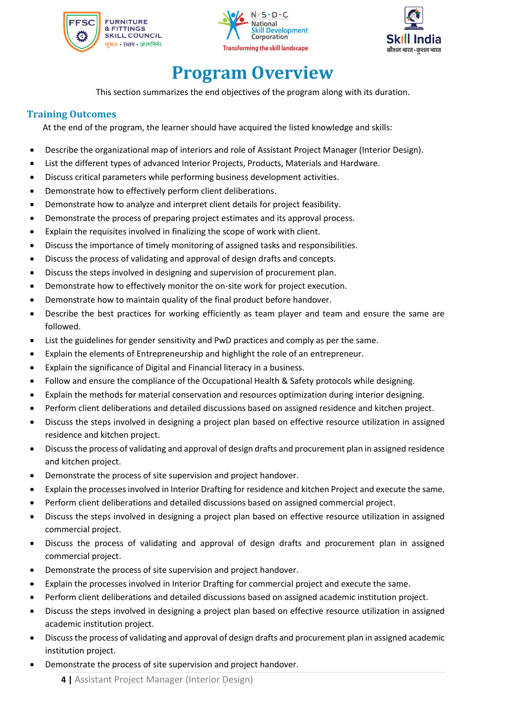





# **Program Overview**

<span id="page-4-0"></span>This section summarizes the end objectives of the program along with its duration.

### <span id="page-4-1"></span>**Training Outcomes**

At the end of the program, the learner should have acquired the listed knowledge and skills:

- Describe the organizational map of interiors and role of Assistant Project Manager (Interior Design).
- List the different types of advanced Interior Projects, Products, Materials and Hardware.
- Discuss critical parameters while performing business development activities.
- Demonstrate how to effectively perform client deliberations.
- Demonstrate how to analyze and interpret client details for project feasibility.
- Demonstrate the process of preparing project estimates and its approval process.
- Explain the requisites involved in finalizing the scope of work with client.
- Discuss the importance of timely monitoring of assigned tasks and responsibilities.
- Discuss the process of validating and approval of design drafts and concepts.
- Discuss the steps involved in designing and supervision of procurement plan.
- Demonstrate how to effectively monitor the on-site work for project execution.
- Demonstrate how to maintain quality of the final product before handover.
- Describe the best practices for working efficiently as team player and team and ensure the same are followed.
- List the guidelines for gender sensitivity and PwD practices and comply as per the same.
- Explain the elements of Entrepreneurship and highlight the role of an entrepreneur.
- Explain the significance of Digital and Financial literacy in a business.
- Follow and ensure the compliance of the Occupational Health & Safety protocols while designing.
- Explain the methods for material conservation and resources optimization during interior designing.
- Perform client deliberations and detailed discussions based on assigned residence and kitchen project.
- Discuss the steps involved in designing a project plan based on effective resource utilization in assigned residence and kitchen project.
- Discuss the process of validating and approval of design drafts and procurement plan in assigned residence and kitchen project.
- Demonstrate the process of site supervision and project handover.
- Explain the processes involved in Interior Drafting for residence and kitchen Project and execute the same.
- Perform client deliberations and detailed discussions based on assigned commercial project.
- Discuss the steps involved in designing a project plan based on effective resource utilization in assigned commercial project.
- Discuss the process of validating and approval of design drafts and procurement plan in assigned commercial project.
- Demonstrate the process of site supervision and project handover.
- Explain the processes involved in Interior Drafting for commercial project and execute the same.
- Perform client deliberations and detailed discussions based on assigned academic institution project.
- Discuss the steps involved in designing a project plan based on effective resource utilization in assigned academic institution project.
- Discuss the process of validating and approval of design drafts and procurement plan in assigned academic institution project.
- Demonstrate the process of site supervision and project handover.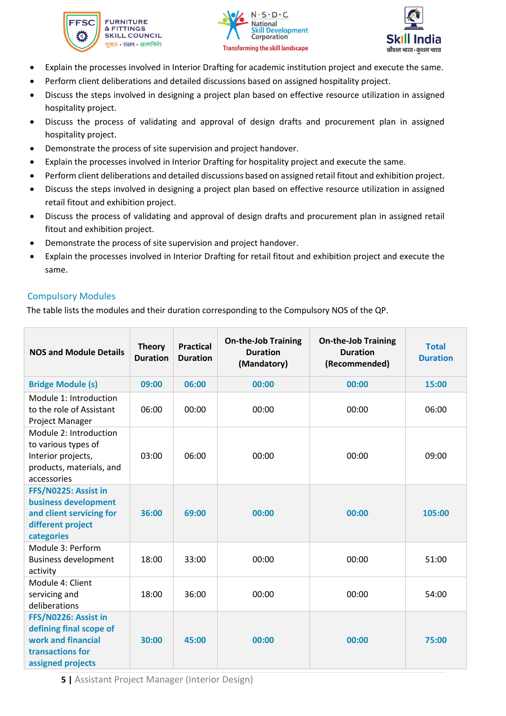





- Explain the processes involved in Interior Drafting for academic institution project and execute the same.
- Perform client deliberations and detailed discussions based on assigned hospitality project.
- Discuss the steps involved in designing a project plan based on effective resource utilization in assigned hospitality project.
- Discuss the process of validating and approval of design drafts and procurement plan in assigned hospitality project.
- Demonstrate the process of site supervision and project handover.
- Explain the processes involved in Interior Drafting for hospitality project and execute the same.
- Perform client deliberations and detailed discussions based on assigned retail fitout and exhibition project.
- Discuss the steps involved in designing a project plan based on effective resource utilization in assigned retail fitout and exhibition project.
- Discuss the process of validating and approval of design drafts and procurement plan in assigned retail fitout and exhibition project.
- Demonstrate the process of site supervision and project handover.
- Explain the processes involved in Interior Drafting for retail fitout and exhibition project and execute the same.

### <span id="page-5-0"></span>Compulsory Modules

The table lists the modules and their duration corresponding to the Compulsory NOS of the QP.

| <b>NOS and Module Details</b>                                                                                  | <b>Theory</b><br><b>Duration</b> | <b>Practical</b><br><b>Duration</b> | <b>On-the-Job Training</b><br><b>Duration</b><br>(Mandatory) | <b>On-the-Job Training</b><br><b>Duration</b><br>(Recommended) | <b>Total</b><br><b>Duration</b> |
|----------------------------------------------------------------------------------------------------------------|----------------------------------|-------------------------------------|--------------------------------------------------------------|----------------------------------------------------------------|---------------------------------|
| <b>Bridge Module (s)</b>                                                                                       | 09:00                            | 06:00                               | 00:00                                                        | 00:00                                                          | 15:00                           |
| Module 1: Introduction<br>to the role of Assistant<br>Project Manager                                          | 06:00                            | 00:00                               | 00:00                                                        | 00:00                                                          | 06:00                           |
| Module 2: Introduction<br>to various types of<br>Interior projects,<br>products, materials, and<br>accessories | 03:00                            | 06:00                               | 00:00                                                        | 00:00                                                          | 09:00                           |
| FFS/N0225: Assist in<br>business development<br>and client servicing for<br>different project<br>categories    | 36:00                            | 69:00                               | 00:00                                                        | 00:00                                                          | 105:00                          |
| Module 3: Perform<br><b>Business development</b><br>activity                                                   | 18:00                            | 33:00                               | 00:00                                                        | 00:00                                                          | 51:00                           |
| Module 4: Client<br>servicing and<br>deliberations                                                             | 18:00                            | 36:00                               | 00:00                                                        | 00:00                                                          | 54:00                           |
| FFS/N0226: Assist in<br>defining final scope of<br>work and financial<br>transactions for<br>assigned projects | 30:00                            | 45:00                               | 00:00                                                        | 00:00                                                          | 75:00                           |

**5 |** Assistant Project Manager (Interior Design)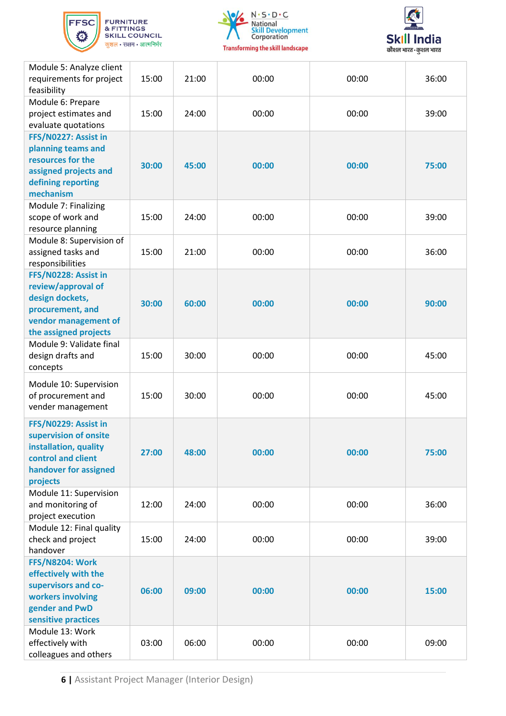





| Module 5: Analyze client<br>requirements for project<br>feasibility                                                                 | 15:00 | 21:00 | 00:00 | 00:00 | 36:00 |
|-------------------------------------------------------------------------------------------------------------------------------------|-------|-------|-------|-------|-------|
| Module 6: Prepare<br>project estimates and<br>evaluate quotations                                                                   | 15:00 | 24:00 | 00:00 | 00:00 | 39:00 |
| FFS/N0227: Assist in<br>planning teams and<br>resources for the<br>assigned projects and<br>defining reporting<br>mechanism         | 30:00 | 45:00 | 00:00 | 00:00 | 75:00 |
| Module 7: Finalizing<br>scope of work and<br>resource planning                                                                      | 15:00 | 24:00 | 00:00 | 00:00 | 39:00 |
| Module 8: Supervision of<br>assigned tasks and<br>responsibilities                                                                  | 15:00 | 21:00 | 00:00 | 00:00 | 36:00 |
| FFS/N0228: Assist in<br>review/approval of<br>design dockets,<br>procurement, and<br>vendor management of<br>the assigned projects  | 30:00 | 60:00 | 00:00 | 00:00 | 90:00 |
| Module 9: Validate final<br>design drafts and<br>concepts                                                                           | 15:00 | 30:00 | 00:00 | 00:00 | 45:00 |
| Module 10: Supervision<br>of procurement and<br>vender management                                                                   | 15:00 | 30:00 | 00:00 | 00:00 | 45:00 |
| FFS/N0229: Assist in<br>supervision of onsite<br>installation, quality<br>control and client<br>handover for assigned<br>projects   | 27:00 | 48:00 | 00:00 | 00:00 | 75:00 |
| Module 11: Supervision<br>and monitoring of<br>project execution                                                                    | 12:00 | 24:00 | 00:00 | 00:00 | 36:00 |
| Module 12: Final quality<br>check and project<br>handover                                                                           | 15:00 | 24:00 | 00:00 | 00:00 | 39:00 |
| <b>FFS/N8204: Work</b><br>effectively with the<br>supervisors and co-<br>workers involving<br>gender and PwD<br>sensitive practices | 06:00 | 09:00 | 00:00 | 00:00 | 15:00 |
| Module 13: Work<br>effectively with<br>colleagues and others                                                                        | 03:00 | 06:00 | 00:00 | 00:00 | 09:00 |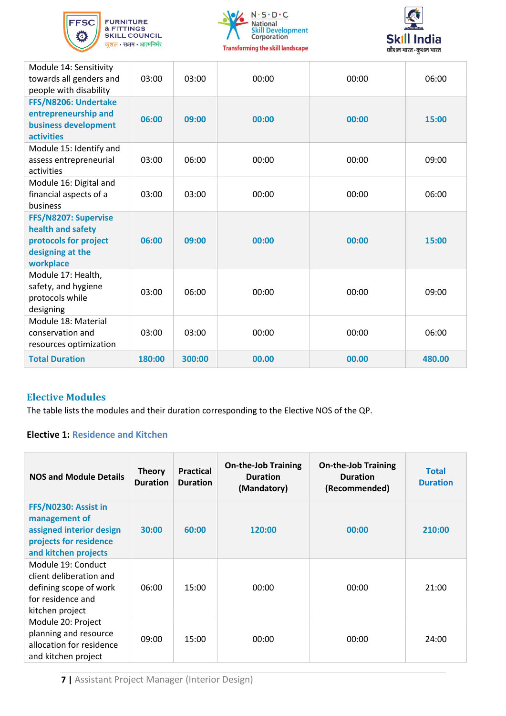





| Module 14: Sensitivity<br>towards all genders and<br>people with disability                         | 03:00  | 03:00  | 00:00 | 00:00 | 06:00  |
|-----------------------------------------------------------------------------------------------------|--------|--------|-------|-------|--------|
| FFS/N8206: Undertake<br>entrepreneurship and<br>business development<br><b>activities</b>           | 06:00  | 09:00  | 00:00 | 00:00 | 15:00  |
| Module 15: Identify and<br>assess entrepreneurial<br>activities                                     | 03:00  | 06:00  | 00:00 | 00:00 | 09:00  |
| Module 16: Digital and<br>financial aspects of a<br>business                                        | 03:00  | 03:00  | 00:00 | 00:00 | 06:00  |
| FFS/N8207: Supervise<br>health and safety<br>protocols for project<br>designing at the<br>workplace | 06:00  | 09:00  | 00:00 | 00:00 | 15:00  |
| Module 17: Health,<br>safety, and hygiene<br>protocols while<br>designing                           | 03:00  | 06:00  | 00:00 | 00:00 | 09:00  |
| Module 18: Material<br>conservation and<br>resources optimization                                   | 03:00  | 03:00  | 00:00 | 00:00 | 06:00  |
| <b>Total Duration</b>                                                                               | 180:00 | 300:00 | 00.00 | 00.00 | 480.00 |

### **Elective Modules**

The table lists the modules and their duration corresponding to the Elective NOS of the QP.

### **Elective 1: Residence and Kitchen**

| <b>NOS and Module Details</b>                                                                                       | <b>Theory</b><br><b>Duration</b> | <b>Practical</b><br><b>Duration</b> | <b>On-the-Job Training</b><br><b>Duration</b><br>(Mandatory) | <b>On-the-Job Training</b><br><b>Duration</b><br>(Recommended) | <b>Total</b><br><b>Duration</b> |
|---------------------------------------------------------------------------------------------------------------------|----------------------------------|-------------------------------------|--------------------------------------------------------------|----------------------------------------------------------------|---------------------------------|
| FFS/N0230: Assist in<br>management of<br>assigned interior design<br>projects for residence<br>and kitchen projects | 30:00                            | 60:00                               | 120:00                                                       | 00:00                                                          | 210:00                          |
| Module 19: Conduct<br>client deliberation and<br>defining scope of work<br>for residence and<br>kitchen project     | 06:00                            | 15:00                               | 00:00                                                        | 00:00                                                          | 21:00                           |
| Module 20: Project<br>planning and resource<br>allocation for residence<br>and kitchen project                      | 09:00                            | 15:00                               | 00:00                                                        | 00:00                                                          | 24:00                           |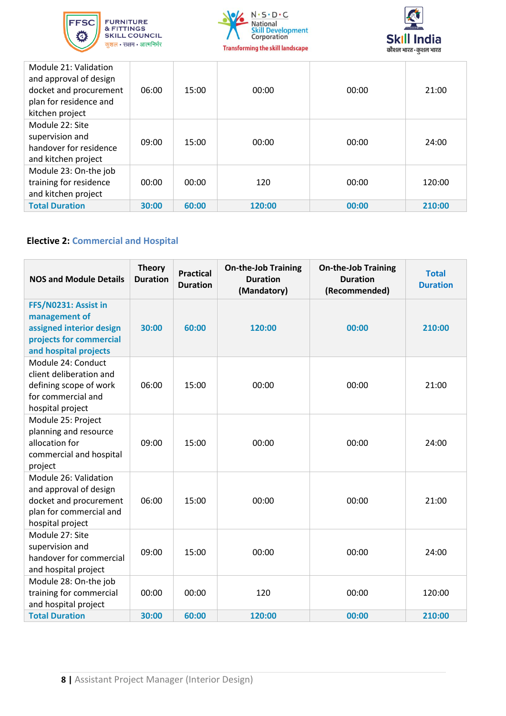





| Module 21: Validation<br>and approval of design<br>docket and procurement<br>plan for residence and<br>kitchen project | 06:00 | 15:00 | 00:00  | 00:00 | 21:00  |
|------------------------------------------------------------------------------------------------------------------------|-------|-------|--------|-------|--------|
| Module 22: Site<br>supervision and<br>handover for residence<br>and kitchen project                                    | 09:00 | 15:00 | 00:00  | 00:00 | 24:00  |
| Module 23: On-the job<br>training for residence<br>and kitchen project                                                 | 00:00 | 00:00 | 120    | 00:00 | 120:00 |
| <b>Total Duration</b>                                                                                                  | 30:00 | 60:00 | 120:00 | 00:00 | 210:00 |

### **Elective 2: Commercial and Hospital**

| <b>NOS and Module Details</b>                                                                                            | <b>Theory</b><br><b>Duration</b> | <b>Practical</b><br><b>Duration</b> | <b>On-the-Job Training</b><br><b>Duration</b><br>(Mandatory) | <b>On-the-Job Training</b><br><b>Duration</b><br>(Recommended) | <b>Total</b><br><b>Duration</b> |
|--------------------------------------------------------------------------------------------------------------------------|----------------------------------|-------------------------------------|--------------------------------------------------------------|----------------------------------------------------------------|---------------------------------|
| FFS/N0231: Assist in<br>management of<br>assigned interior design<br>projects for commercial<br>and hospital projects    | 30:00                            | 60:00                               | 120:00                                                       | 00:00                                                          | 210:00                          |
| Module 24: Conduct<br>client deliberation and<br>defining scope of work<br>for commercial and<br>hospital project        | 06:00                            | 15:00                               | 00:00                                                        | 00:00                                                          | 21:00                           |
| Module 25: Project<br>planning and resource<br>allocation for<br>commercial and hospital<br>project                      | 09:00                            | 15:00                               | 00:00                                                        | 00:00                                                          | 24:00                           |
| Module 26: Validation<br>and approval of design<br>docket and procurement<br>plan for commercial and<br>hospital project | 06:00                            | 15:00                               | 00:00                                                        | 00:00                                                          | 21:00                           |
| Module 27: Site<br>supervision and<br>handover for commercial<br>and hospital project                                    | 09:00                            | 15:00                               | 00:00                                                        | 00:00                                                          | 24:00                           |
| Module 28: On-the job<br>training for commercial<br>and hospital project                                                 | 00:00                            | 00:00                               | 120                                                          | 00:00                                                          | 120:00                          |
| <b>Total Duration</b>                                                                                                    | 30:00                            | 60:00                               | 120:00                                                       | 00:00                                                          | 210:00                          |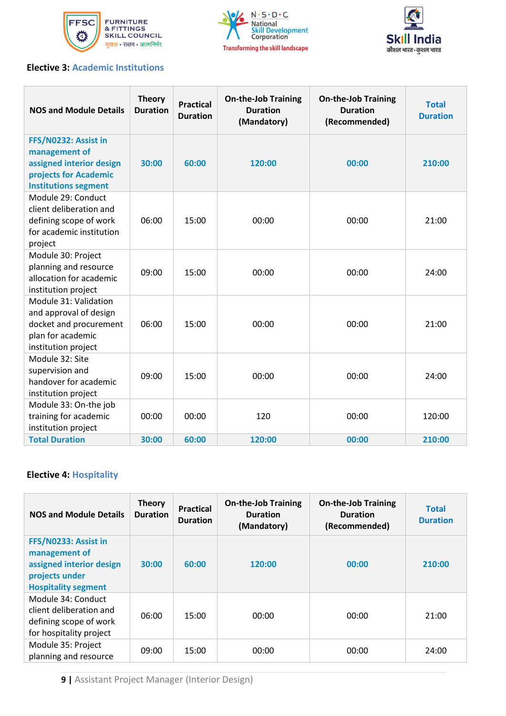





### **Elective 3: Academic Institutions**

| <b>NOS and Module Details</b>                                                                                             | <b>Theory</b><br><b>Duration</b> | <b>Practical</b><br><b>Duration</b> | <b>On-the-Job Training</b><br><b>Duration</b><br>(Mandatory) | <b>On-the-Job Training</b><br><b>Duration</b><br>(Recommended) | <b>Total</b><br><b>Duration</b> |
|---------------------------------------------------------------------------------------------------------------------------|----------------------------------|-------------------------------------|--------------------------------------------------------------|----------------------------------------------------------------|---------------------------------|
| FFS/N0232: Assist in<br>management of<br>assigned interior design<br>projects for Academic<br><b>Institutions segment</b> | 30:00                            | 60:00                               | 120:00                                                       | 00:00                                                          | 210:00                          |
| Module 29: Conduct<br>client deliberation and<br>defining scope of work<br>for academic institution<br>project            | 06:00                            | 15:00                               | 00:00                                                        | 00:00                                                          | 21:00                           |
| Module 30: Project<br>planning and resource<br>allocation for academic<br>institution project                             | 09:00                            | 15:00                               | 00:00                                                        | 00:00                                                          | 24:00                           |
| Module 31: Validation<br>and approval of design<br>docket and procurement<br>plan for academic<br>institution project     | 06:00                            | 15:00                               | 00:00                                                        | 00:00                                                          | 21:00                           |
| Module 32: Site<br>supervision and<br>handover for academic<br>institution project                                        | 09:00                            | 15:00                               | 00:00                                                        | 00:00                                                          | 24:00                           |
| Module 33: On-the job<br>training for academic<br>institution project                                                     | 00:00                            | 00:00                               | 120                                                          | 00:00                                                          | 120:00                          |
| <b>Total Duration</b>                                                                                                     | 30:00                            | 60:00                               | 120:00                                                       | 00:00                                                          | 210:00                          |

### **Elective 4: Hospitality**

| <b>NOS and Module Details</b>                                                                                     | <b>Theory</b><br><b>Duration</b> | <b>Practical</b><br><b>Duration</b> | <b>On-the-Job Training</b><br><b>Duration</b><br>(Mandatory) | <b>On-the-Job Training</b><br><b>Duration</b><br>(Recommended) | <b>Total</b><br><b>Duration</b> |
|-------------------------------------------------------------------------------------------------------------------|----------------------------------|-------------------------------------|--------------------------------------------------------------|----------------------------------------------------------------|---------------------------------|
| FFS/N0233: Assist in<br>management of<br>assigned interior design<br>projects under<br><b>Hospitality segment</b> | 30:00                            | 60:00                               | 120:00                                                       | 00:00                                                          | 210:00                          |
| Module 34: Conduct<br>client deliberation and<br>defining scope of work<br>for hospitality project                | 06:00                            | 15:00                               | 00:00                                                        | 00:00                                                          | 21:00                           |
| Module 35: Project<br>planning and resource                                                                       | 09:00                            | 15:00                               | 00:00                                                        | 00:00                                                          | 24:00                           |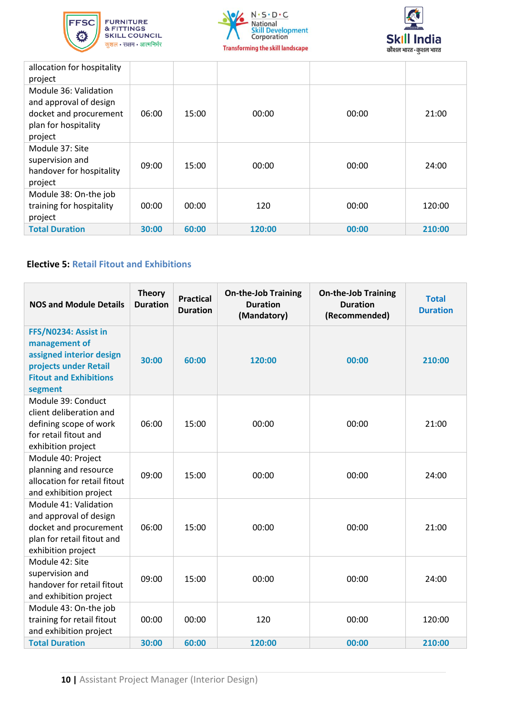





| allocation for hospitality<br>project                                                                        |       |       |        |       |        |
|--------------------------------------------------------------------------------------------------------------|-------|-------|--------|-------|--------|
| Module 36: Validation<br>and approval of design<br>docket and procurement<br>plan for hospitality<br>project | 06:00 | 15:00 | 00:00  | 00:00 | 21:00  |
| Module 37: Site<br>supervision and<br>handover for hospitality<br>project                                    | 09:00 | 15:00 | 00:00  | 00:00 | 24:00  |
| Module 38: On-the job<br>training for hospitality<br>project                                                 | 00:00 | 00:00 | 120    | 00:00 | 120:00 |
| <b>Total Duration</b>                                                                                        | 30:00 | 60:00 | 120:00 | 00:00 | 210:00 |

### **Elective 5: Retail Fitout and Exhibitions**

| <b>NOS and Module Details</b>                                                                                                          | <b>Theory</b><br><b>Duration</b> | <b>Practical</b><br><b>Duration</b> | <b>On-the-Job Training</b><br><b>Duration</b><br>(Mandatory) | <b>On-the-Job Training</b><br><b>Duration</b><br>(Recommended) | <b>Total</b><br><b>Duration</b> |
|----------------------------------------------------------------------------------------------------------------------------------------|----------------------------------|-------------------------------------|--------------------------------------------------------------|----------------------------------------------------------------|---------------------------------|
| FFS/N0234: Assist in<br>management of<br>assigned interior design<br>projects under Retail<br><b>Fitout and Exhibitions</b><br>segment | 30:00                            | 60:00                               | 120:00                                                       | 00:00                                                          | 210:00                          |
| Module 39: Conduct<br>client deliberation and<br>defining scope of work<br>for retail fitout and<br>exhibition project                 | 06:00                            | 15:00                               | 00:00                                                        | 00:00                                                          | 21:00                           |
| Module 40: Project<br>planning and resource<br>allocation for retail fitout<br>and exhibition project                                  | 09:00                            | 15:00                               | 00:00                                                        | 00:00                                                          | 24:00                           |
| Module 41: Validation<br>and approval of design<br>docket and procurement<br>plan for retail fitout and<br>exhibition project          | 06:00                            | 15:00                               | 00:00                                                        | 00:00                                                          | 21:00                           |
| Module 42: Site<br>supervision and<br>handover for retail fitout<br>and exhibition project                                             | 09:00                            | 15:00                               | 00:00                                                        | 00:00                                                          | 24:00                           |
| Module 43: On-the job<br>training for retail fitout<br>and exhibition project<br><b>Total Duration</b>                                 | 00:00<br>30:00                   | 00:00<br>60:00                      | 120<br>120:00                                                | 00:00<br>00:00                                                 | 120:00<br>210:00                |
|                                                                                                                                        |                                  |                                     |                                                              |                                                                |                                 |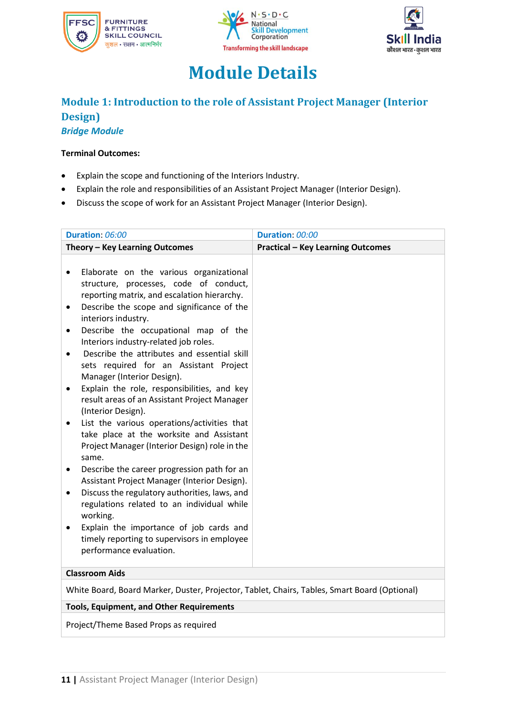





# **Module Details**

### <span id="page-11-0"></span>**Module 1: Introduction to the role of Assistant Project Manager (Interior Design)** *Bridge Module*

#### **Terminal Outcomes:**

- Explain the scope and functioning of the Interiors Industry.
- Explain the role and responsibilities of an Assistant Project Manager (Interior Design).
- Discuss the scope of work for an Assistant Project Manager (Interior Design).

| Duration: 06:00                                                                                                                                                                                                                                                                                                                                                                                                                                                                                                                                                                                                                                                                                                                                                                                                                                                                                                                                                                                                                                                                      | Duration: 00:00                          |  |
|--------------------------------------------------------------------------------------------------------------------------------------------------------------------------------------------------------------------------------------------------------------------------------------------------------------------------------------------------------------------------------------------------------------------------------------------------------------------------------------------------------------------------------------------------------------------------------------------------------------------------------------------------------------------------------------------------------------------------------------------------------------------------------------------------------------------------------------------------------------------------------------------------------------------------------------------------------------------------------------------------------------------------------------------------------------------------------------|------------------------------------------|--|
| Theory - Key Learning Outcomes                                                                                                                                                                                                                                                                                                                                                                                                                                                                                                                                                                                                                                                                                                                                                                                                                                                                                                                                                                                                                                                       | <b>Practical - Key Learning Outcomes</b> |  |
| Elaborate on the various organizational<br>$\bullet$<br>structure, processes, code of conduct,<br>reporting matrix, and escalation hierarchy.<br>Describe the scope and significance of the<br>٠<br>interiors industry.<br>Describe the occupational map of the<br>$\bullet$<br>Interiors industry-related job roles.<br>Describe the attributes and essential skill<br>$\bullet$<br>sets required for an Assistant Project<br>Manager (Interior Design).<br>Explain the role, responsibilities, and key<br>result areas of an Assistant Project Manager<br>(Interior Design).<br>List the various operations/activities that<br>٠<br>take place at the worksite and Assistant<br>Project Manager (Interior Design) role in the<br>same.<br>Describe the career progression path for an<br>Assistant Project Manager (Interior Design).<br>Discuss the regulatory authorities, laws, and<br>$\bullet$<br>regulations related to an individual while<br>working.<br>Explain the importance of job cards and<br>timely reporting to supervisors in employee<br>performance evaluation. |                                          |  |
| <b>Classroom Aids</b>                                                                                                                                                                                                                                                                                                                                                                                                                                                                                                                                                                                                                                                                                                                                                                                                                                                                                                                                                                                                                                                                |                                          |  |
| White Board, Board Marker, Duster, Projector, Tablet, Chairs, Tables, Smart Board (Optional)                                                                                                                                                                                                                                                                                                                                                                                                                                                                                                                                                                                                                                                                                                                                                                                                                                                                                                                                                                                         |                                          |  |

### **Tools, Equipment, and Other Requirements**

Project/Theme Based Props as required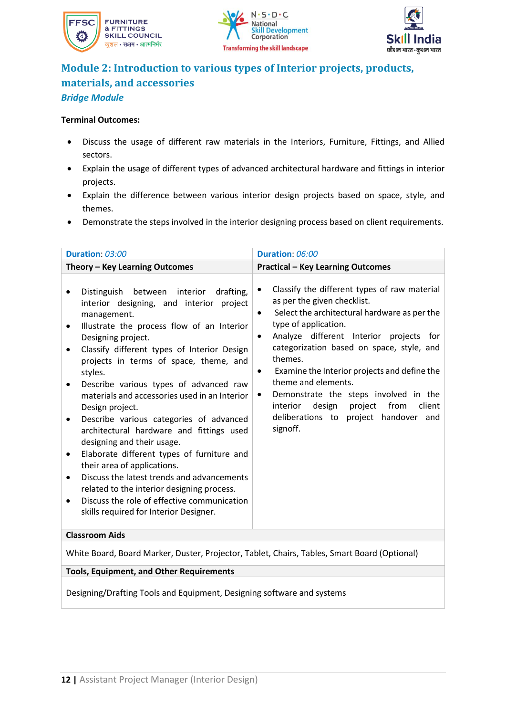





## **Module 2: Introduction to various types of Interior projects, products, materials, and accessories** *Bridge Module*

#### **Terminal Outcomes:**

- Discuss the usage of different raw materials in the Interiors, Furniture, Fittings, and Allied sectors.
- Explain the usage of different types of advanced architectural hardware and fittings in interior projects.
- Explain the difference between various interior design projects based on space, style, and themes.
- Demonstrate the steps involved in the interior designing process based on client requirements.

| Duration: 03:00                                                                                                                                                                                                                                                                                                                                                                                                                                                                                                                                                                                                                                                                                                                                                                                                                                            | Duration: 06:00                                                                                                                                                                                                                                                                                                                                                                                                                                                                                                                         |  |
|------------------------------------------------------------------------------------------------------------------------------------------------------------------------------------------------------------------------------------------------------------------------------------------------------------------------------------------------------------------------------------------------------------------------------------------------------------------------------------------------------------------------------------------------------------------------------------------------------------------------------------------------------------------------------------------------------------------------------------------------------------------------------------------------------------------------------------------------------------|-----------------------------------------------------------------------------------------------------------------------------------------------------------------------------------------------------------------------------------------------------------------------------------------------------------------------------------------------------------------------------------------------------------------------------------------------------------------------------------------------------------------------------------------|--|
| Theory - Key Learning Outcomes                                                                                                                                                                                                                                                                                                                                                                                                                                                                                                                                                                                                                                                                                                                                                                                                                             | <b>Practical - Key Learning Outcomes</b>                                                                                                                                                                                                                                                                                                                                                                                                                                                                                                |  |
| Distinguish between interior<br>drafting,<br>$\bullet$<br>interior designing, and interior<br>project<br>management.<br>Illustrate the process flow of an Interior<br>$\bullet$<br>Designing project.<br>Classify different types of Interior Design<br>projects in terms of space, theme, and<br>styles.<br>Describe various types of advanced raw<br>$\bullet$<br>materials and accessories used in an Interior<br>Design project.<br>Describe various categories of advanced<br>٠<br>architectural hardware and fittings used<br>designing and their usage.<br>Elaborate different types of furniture and<br>their area of applications.<br>Discuss the latest trends and advancements<br>$\bullet$<br>related to the interior designing process.<br>Discuss the role of effective communication<br>$\bullet$<br>skills required for Interior Designer. | Classify the different types of raw material<br>$\bullet$<br>as per the given checklist.<br>Select the architectural hardware as per the<br>$\bullet$<br>type of application.<br>Analyze different Interior projects for<br>$\bullet$<br>categorization based on space, style, and<br>themes.<br>Examine the Interior projects and define the<br>$\bullet$<br>theme and elements.<br>Demonstrate the steps involved in the<br>٠<br>design<br>from<br>client<br>interior<br>project<br>deliberations to project handover and<br>signoff. |  |
| <b>Classroom Aids</b>                                                                                                                                                                                                                                                                                                                                                                                                                                                                                                                                                                                                                                                                                                                                                                                                                                      |                                                                                                                                                                                                                                                                                                                                                                                                                                                                                                                                         |  |
| White Board, Board Marker, Duster, Projector, Tablet, Chairs, Tables, Smart Board (Optional)                                                                                                                                                                                                                                                                                                                                                                                                                                                                                                                                                                                                                                                                                                                                                               |                                                                                                                                                                                                                                                                                                                                                                                                                                                                                                                                         |  |
| <b>Tools, Equipment, and Other Requirements</b>                                                                                                                                                                                                                                                                                                                                                                                                                                                                                                                                                                                                                                                                                                                                                                                                            |                                                                                                                                                                                                                                                                                                                                                                                                                                                                                                                                         |  |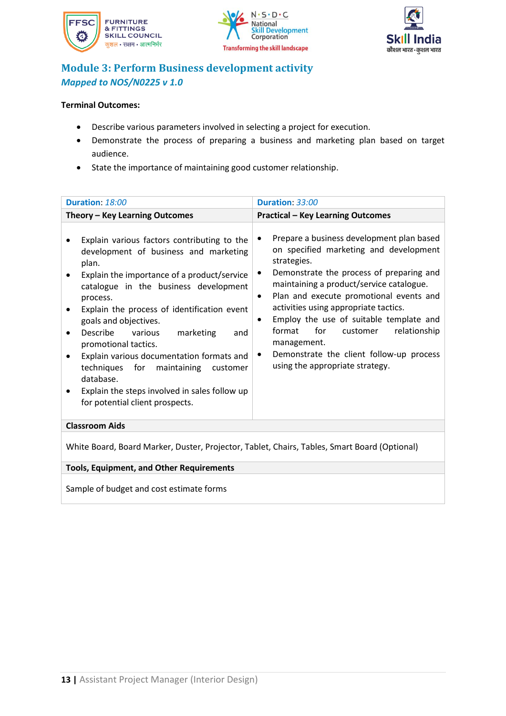





# **Module 3: Perform Business development activity** *Mapped to NOS/N0225 v 1.0*

### **Terminal Outcomes:**

- Describe various parameters involved in selecting a project for execution.
- Demonstrate the process of preparing a business and marketing plan based on target audience.
- State the importance of maintaining good customer relationship.

| Duration: 18:00                                                                                                                                                                                                                                                                                                                                                                                                                                                                                                                                   | Duration: 33:00                                                                                                                                                                                                                                                                                                                                                                                                                                                                                  |  |
|---------------------------------------------------------------------------------------------------------------------------------------------------------------------------------------------------------------------------------------------------------------------------------------------------------------------------------------------------------------------------------------------------------------------------------------------------------------------------------------------------------------------------------------------------|--------------------------------------------------------------------------------------------------------------------------------------------------------------------------------------------------------------------------------------------------------------------------------------------------------------------------------------------------------------------------------------------------------------------------------------------------------------------------------------------------|--|
| Theory - Key Learning Outcomes                                                                                                                                                                                                                                                                                                                                                                                                                                                                                                                    | <b>Practical - Key Learning Outcomes</b>                                                                                                                                                                                                                                                                                                                                                                                                                                                         |  |
| Explain various factors contributing to the<br>development of business and marketing<br>plan.<br>Explain the importance of a product/service<br>catalogue in the business development<br>process.<br>Explain the process of identification event<br>goals and objectives.<br>Describe<br>various<br>marketing<br>and<br>$\bullet$<br>promotional tactics.<br>Explain various documentation formats and<br>techniques for maintaining<br>customer<br>database.<br>Explain the steps involved in sales follow up<br>for potential client prospects. | Prepare a business development plan based<br>on specified marketing and development<br>strategies.<br>Demonstrate the process of preparing and<br>٠<br>maintaining a product/service catalogue.<br>Plan and execute promotional events and<br>$\bullet$<br>activities using appropriate tactics.<br>Employ the use of suitable template and<br>$\bullet$<br>format for<br>customer<br>relationship<br>management.<br>Demonstrate the client follow-up process<br>using the appropriate strategy. |  |
| <b>Classroom Aids</b>                                                                                                                                                                                                                                                                                                                                                                                                                                                                                                                             |                                                                                                                                                                                                                                                                                                                                                                                                                                                                                                  |  |
| White Board, Board Marker, Duster, Projector, Tablet, Chairs, Tables, Smart Board (Optional)                                                                                                                                                                                                                                                                                                                                                                                                                                                      |                                                                                                                                                                                                                                                                                                                                                                                                                                                                                                  |  |

**Tools, Equipment, and Other Requirements** 

Sample of budget and cost estimate forms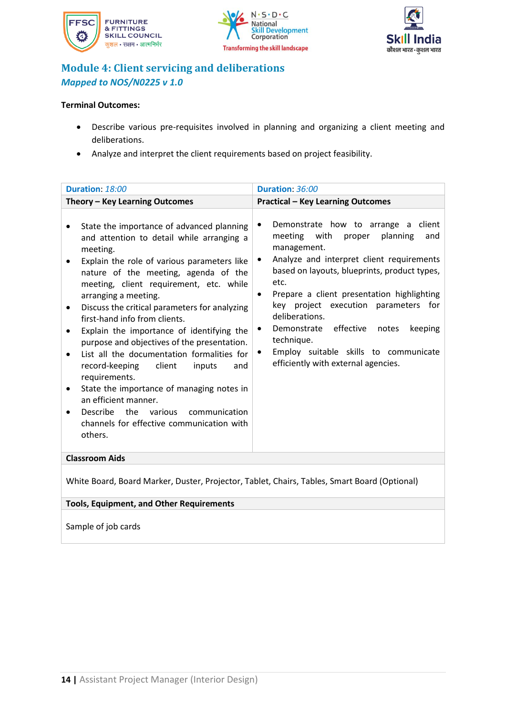





## **Module 4: Client servicing and deliberations** *Mapped to NOS/N0225 v 1.0*

### **Terminal Outcomes:**

- Describe various pre-requisites involved in planning and organizing a client meeting and deliberations.
- Analyze and interpret the client requirements based on project feasibility.

| Duration: 18:00                                                                                                                                                                                                                                                                                                                                                                                                                                                                                                                                                                                                                                                                                                           | Duration: 36:00                                                                                                                                                                                                                                                                                                                                                                                                                                                                  |
|---------------------------------------------------------------------------------------------------------------------------------------------------------------------------------------------------------------------------------------------------------------------------------------------------------------------------------------------------------------------------------------------------------------------------------------------------------------------------------------------------------------------------------------------------------------------------------------------------------------------------------------------------------------------------------------------------------------------------|----------------------------------------------------------------------------------------------------------------------------------------------------------------------------------------------------------------------------------------------------------------------------------------------------------------------------------------------------------------------------------------------------------------------------------------------------------------------------------|
| Theory - Key Learning Outcomes                                                                                                                                                                                                                                                                                                                                                                                                                                                                                                                                                                                                                                                                                            | <b>Practical - Key Learning Outcomes</b>                                                                                                                                                                                                                                                                                                                                                                                                                                         |
| State the importance of advanced planning<br>and attention to detail while arranging a<br>meeting.<br>Explain the role of various parameters like<br>nature of the meeting, agenda of the<br>meeting, client requirement, etc. while<br>arranging a meeting.<br>Discuss the critical parameters for analyzing<br>first-hand info from clients.<br>Explain the importance of identifying the<br>purpose and objectives of the presentation.<br>List all the documentation formalities for<br>record-keeping client<br>inputs<br>and<br>requirements.<br>State the importance of managing notes in<br>an efficient manner.<br>Describe the various<br>communication<br>channels for effective communication with<br>others. | Demonstrate how to arrange a client<br>٠<br>planning<br>meeting with<br>proper<br>and<br>management.<br>Analyze and interpret client requirements<br>٠<br>based on layouts, blueprints, product types,<br>etc.<br>Prepare a client presentation highlighting<br>$\bullet$<br>key project execution parameters for<br>deliberations.<br>Demonstrate effective notes<br>keeping<br>٠<br>technique.<br>Employ suitable skills to communicate<br>efficiently with external agencies. |
| <b>Classroom Aids</b>                                                                                                                                                                                                                                                                                                                                                                                                                                                                                                                                                                                                                                                                                                     |                                                                                                                                                                                                                                                                                                                                                                                                                                                                                  |
|                                                                                                                                                                                                                                                                                                                                                                                                                                                                                                                                                                                                                                                                                                                           |                                                                                                                                                                                                                                                                                                                                                                                                                                                                                  |

White Board, Board Marker, Duster, Projector, Tablet, Chairs, Tables, Smart Board (Optional)

### **Tools, Equipment, and Other Requirements**

Sample of job cards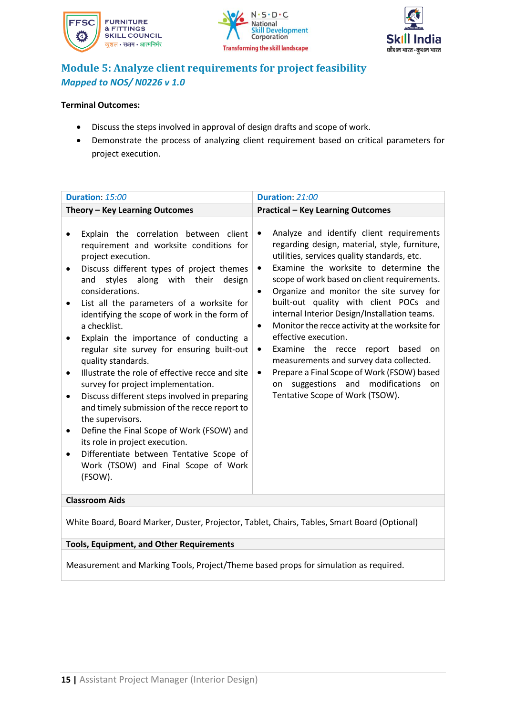





# **Module 5: Analyze client requirements for project feasibility** *Mapped to NOS/ N0226 v 1.0*

### **Terminal Outcomes:**

- Discuss the steps involved in approval of design drafts and scope of work.
- Demonstrate the process of analyzing client requirement based on critical parameters for project execution.

| Duration: 15:00                                                                                                                                                                                                                                                                                                                                                                                                                                                                                                                                                                                                                                                                                                                                                                                                                                   | Duration: 21:00                                                                                                                                                                                                                                                                                                                                                                                                                                                                                                                                                                                                                                                                                                                                    |  |  |
|---------------------------------------------------------------------------------------------------------------------------------------------------------------------------------------------------------------------------------------------------------------------------------------------------------------------------------------------------------------------------------------------------------------------------------------------------------------------------------------------------------------------------------------------------------------------------------------------------------------------------------------------------------------------------------------------------------------------------------------------------------------------------------------------------------------------------------------------------|----------------------------------------------------------------------------------------------------------------------------------------------------------------------------------------------------------------------------------------------------------------------------------------------------------------------------------------------------------------------------------------------------------------------------------------------------------------------------------------------------------------------------------------------------------------------------------------------------------------------------------------------------------------------------------------------------------------------------------------------------|--|--|
| Theory - Key Learning Outcomes                                                                                                                                                                                                                                                                                                                                                                                                                                                                                                                                                                                                                                                                                                                                                                                                                    | <b>Practical - Key Learning Outcomes</b>                                                                                                                                                                                                                                                                                                                                                                                                                                                                                                                                                                                                                                                                                                           |  |  |
| Explain the correlation between client<br>requirement and worksite conditions for<br>project execution.<br>Discuss different types of project themes<br>styles<br>along with their<br>design<br>and<br>considerations.<br>List all the parameters of a worksite for<br>identifying the scope of work in the form of<br>a checklist.<br>Explain the importance of conducting a<br>regular site survey for ensuring built-out<br>quality standards.<br>Illustrate the role of effective recce and site<br>survey for project implementation.<br>Discuss different steps involved in preparing<br>and timely submission of the recce report to<br>the supervisors.<br>Define the Final Scope of Work (FSOW) and<br>its role in project execution.<br>Differentiate between Tentative Scope of<br>٠<br>Work (TSOW) and Final Scope of Work<br>(FSOW). | Analyze and identify client requirements<br>$\bullet$<br>regarding design, material, style, furniture,<br>utilities, services quality standards, etc.<br>Examine the worksite to determine the<br>$\bullet$<br>scope of work based on client requirements.<br>Organize and monitor the site survey for<br>$\bullet$<br>built-out quality with client POCs and<br>internal Interior Design/Installation teams.<br>Monitor the recce activity at the worksite for<br>$\bullet$<br>effective execution.<br>Examine the recce report<br>based<br>on<br>$\bullet$<br>measurements and survey data collected.<br>Prepare a Final Scope of Work (FSOW) based<br>$\bullet$<br>suggestions and modifications<br>on<br>on<br>Tentative Scope of Work (TSOW). |  |  |
| <b>Classroom Aids</b>                                                                                                                                                                                                                                                                                                                                                                                                                                                                                                                                                                                                                                                                                                                                                                                                                             |                                                                                                                                                                                                                                                                                                                                                                                                                                                                                                                                                                                                                                                                                                                                                    |  |  |
| White Board, Board Marker, Duster, Projector, Tablet, Chairs, Tables, Smart Board (Optional)                                                                                                                                                                                                                                                                                                                                                                                                                                                                                                                                                                                                                                                                                                                                                      |                                                                                                                                                                                                                                                                                                                                                                                                                                                                                                                                                                                                                                                                                                                                                    |  |  |

### **Tools, Equipment, and Other Requirements**

Measurement and Marking Tools, Project/Theme based props for simulation as required.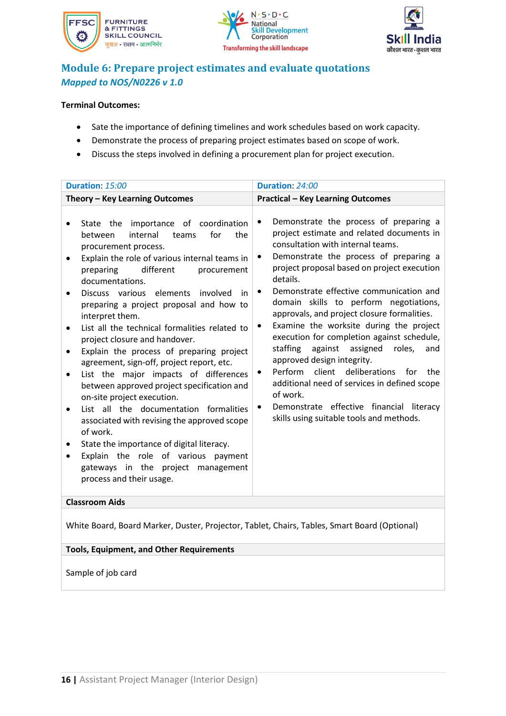





## **Module 6: Prepare project estimates and evaluate quotations** *Mapped to NOS/N0226 v 1.0*

### **Terminal Outcomes:**

- Sate the importance of defining timelines and work schedules based on work capacity.
- Demonstrate the process of preparing project estimates based on scope of work.
- Discuss the steps involved in defining a procurement plan for project execution.

| Duration: 15:00                                                                                                                                                                                                                                                                                                                                                                                                                                                                                                                                                                                                                                                                                                                                                                                                                                                                                          | Duration: 24:00                                                                                                                                                                                                                                                                                                                                                                                                                                                                                                                                                                                                                                                                                                                                                           |
|----------------------------------------------------------------------------------------------------------------------------------------------------------------------------------------------------------------------------------------------------------------------------------------------------------------------------------------------------------------------------------------------------------------------------------------------------------------------------------------------------------------------------------------------------------------------------------------------------------------------------------------------------------------------------------------------------------------------------------------------------------------------------------------------------------------------------------------------------------------------------------------------------------|---------------------------------------------------------------------------------------------------------------------------------------------------------------------------------------------------------------------------------------------------------------------------------------------------------------------------------------------------------------------------------------------------------------------------------------------------------------------------------------------------------------------------------------------------------------------------------------------------------------------------------------------------------------------------------------------------------------------------------------------------------------------------|
| Theory - Key Learning Outcomes                                                                                                                                                                                                                                                                                                                                                                                                                                                                                                                                                                                                                                                                                                                                                                                                                                                                           | <b>Practical - Key Learning Outcomes</b>                                                                                                                                                                                                                                                                                                                                                                                                                                                                                                                                                                                                                                                                                                                                  |
| State the importance of coordination<br>internal<br>for<br>the<br>between<br>teams<br>procurement process.<br>Explain the role of various internal teams in<br>different<br>preparing<br>procurement<br>documentations.<br>Discuss various elements involved<br>in<br>preparing a project proposal and how to<br>interpret them.<br>List all the technical formalities related to<br>project closure and handover.<br>Explain the process of preparing project<br>$\bullet$<br>agreement, sign-off, project report, etc.<br>List the major impacts of differences<br>between approved project specification and<br>on-site project execution.<br>List all the documentation formalities<br>associated with revising the approved scope<br>of work.<br>State the importance of digital literacy.<br>Explain the role of various payment<br>gateways in the project management<br>process and their usage. | Demonstrate the process of preparing a<br>٠<br>project estimate and related documents in<br>consultation with internal teams.<br>Demonstrate the process of preparing a<br>$\bullet$<br>project proposal based on project execution<br>details.<br>Demonstrate effective communication and<br>٠<br>domain skills to perform negotiations,<br>approvals, and project closure formalities.<br>Examine the worksite during the project<br>execution for completion against schedule,<br>staffing<br>against assigned<br>roles,<br>and<br>approved design integrity.<br>Perform client deliberations for the<br>additional need of services in defined scope<br>of work.<br>Demonstrate effective financial literacy<br>$\bullet$<br>skills using suitable tools and methods. |
| <b>Classroom Aids</b>                                                                                                                                                                                                                                                                                                                                                                                                                                                                                                                                                                                                                                                                                                                                                                                                                                                                                    |                                                                                                                                                                                                                                                                                                                                                                                                                                                                                                                                                                                                                                                                                                                                                                           |

White Board, Board Marker, Duster, Projector, Tablet, Chairs, Tables, Smart Board (Optional)

### **Tools, Equipment, and Other Requirements**

Sample of job card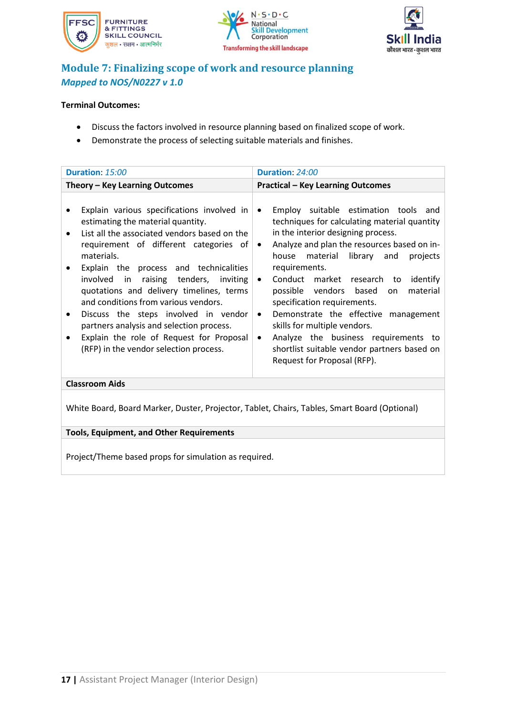





# **Module 7: Finalizing scope of work and resource planning** *Mapped to NOS/N0227 v 1.0*

### **Terminal Outcomes:**

- Discuss the factors involved in resource planning based on finalized scope of work.
- Demonstrate the process of selecting suitable materials and finishes.

| <b>Duration: 15:00</b>                                                                                                                                                                                                                                                                                                                                                                                                                                                                                                                      | Duration: 24:00                                                                                                                                                                                                                                                                                                                                                                                                                                                                                                                                                                                                                       |  |  |
|---------------------------------------------------------------------------------------------------------------------------------------------------------------------------------------------------------------------------------------------------------------------------------------------------------------------------------------------------------------------------------------------------------------------------------------------------------------------------------------------------------------------------------------------|---------------------------------------------------------------------------------------------------------------------------------------------------------------------------------------------------------------------------------------------------------------------------------------------------------------------------------------------------------------------------------------------------------------------------------------------------------------------------------------------------------------------------------------------------------------------------------------------------------------------------------------|--|--|
| Theory - Key Learning Outcomes                                                                                                                                                                                                                                                                                                                                                                                                                                                                                                              | <b>Practical - Key Learning Outcomes</b>                                                                                                                                                                                                                                                                                                                                                                                                                                                                                                                                                                                              |  |  |
| Explain various specifications involved in<br>estimating the material quantity.<br>List all the associated vendors based on the<br>requirement of different categories of<br>materials.<br>Explain the process and technicalities<br>involved in raising<br>tenders, inviting<br>quotations and delivery timelines, terms<br>and conditions from various vendors.<br>Discuss the steps involved in vendor<br>partners analysis and selection process.<br>Explain the role of Request for Proposal<br>(RFP) in the vendor selection process. | Employ suitable estimation tools and<br>$\bullet$<br>techniques for calculating material quantity<br>in the interior designing process.<br>Analyze and plan the resources based on in-<br>$\bullet$<br>material<br>library<br>house<br>projects<br>and<br>requirements.<br>Conduct market research<br>identify<br>$\bullet$<br>to<br>material<br>possible vendors based<br>on.<br>specification requirements.<br>Demonstrate the effective management<br>$\bullet$<br>skills for multiple vendors.<br>Analyze the business requirements to<br>$\bullet$<br>shortlist suitable vendor partners based on<br>Request for Proposal (RFP). |  |  |
| <b>Classroom Aids</b>                                                                                                                                                                                                                                                                                                                                                                                                                                                                                                                       |                                                                                                                                                                                                                                                                                                                                                                                                                                                                                                                                                                                                                                       |  |  |
| White Board, Board Marker, Duster, Projector, Tablet, Chairs, Tables, Smart Board (Optional)                                                                                                                                                                                                                                                                                                                                                                                                                                                |                                                                                                                                                                                                                                                                                                                                                                                                                                                                                                                                                                                                                                       |  |  |

### **Tools, Equipment, and Other Requirements**

Project/Theme based props for simulation as required.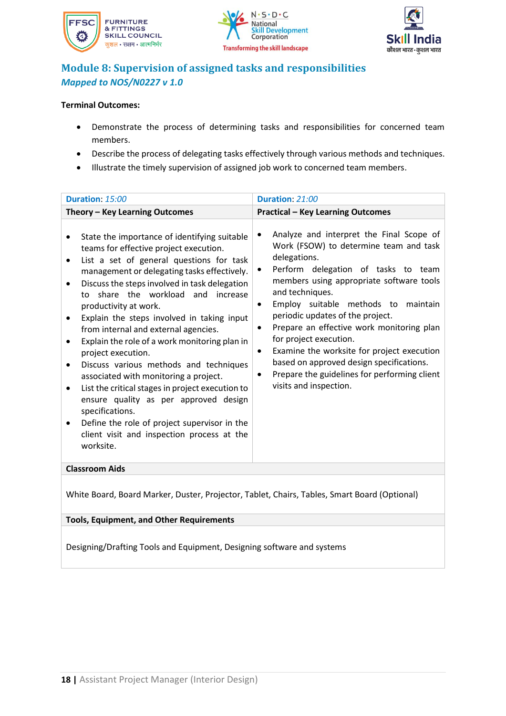





# **Module 8: Supervision of assigned tasks and responsibilities** *Mapped to NOS/N0227 v 1.0*

### **Terminal Outcomes:**

- Demonstrate the process of determining tasks and responsibilities for concerned team members.
- Describe the process of delegating tasks effectively through various methods and techniques.
- Illustrate the timely supervision of assigned job work to concerned team members.

<span id="page-18-0"></span>

| Duration: 15:00                                                                                                                                                                                                                                                                                                                                                                                                                                                                                                                                                                                                                                                                                                                                                                       | Duration: 21:00                                                                                                                                                                                                                                                                                                                                                                                                                                                                                                                                                    |  |
|---------------------------------------------------------------------------------------------------------------------------------------------------------------------------------------------------------------------------------------------------------------------------------------------------------------------------------------------------------------------------------------------------------------------------------------------------------------------------------------------------------------------------------------------------------------------------------------------------------------------------------------------------------------------------------------------------------------------------------------------------------------------------------------|--------------------------------------------------------------------------------------------------------------------------------------------------------------------------------------------------------------------------------------------------------------------------------------------------------------------------------------------------------------------------------------------------------------------------------------------------------------------------------------------------------------------------------------------------------------------|--|
| Theory - Key Learning Outcomes                                                                                                                                                                                                                                                                                                                                                                                                                                                                                                                                                                                                                                                                                                                                                        | <b>Practical - Key Learning Outcomes</b>                                                                                                                                                                                                                                                                                                                                                                                                                                                                                                                           |  |
| State the importance of identifying suitable<br>teams for effective project execution.<br>List a set of general questions for task<br>management or delegating tasks effectively.<br>Discuss the steps involved in task delegation<br>share the workload<br>and<br>increase<br>to<br>productivity at work.<br>Explain the steps involved in taking input<br>from internal and external agencies.<br>Explain the role of a work monitoring plan in<br>project execution.<br>Discuss various methods and techniques<br>associated with monitoring a project.<br>List the critical stages in project execution to<br>ensure quality as per approved design<br>specifications.<br>Define the role of project supervisor in the<br>client visit and inspection process at the<br>worksite. | Analyze and interpret the Final Scope of<br>Work (FSOW) to determine team and task<br>delegations.<br>Perform delegation of tasks to team<br>٠<br>members using appropriate software tools<br>and techniques.<br>Employ suitable methods to maintain<br>$\bullet$<br>periodic updates of the project.<br>Prepare an effective work monitoring plan<br>٠<br>for project execution.<br>Examine the worksite for project execution<br>$\bullet$<br>based on approved design specifications.<br>Prepare the guidelines for performing client<br>visits and inspection. |  |
| <b>Classroom Aids</b>                                                                                                                                                                                                                                                                                                                                                                                                                                                                                                                                                                                                                                                                                                                                                                 |                                                                                                                                                                                                                                                                                                                                                                                                                                                                                                                                                                    |  |
| White Board, Board Marker, Duster, Projector, Tablet, Chairs, Tables, Smart Board (Optional)                                                                                                                                                                                                                                                                                                                                                                                                                                                                                                                                                                                                                                                                                          |                                                                                                                                                                                                                                                                                                                                                                                                                                                                                                                                                                    |  |
| <b>Tools, Equipment, and Other Requirements</b>                                                                                                                                                                                                                                                                                                                                                                                                                                                                                                                                                                                                                                                                                                                                       |                                                                                                                                                                                                                                                                                                                                                                                                                                                                                                                                                                    |  |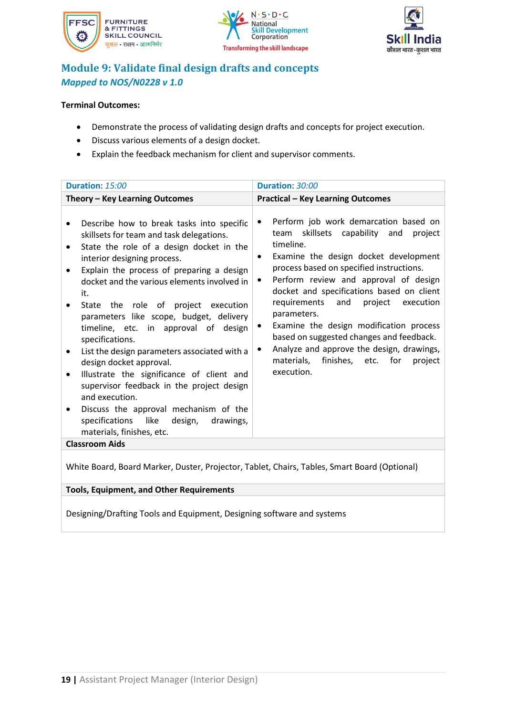





# **Module 9: Validate final design drafts and concepts** *Mapped to NOS/N0228 v 1.0*

### **Terminal Outcomes:**

- Demonstrate the process of validating design drafts and concepts for project execution.
- Discuss various elements of a design docket.
- Explain the feedback mechanism for client and supervisor comments.

| Duration: 15:00                                                                                                                                                                                                                                                                                                                                                                                                                                                                                                                                                                                                                                                                                                                                                    | Duration: 30:00                                                                                                                                                                                                                                                                                                                                                                                                                                                                                                                                                   |
|--------------------------------------------------------------------------------------------------------------------------------------------------------------------------------------------------------------------------------------------------------------------------------------------------------------------------------------------------------------------------------------------------------------------------------------------------------------------------------------------------------------------------------------------------------------------------------------------------------------------------------------------------------------------------------------------------------------------------------------------------------------------|-------------------------------------------------------------------------------------------------------------------------------------------------------------------------------------------------------------------------------------------------------------------------------------------------------------------------------------------------------------------------------------------------------------------------------------------------------------------------------------------------------------------------------------------------------------------|
| Theory - Key Learning Outcomes                                                                                                                                                                                                                                                                                                                                                                                                                                                                                                                                                                                                                                                                                                                                     | <b>Practical - Key Learning Outcomes</b>                                                                                                                                                                                                                                                                                                                                                                                                                                                                                                                          |
| Describe how to break tasks into specific<br>skillsets for team and task delegations.<br>State the role of a design docket in the<br>interior designing process.<br>Explain the process of preparing a design<br>docket and the various elements involved in<br>it.<br>State the role of project execution<br>parameters like scope, budget, delivery<br>timeline, etc. in approval of design<br>specifications.<br>List the design parameters associated with a<br>design docket approval.<br>Illustrate the significance of client and<br>$\bullet$<br>supervisor feedback in the project design<br>and execution.<br>Discuss the approval mechanism of the<br>specifications like<br>design,<br>drawings,<br>materials, finishes, etc.<br><b>Classroom Aids</b> | Perform job work demarcation based on<br>٠<br>team skillsets capability<br>and<br>project<br>timeline.<br>Examine the design docket development<br>$\bullet$<br>process based on specified instructions.<br>Perform review and approval of design<br>٠<br>docket and specifications based on client<br>requirements<br>project execution<br>and<br>parameters.<br>Examine the design modification process<br>based on suggested changes and feedback.<br>Analyze and approve the design, drawings,<br>٠<br>materials, finishes, etc. for<br>project<br>execution. |
|                                                                                                                                                                                                                                                                                                                                                                                                                                                                                                                                                                                                                                                                                                                                                                    |                                                                                                                                                                                                                                                                                                                                                                                                                                                                                                                                                                   |

White Board, Board Marker, Duster, Projector, Tablet, Chairs, Tables, Smart Board (Optional)

### **Tools, Equipment, and Other Requirements**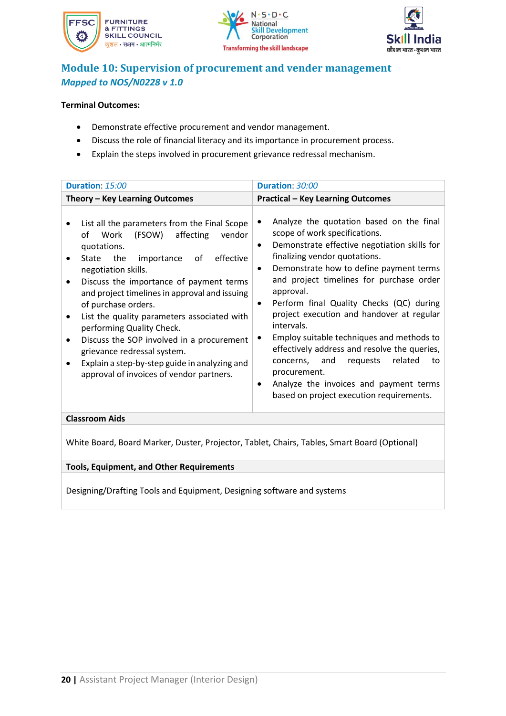





### **Module 10: Supervision of procurement and vender management** *Mapped to NOS/N0228 v 1.0*

### **Terminal Outcomes:**

- Demonstrate effective procurement and vendor management.
- Discuss the role of financial literacy and its importance in procurement process.
- Explain the steps involved in procurement grievance redressal mechanism.

| Duration: 15:00                                                                                                                                                                                                                                                                                                                                                                                                                                                                                                                                                         | Duration: 30:00                                                                                                                                                                                                                                                                                                                                                                                                                                                                                                                                                                                                                                                      |  |
|-------------------------------------------------------------------------------------------------------------------------------------------------------------------------------------------------------------------------------------------------------------------------------------------------------------------------------------------------------------------------------------------------------------------------------------------------------------------------------------------------------------------------------------------------------------------------|----------------------------------------------------------------------------------------------------------------------------------------------------------------------------------------------------------------------------------------------------------------------------------------------------------------------------------------------------------------------------------------------------------------------------------------------------------------------------------------------------------------------------------------------------------------------------------------------------------------------------------------------------------------------|--|
| Theory - Key Learning Outcomes                                                                                                                                                                                                                                                                                                                                                                                                                                                                                                                                          | <b>Practical - Key Learning Outcomes</b>                                                                                                                                                                                                                                                                                                                                                                                                                                                                                                                                                                                                                             |  |
| List all the parameters from the Final Scope<br>affecting<br>(FSOW)<br>of<br>Work<br>vendor<br>quotations.<br>the<br>importance<br>οf<br>effective<br>State<br>negotiation skills.<br>Discuss the importance of payment terms<br>and project timelines in approval and issuing<br>of purchase orders.<br>List the quality parameters associated with<br>performing Quality Check.<br>Discuss the SOP involved in a procurement<br>$\bullet$<br>grievance redressal system.<br>Explain a step-by-step guide in analyzing and<br>approval of invoices of vendor partners. | Analyze the quotation based on the final<br>٠<br>scope of work specifications.<br>Demonstrate effective negotiation skills for<br>$\bullet$<br>finalizing vendor quotations.<br>Demonstrate how to define payment terms<br>$\bullet$<br>and project timelines for purchase order<br>approval.<br>Perform final Quality Checks (QC) during<br>٠<br>project execution and handover at regular<br>intervals.<br>Employ suitable techniques and methods to<br>٠<br>effectively address and resolve the queries,<br>related<br>concerns, and<br>requests<br>to<br>procurement.<br>Analyze the invoices and payment terms<br>٠<br>based on project execution requirements. |  |
| <b>Classroom Aids</b>                                                                                                                                                                                                                                                                                                                                                                                                                                                                                                                                                   |                                                                                                                                                                                                                                                                                                                                                                                                                                                                                                                                                                                                                                                                      |  |
|                                                                                                                                                                                                                                                                                                                                                                                                                                                                                                                                                                         |                                                                                                                                                                                                                                                                                                                                                                                                                                                                                                                                                                                                                                                                      |  |

White Board, Board Marker, Duster, Projector, Tablet, Chairs, Tables, Smart Board (Optional)

#### **Tools, Equipment, and Other Requirements**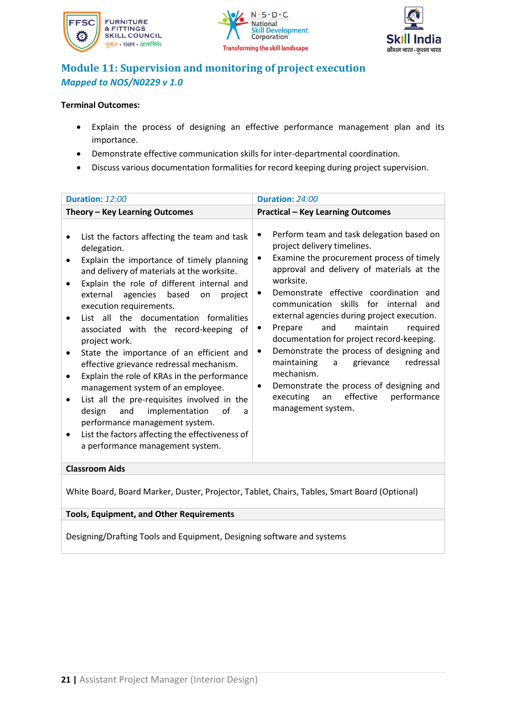





# **Module 11: Supervision and monitoring of project execution** *Mapped to NOS/N0229 v 1.0*

### **Terminal Outcomes:**

- Explain the process of designing an effective performance management plan and its importance.
- Demonstrate effective communication skills for inter-departmental coordination.
- Discuss various documentation formalities for record keeping during project supervision.

White Board, Board Marker, Duster, Projector, Tablet, Chairs, Tables, Smart Board (Optional)

### **Tools, Equipment, and Other Requirements**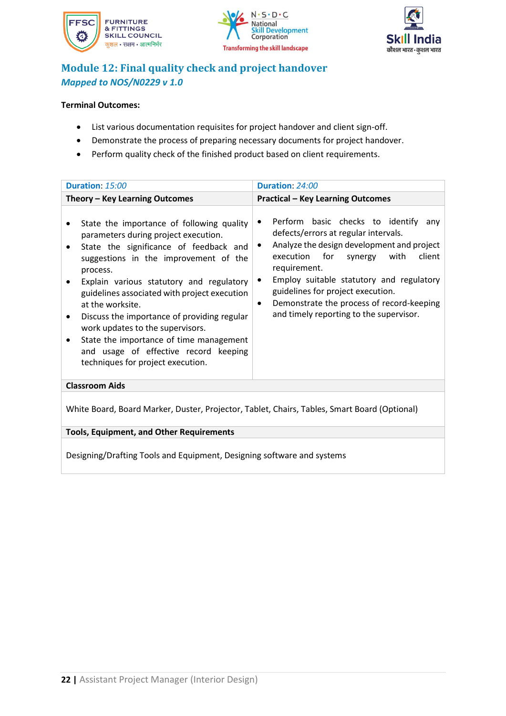





# **Module 12: Final quality check and project handover** *Mapped to NOS/N0229 v 1.0*

### **Terminal Outcomes:**

- List various documentation requisites for project handover and client sign-off.
- Demonstrate the process of preparing necessary documents for project handover.
- Perform quality check of the finished product based on client requirements.

| Duration: 15:00                                                                                                                                                                                                                                                                                                                                                                                                                                                                                                                        | Duration: 24:00                                                                                                                                                                                                                                                                                                                                                                                               |  |
|----------------------------------------------------------------------------------------------------------------------------------------------------------------------------------------------------------------------------------------------------------------------------------------------------------------------------------------------------------------------------------------------------------------------------------------------------------------------------------------------------------------------------------------|---------------------------------------------------------------------------------------------------------------------------------------------------------------------------------------------------------------------------------------------------------------------------------------------------------------------------------------------------------------------------------------------------------------|--|
| Theory - Key Learning Outcomes                                                                                                                                                                                                                                                                                                                                                                                                                                                                                                         | <b>Practical - Key Learning Outcomes</b>                                                                                                                                                                                                                                                                                                                                                                      |  |
| State the importance of following quality<br>$\bullet$<br>parameters during project execution.<br>State the significance of feedback and<br>$\bullet$<br>suggestions in the improvement of the<br>process.<br>Explain various statutory and regulatory<br>guidelines associated with project execution<br>at the worksite.<br>Discuss the importance of providing regular<br>work updates to the supervisors.<br>State the importance of time management<br>and usage of effective record keeping<br>techniques for project execution. | Perform basic checks to identify any<br>$\bullet$<br>defects/errors at regular intervals.<br>Analyze the design development and project<br>٠<br>execution for<br>client<br>with<br>synergy<br>requirement.<br>Employ suitable statutory and regulatory<br>$\bullet$<br>guidelines for project execution.<br>Demonstrate the process of record-keeping<br>$\bullet$<br>and timely reporting to the supervisor. |  |
| <b>Classroom Aids</b>                                                                                                                                                                                                                                                                                                                                                                                                                                                                                                                  |                                                                                                                                                                                                                                                                                                                                                                                                               |  |
| White Board, Board Marker, Duster, Projector, Tablet, Chairs, Tables, Smart Board (Optional)                                                                                                                                                                                                                                                                                                                                                                                                                                           |                                                                                                                                                                                                                                                                                                                                                                                                               |  |
| <b>Tools, Equipment, and Other Requirements</b>                                                                                                                                                                                                                                                                                                                                                                                                                                                                                        |                                                                                                                                                                                                                                                                                                                                                                                                               |  |
| Designing/Drafting Tools and Equipment, Designing software and systems                                                                                                                                                                                                                                                                                                                                                                                                                                                                 |                                                                                                                                                                                                                                                                                                                                                                                                               |  |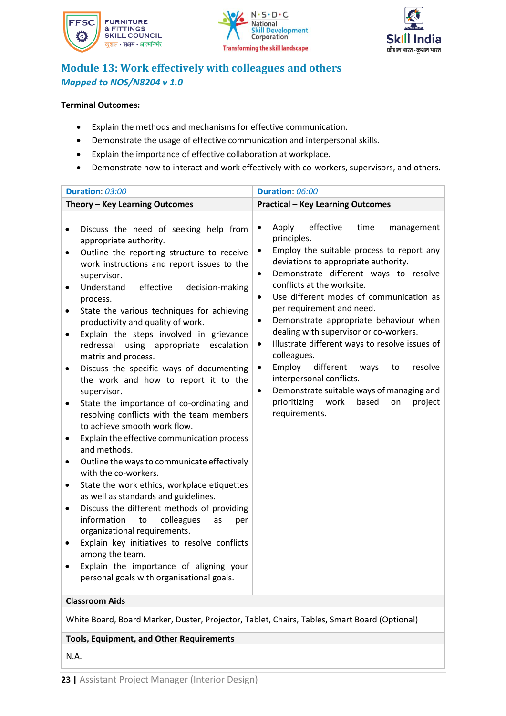





# **Module 13: Work effectively with colleagues and others** *Mapped to NOS/N8204 v 1.0*

### **Terminal Outcomes:**

- Explain the methods and mechanisms for effective communication.
- Demonstrate the usage of effective communication and interpersonal skills.
- Explain the importance of effective collaboration at workplace.
- Demonstrate how to interact and work effectively with co-workers, supervisors, and others.

|                                                                                                                             | Duration: 03:00                                                                                                                                                                                                                                                                                                                                                                                                                                                                                                                                                                                                                                                                                                                                                                                                                                                                                                                                                                                                                                                                                                                                                                        | Duration: 06:00                                                                                                                                                                                                                                                                                                                                                                                                                                                                                                                                                                                                                                                                                                                                      |
|-----------------------------------------------------------------------------------------------------------------------------|----------------------------------------------------------------------------------------------------------------------------------------------------------------------------------------------------------------------------------------------------------------------------------------------------------------------------------------------------------------------------------------------------------------------------------------------------------------------------------------------------------------------------------------------------------------------------------------------------------------------------------------------------------------------------------------------------------------------------------------------------------------------------------------------------------------------------------------------------------------------------------------------------------------------------------------------------------------------------------------------------------------------------------------------------------------------------------------------------------------------------------------------------------------------------------------|------------------------------------------------------------------------------------------------------------------------------------------------------------------------------------------------------------------------------------------------------------------------------------------------------------------------------------------------------------------------------------------------------------------------------------------------------------------------------------------------------------------------------------------------------------------------------------------------------------------------------------------------------------------------------------------------------------------------------------------------------|
|                                                                                                                             | Theory - Key Learning Outcomes                                                                                                                                                                                                                                                                                                                                                                                                                                                                                                                                                                                                                                                                                                                                                                                                                                                                                                                                                                                                                                                                                                                                                         | <b>Practical - Key Learning Outcomes</b>                                                                                                                                                                                                                                                                                                                                                                                                                                                                                                                                                                                                                                                                                                             |
| $\bullet$<br>$\bullet$<br>$\bullet$<br>$\bullet$<br>$\bullet$<br>٠<br>$\bullet$<br>٠<br>$\bullet$<br>$\bullet$<br>$\bullet$ | Discuss the need of seeking help from<br>appropriate authority.<br>Outline the reporting structure to receive<br>work instructions and report issues to the<br>supervisor.<br>Understand<br>effective<br>decision-making<br>process.<br>State the various techniques for achieving<br>productivity and quality of work.<br>Explain the steps involved in grievance<br>redressal using appropriate escalation<br>matrix and process.<br>Discuss the specific ways of documenting<br>the work and how to report it to the<br>supervisor.<br>State the importance of co-ordinating and<br>resolving conflicts with the team members<br>to achieve smooth work flow.<br>Explain the effective communication process<br>and methods.<br>Outline the ways to communicate effectively<br>with the co-workers.<br>State the work ethics, workplace etiquettes<br>as well as standards and guidelines.<br>Discuss the different methods of providing<br>information<br>colleagues<br>to<br>as<br>per<br>organizational requirements.<br>Explain key initiatives to resolve conflicts<br>among the team.<br>Explain the importance of aligning your<br>personal goals with organisational goals. | effective<br>Apply<br>time<br>management<br>$\bullet$<br>principles.<br>Employ the suitable process to report any<br>$\bullet$<br>deviations to appropriate authority.<br>Demonstrate different ways to resolve<br>$\bullet$<br>conflicts at the worksite.<br>Use different modes of communication as<br>$\bullet$<br>per requirement and need.<br>Demonstrate appropriate behaviour when<br>$\bullet$<br>dealing with supervisor or co-workers.<br>Illustrate different ways to resolve issues of<br>$\bullet$<br>colleagues.<br>Employ<br>different<br>resolve<br>$\bullet$<br>ways<br>to<br>interpersonal conflicts.<br>Demonstrate suitable ways of managing and<br>$\bullet$<br>work<br>based<br>prioritizing<br>project<br>on<br>requirements. |
|                                                                                                                             | <b>Classroom Aids</b>                                                                                                                                                                                                                                                                                                                                                                                                                                                                                                                                                                                                                                                                                                                                                                                                                                                                                                                                                                                                                                                                                                                                                                  |                                                                                                                                                                                                                                                                                                                                                                                                                                                                                                                                                                                                                                                                                                                                                      |
| White Board, Board Marker, Duster, Projector, Tablet, Chairs, Tables, Smart Board (Optional)                                |                                                                                                                                                                                                                                                                                                                                                                                                                                                                                                                                                                                                                                                                                                                                                                                                                                                                                                                                                                                                                                                                                                                                                                                        |                                                                                                                                                                                                                                                                                                                                                                                                                                                                                                                                                                                                                                                                                                                                                      |

#### **Tools, Equipment, and Other Requirements**

N.A.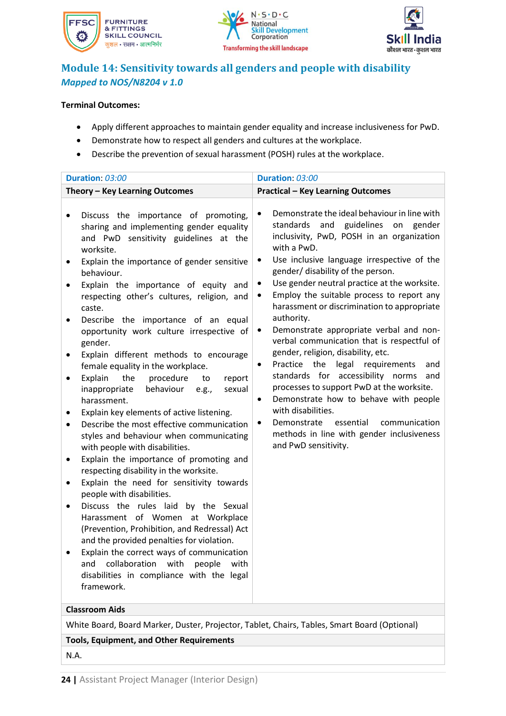





### **Module 14: Sensitivity towards all genders and people with disability** *Mapped to NOS/N8204 v 1.0*

### **Terminal Outcomes:**

- Apply different approaches to maintain gender equality and increase inclusiveness for PwD.
- Demonstrate how to respect all genders and cultures at the workplace.
- Describe the prevention of sexual harassment (POSH) rules at the workplace.

| Duration: 03:00                                                                                                                                                                                                                                                                                                                                                                                                                                                                                                                                                                                                                                                                                                                                                                                                                                                                                                                                                                                                                                                                                                                                                                                                                                                                                                                                             | Duration: 03:00                                                                                                                                                                                                                                                                                                                                                                                                                                                                                                                                                                                                                                                                                                                                                                                                                                                                                                       |
|-------------------------------------------------------------------------------------------------------------------------------------------------------------------------------------------------------------------------------------------------------------------------------------------------------------------------------------------------------------------------------------------------------------------------------------------------------------------------------------------------------------------------------------------------------------------------------------------------------------------------------------------------------------------------------------------------------------------------------------------------------------------------------------------------------------------------------------------------------------------------------------------------------------------------------------------------------------------------------------------------------------------------------------------------------------------------------------------------------------------------------------------------------------------------------------------------------------------------------------------------------------------------------------------------------------------------------------------------------------|-----------------------------------------------------------------------------------------------------------------------------------------------------------------------------------------------------------------------------------------------------------------------------------------------------------------------------------------------------------------------------------------------------------------------------------------------------------------------------------------------------------------------------------------------------------------------------------------------------------------------------------------------------------------------------------------------------------------------------------------------------------------------------------------------------------------------------------------------------------------------------------------------------------------------|
| Theory - Key Learning Outcomes                                                                                                                                                                                                                                                                                                                                                                                                                                                                                                                                                                                                                                                                                                                                                                                                                                                                                                                                                                                                                                                                                                                                                                                                                                                                                                                              | <b>Practical - Key Learning Outcomes</b>                                                                                                                                                                                                                                                                                                                                                                                                                                                                                                                                                                                                                                                                                                                                                                                                                                                                              |
| Discuss the importance of promoting,<br>$\bullet$<br>sharing and implementing gender equality<br>and PwD sensitivity guidelines at the<br>worksite.<br>Explain the importance of gender sensitive<br>٠<br>behaviour.<br>Explain the importance of equity and<br>respecting other's cultures, religion, and<br>caste.<br>Describe the importance of an equal<br>٠<br>opportunity work culture irrespective of<br>gender.<br>Explain different methods to encourage<br>$\bullet$<br>female equality in the workplace.<br>Explain<br>the<br>procedure<br>report<br>to<br>$\bullet$<br>behaviour<br>inappropriate<br>sexual<br>e.g.,<br>harassment.<br>Explain key elements of active listening.<br>Describe the most effective communication<br>$\bullet$<br>styles and behaviour when communicating<br>with people with disabilities.<br>Explain the importance of promoting and<br>٠<br>respecting disability in the worksite.<br>Explain the need for sensitivity towards<br>$\bullet$<br>people with disabilities.<br>Discuss the rules laid by the Sexual<br>٠<br>Harassment of Women at Workplace<br>(Prevention, Prohibition, and Redressal) Act<br>and the provided penalties for violation.<br>Explain the correct ways of communication<br>collaboration<br>and<br>with<br>people<br>with<br>disabilities in compliance with the legal<br>framework. | Demonstrate the ideal behaviour in line with<br>$\bullet$<br>and guidelines<br>standards<br>on<br>gender<br>inclusivity, PwD, POSH in an organization<br>with a PwD.<br>Use inclusive language irrespective of the<br>gender/ disability of the person.<br>Use gender neutral practice at the worksite.<br>$\bullet$<br>Employ the suitable process to report any<br>٠<br>harassment or discrimination to appropriate<br>authority.<br>Demonstrate appropriate verbal and non-<br>٠<br>verbal communication that is respectful of<br>gender, religion, disability, etc.<br>Practice the legal requirements<br>and<br>$\bullet$<br>standards for accessibility norms<br>and<br>processes to support PwD at the worksite.<br>Demonstrate how to behave with people<br>$\bullet$<br>with disabilities.<br>essential<br>communication<br>Demonstrate<br>methods in line with gender inclusiveness<br>and PwD sensitivity. |
| <b>Classroom Aids</b>                                                                                                                                                                                                                                                                                                                                                                                                                                                                                                                                                                                                                                                                                                                                                                                                                                                                                                                                                                                                                                                                                                                                                                                                                                                                                                                                       |                                                                                                                                                                                                                                                                                                                                                                                                                                                                                                                                                                                                                                                                                                                                                                                                                                                                                                                       |
| White Board, Board Marker, Duster, Projector, Tablet, Chairs, Tables, Smart Board (Optional)                                                                                                                                                                                                                                                                                                                                                                                                                                                                                                                                                                                                                                                                                                                                                                                                                                                                                                                                                                                                                                                                                                                                                                                                                                                                |                                                                                                                                                                                                                                                                                                                                                                                                                                                                                                                                                                                                                                                                                                                                                                                                                                                                                                                       |
| <b>Tools, Equipment, and Other Requirements</b>                                                                                                                                                                                                                                                                                                                                                                                                                                                                                                                                                                                                                                                                                                                                                                                                                                                                                                                                                                                                                                                                                                                                                                                                                                                                                                             |                                                                                                                                                                                                                                                                                                                                                                                                                                                                                                                                                                                                                                                                                                                                                                                                                                                                                                                       |

N.A.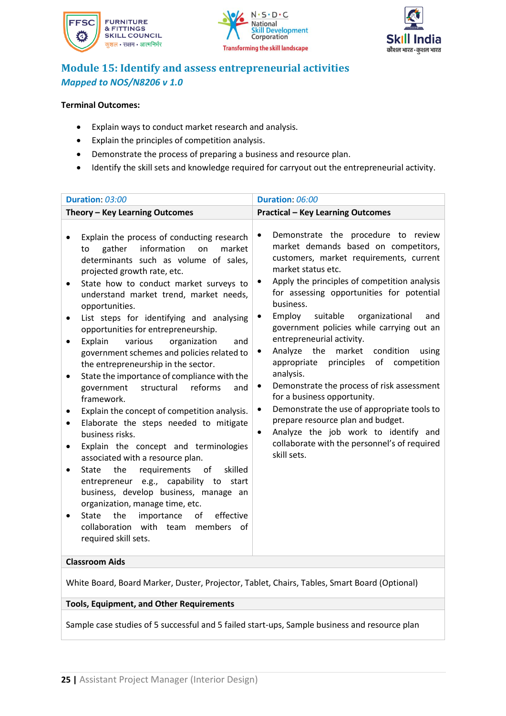





# **Module 15: Identify and assess entrepreneurial activities** *Mapped to NOS/N8206 v 1.0*

### **Terminal Outcomes:**

- Explain ways to conduct market research and analysis.
- Explain the principles of competition analysis.
- Demonstrate the process of preparing a business and resource plan.
- Identify the skill sets and knowledge required for carryout out the entrepreneurial activity.

| Duration: 03:00                                                                                                                                                                                                                                                                                                                                                                                                                                                                                                                                                                                                                                                                                                                                                                                                                                                                                                                                                                                                                                                                                                                                                    | Duration: 06:00                                                                                                                                                                                                                                                                                                                                                                                                                                                                                                                                                                                                                                                                                                                                                                                                                  |
|--------------------------------------------------------------------------------------------------------------------------------------------------------------------------------------------------------------------------------------------------------------------------------------------------------------------------------------------------------------------------------------------------------------------------------------------------------------------------------------------------------------------------------------------------------------------------------------------------------------------------------------------------------------------------------------------------------------------------------------------------------------------------------------------------------------------------------------------------------------------------------------------------------------------------------------------------------------------------------------------------------------------------------------------------------------------------------------------------------------------------------------------------------------------|----------------------------------------------------------------------------------------------------------------------------------------------------------------------------------------------------------------------------------------------------------------------------------------------------------------------------------------------------------------------------------------------------------------------------------------------------------------------------------------------------------------------------------------------------------------------------------------------------------------------------------------------------------------------------------------------------------------------------------------------------------------------------------------------------------------------------------|
| Theory - Key Learning Outcomes                                                                                                                                                                                                                                                                                                                                                                                                                                                                                                                                                                                                                                                                                                                                                                                                                                                                                                                                                                                                                                                                                                                                     | <b>Practical - Key Learning Outcomes</b>                                                                                                                                                                                                                                                                                                                                                                                                                                                                                                                                                                                                                                                                                                                                                                                         |
| Explain the process of conducting research<br>information<br>gather<br>on<br>market<br>to<br>determinants such as volume of sales,<br>projected growth rate, etc.<br>State how to conduct market surveys to<br>understand market trend, market needs,<br>opportunities.<br>List steps for identifying and analysing<br>opportunities for entrepreneurship.<br>Explain<br>various<br>organization<br>and<br>$\bullet$<br>government schemes and policies related to<br>the entrepreneurship in the sector.<br>State the importance of compliance with the<br>$\bullet$<br>reforms<br>government<br>structural<br>and<br>framework.<br>Explain the concept of competition analysis.<br>Elaborate the steps needed to mitigate<br>business risks.<br>Explain the concept and terminologies<br>associated with a resource plan.<br>requirements of<br>the<br>skilled<br><b>State</b><br>$\bullet$<br>entrepreneur e.g., capability to start<br>business, develop business, manage an<br>organization, manage time, etc.<br>the<br>importance<br>effective<br><b>State</b><br>οf<br>collaboration with team members of<br>required skill sets.<br><b>Classroom Aids</b> | Demonstrate the procedure to review<br>$\bullet$<br>market demands based on competitors,<br>customers, market requirements, current<br>market status etc.<br>Apply the principles of competition analysis<br>$\bullet$<br>for assessing opportunities for potential<br>business.<br>Employ<br>suitable<br>organizational<br>and<br>٠<br>government policies while carrying out an<br>entrepreneurial activity.<br>the<br>Analyze<br>market<br>condition<br>using<br>٠<br>principles of<br>competition<br>appropriate<br>analysis.<br>Demonstrate the process of risk assessment<br>٠<br>for a business opportunity.<br>Demonstrate the use of appropriate tools to<br>٠<br>prepare resource plan and budget.<br>Analyze the job work to identify and<br>$\bullet$<br>collaborate with the personnel's of required<br>skill sets. |
|                                                                                                                                                                                                                                                                                                                                                                                                                                                                                                                                                                                                                                                                                                                                                                                                                                                                                                                                                                                                                                                                                                                                                                    |                                                                                                                                                                                                                                                                                                                                                                                                                                                                                                                                                                                                                                                                                                                                                                                                                                  |

White Board, Board Marker, Duster, Projector, Tablet, Chairs, Tables, Smart Board (Optional)

### **Tools, Equipment, and Other Requirements**

Sample case studies of 5 successful and 5 failed start-ups, Sample business and resource plan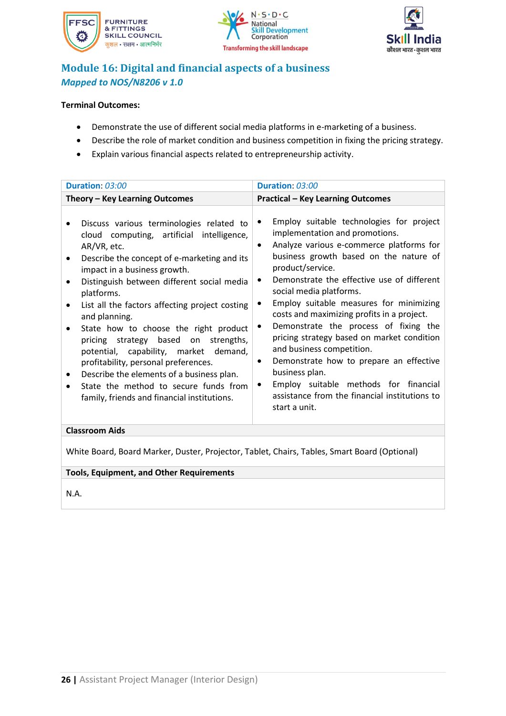





# **Module 16: Digital and financial aspects of a business** *Mapped to NOS/N8206 v 1.0*

### **Terminal Outcomes:**

- Demonstrate the use of different social media platforms in e-marketing of a business.
- Describe the role of market condition and business competition in fixing the pricing strategy.
- Explain various financial aspects related to entrepreneurship activity.

| Duration: 03:00                                                                                                                                                                                                                                                                                                                                                                                                                                                                                                                                                                                                                                     | Duration: 03:00                                                                                                                                                                                                                                                                                                                                                                                                                                                                                                                                                                                                                                                                             |
|-----------------------------------------------------------------------------------------------------------------------------------------------------------------------------------------------------------------------------------------------------------------------------------------------------------------------------------------------------------------------------------------------------------------------------------------------------------------------------------------------------------------------------------------------------------------------------------------------------------------------------------------------------|---------------------------------------------------------------------------------------------------------------------------------------------------------------------------------------------------------------------------------------------------------------------------------------------------------------------------------------------------------------------------------------------------------------------------------------------------------------------------------------------------------------------------------------------------------------------------------------------------------------------------------------------------------------------------------------------|
| Theory - Key Learning Outcomes                                                                                                                                                                                                                                                                                                                                                                                                                                                                                                                                                                                                                      | <b>Practical - Key Learning Outcomes</b>                                                                                                                                                                                                                                                                                                                                                                                                                                                                                                                                                                                                                                                    |
| Discuss various terminologies related to<br>cloud computing, artificial intelligence,<br>AR/VR, etc.<br>Describe the concept of e-marketing and its<br>impact in a business growth.<br>Distinguish between different social media<br>platforms.<br>List all the factors affecting project costing<br>$\bullet$<br>and planning.<br>State how to choose the right product<br>pricing strategy based on strengths,<br>potential, capability, market demand,<br>profitability, personal preferences.<br>Describe the elements of a business plan.<br>$\bullet$<br>State the method to secure funds from<br>family, friends and financial institutions. | Employ suitable technologies for project<br>٠<br>implementation and promotions.<br>Analyze various e-commerce platforms for<br>$\bullet$<br>business growth based on the nature of<br>product/service.<br>Demonstrate the effective use of different<br>٠<br>social media platforms.<br>Employ suitable measures for minimizing<br>costs and maximizing profits in a project.<br>Demonstrate the process of fixing the<br>$\bullet$<br>pricing strategy based on market condition<br>and business competition.<br>Demonstrate how to prepare an effective<br>٠<br>business plan.<br>Employ suitable methods for financial<br>assistance from the financial institutions to<br>start a unit. |
| <b>Classroom Aids</b>                                                                                                                                                                                                                                                                                                                                                                                                                                                                                                                                                                                                                               |                                                                                                                                                                                                                                                                                                                                                                                                                                                                                                                                                                                                                                                                                             |

White Board, Board Marker, Duster, Projector, Tablet, Chairs, Tables, Smart Board (Optional)

### **Tools, Equipment, and Other Requirements**

N.A.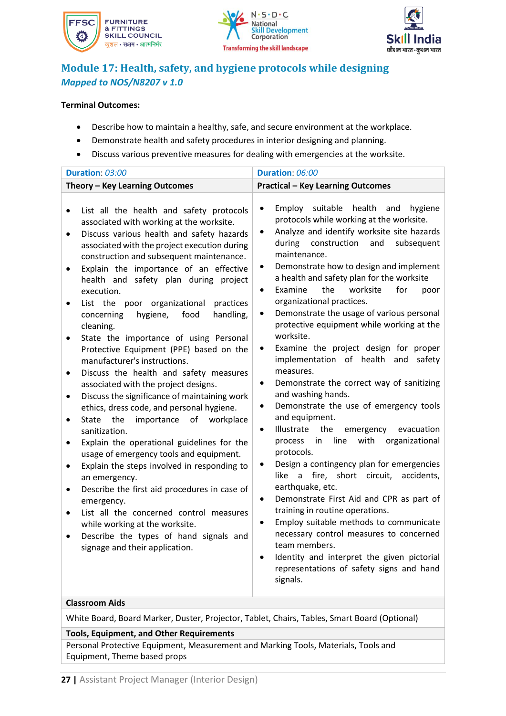





# **Module 17: Health, safety, and hygiene protocols while designing** *Mapped to NOS/N8207 v 1.0*

### **Terminal Outcomes:**

- Describe how to maintain a healthy, safe, and secure environment at the workplace.
- Demonstrate health and safety procedures in interior designing and planning.
- Discuss various preventive measures for dealing with emergencies at the worksite.

| Duration: 03:00                                                                                                                                                                                                                                                                                                                                                                                                                                                                                                                                                                                                                                                                                                                                                                                                                                                                                                                                                                                                                                                                                                                                                                                                                        | Duration: 06:00                                                                                                                                                                                                                                                                                                                                                                                                                                                                                                                                                                                                                                                                                                                                                                                                                                                                                                                                                                                                                                                                                                                                                                                                                                                                                                                             |
|----------------------------------------------------------------------------------------------------------------------------------------------------------------------------------------------------------------------------------------------------------------------------------------------------------------------------------------------------------------------------------------------------------------------------------------------------------------------------------------------------------------------------------------------------------------------------------------------------------------------------------------------------------------------------------------------------------------------------------------------------------------------------------------------------------------------------------------------------------------------------------------------------------------------------------------------------------------------------------------------------------------------------------------------------------------------------------------------------------------------------------------------------------------------------------------------------------------------------------------|---------------------------------------------------------------------------------------------------------------------------------------------------------------------------------------------------------------------------------------------------------------------------------------------------------------------------------------------------------------------------------------------------------------------------------------------------------------------------------------------------------------------------------------------------------------------------------------------------------------------------------------------------------------------------------------------------------------------------------------------------------------------------------------------------------------------------------------------------------------------------------------------------------------------------------------------------------------------------------------------------------------------------------------------------------------------------------------------------------------------------------------------------------------------------------------------------------------------------------------------------------------------------------------------------------------------------------------------|
| Theory - Key Learning Outcomes                                                                                                                                                                                                                                                                                                                                                                                                                                                                                                                                                                                                                                                                                                                                                                                                                                                                                                                                                                                                                                                                                                                                                                                                         | <b>Practical - Key Learning Outcomes</b>                                                                                                                                                                                                                                                                                                                                                                                                                                                                                                                                                                                                                                                                                                                                                                                                                                                                                                                                                                                                                                                                                                                                                                                                                                                                                                    |
| List all the health and safety protocols<br>$\bullet$<br>associated with working at the worksite.<br>Discuss various health and safety hazards<br>٠<br>associated with the project execution during<br>construction and subsequent maintenance.<br>Explain the importance of an effective<br>health and safety plan during project<br>execution.<br>List the poor organizational<br>practices<br>hygiene,<br>food<br>handling,<br>concerning<br>cleaning.<br>State the importance of using Personal<br>٠<br>Protective Equipment (PPE) based on the<br>manufacturer's instructions.<br>Discuss the health and safety measures<br>associated with the project designs.<br>Discuss the significance of maintaining work<br>ethics, dress code, and personal hygiene.<br>importance<br>of<br>the<br>workplace<br>State<br>$\bullet$<br>sanitization.<br>Explain the operational guidelines for the<br>usage of emergency tools and equipment.<br>Explain the steps involved in responding to<br>an emergency.<br>Describe the first aid procedures in case of<br>emergency.<br>List all the concerned control measures<br>٠<br>while working at the worksite.<br>Describe the types of hand signals and<br>signage and their application. | health<br>Employ<br>suitable<br>and<br>hygiene<br>$\bullet$<br>protocols while working at the worksite.<br>Analyze and identify worksite site hazards<br>$\bullet$<br>during<br>construction<br>and<br>subsequent<br>maintenance.<br>Demonstrate how to design and implement<br>a health and safety plan for the worksite<br>the<br>Examine<br>worksite<br>for<br>poor<br>organizational practices.<br>Demonstrate the usage of various personal<br>protective equipment while working at the<br>worksite.<br>Examine the project design for proper<br>٠<br>implementation of health and<br>safety<br>measures.<br>Demonstrate the correct way of sanitizing<br>٠<br>and washing hands.<br>Demonstrate the use of emergency tools<br>٠<br>and equipment.<br>Illustrate<br>the<br>emergency<br>evacuation<br>$\bullet$<br>in<br>line<br>with<br>organizational<br>process<br>protocols.<br>Design a contingency plan for emergencies<br>٠<br>like a fire, short circuit,<br>accidents,<br>earthquake, etc.<br>Demonstrate First Aid and CPR as part of<br>$\bullet$<br>training in routine operations.<br>Employ suitable methods to communicate<br>$\bullet$<br>necessary control measures to concerned<br>team members.<br>Identity and interpret the given pictorial<br>$\bullet$<br>representations of safety signs and hand<br>signals. |

### **Classroom Aids**

White Board, Board Marker, Duster, Projector, Tablet, Chairs, Tables, Smart Board (Optional)

#### **Tools, Equipment, and Other Requirements**

Personal Protective Equipment, Measurement and Marking Tools, Materials, Tools and Equipment, Theme based props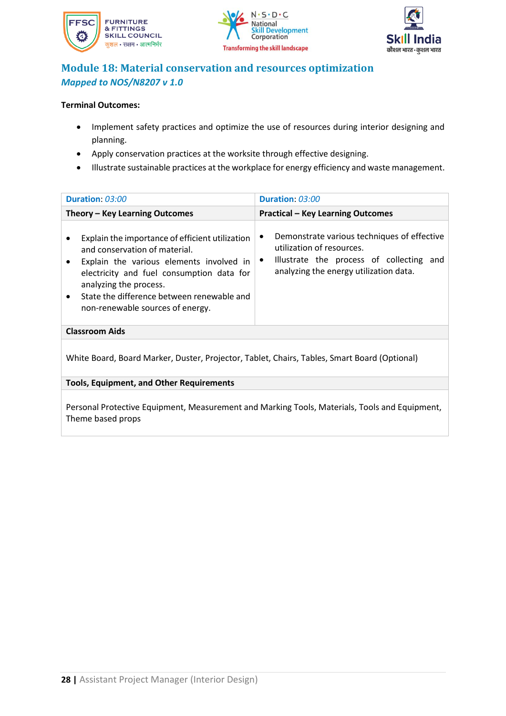





### **Module 18: Material conservation and resources optimization** *Mapped to NOS/N8207 v 1.0*

### **Terminal Outcomes:**

- Implement safety practices and optimize the use of resources during interior designing and planning.
- Apply conservation practices at the worksite through effective designing.
- Illustrate sustainable practices at the workplace for energy efficiency and waste management.

| Duration: 03:00                                                                                                                                                                                                                                                                                    | Duration: 03:00                                                                                                                                                                |  |  |
|----------------------------------------------------------------------------------------------------------------------------------------------------------------------------------------------------------------------------------------------------------------------------------------------------|--------------------------------------------------------------------------------------------------------------------------------------------------------------------------------|--|--|
| Theory - Key Learning Outcomes                                                                                                                                                                                                                                                                     | <b>Practical - Key Learning Outcomes</b>                                                                                                                                       |  |  |
| Explain the importance of efficient utilization<br>and conservation of material.<br>Explain the various elements involved in<br>electricity and fuel consumption data for<br>analyzing the process.<br>State the difference between renewable and<br>$\bullet$<br>non-renewable sources of energy. | Demonstrate various techniques of effective<br>utilization of resources.<br>Illustrate the process of collecting<br>and<br>$\bullet$<br>analyzing the energy utilization data. |  |  |
| <b>Classroom Aids</b>                                                                                                                                                                                                                                                                              |                                                                                                                                                                                |  |  |
| White Board, Board Marker, Duster, Projector, Tablet, Chairs, Tables, Smart Board (Optional)                                                                                                                                                                                                       |                                                                                                                                                                                |  |  |

**Tools, Equipment, and Other Requirements** 

Personal Protective Equipment, Measurement and Marking Tools, Materials, Tools and Equipment, Theme based props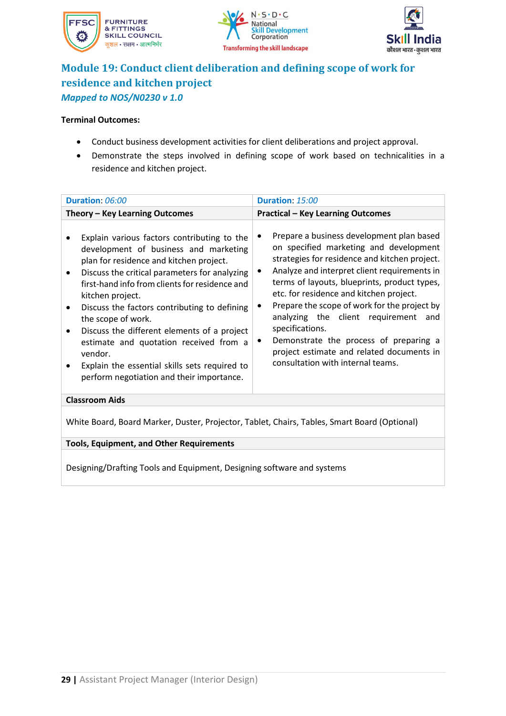





# **Module 19: Conduct client deliberation and defining scope of work for residence and kitchen project** *Mapped to NOS/N0230 v 1.0*

#### **Terminal Outcomes:**

- Conduct business development activities for client deliberations and project approval.
- Demonstrate the steps involved in defining scope of work based on technicalities in a residence and kitchen project.

|                                                                                              | Duration: 06:00                                                                                                                                                                                                                                                                                                                                                                                                                                                                                                     | Duration: 15:00                                                                                                                                                                                                                                                                                                                                                                                                                                                                                                                                    |
|----------------------------------------------------------------------------------------------|---------------------------------------------------------------------------------------------------------------------------------------------------------------------------------------------------------------------------------------------------------------------------------------------------------------------------------------------------------------------------------------------------------------------------------------------------------------------------------------------------------------------|----------------------------------------------------------------------------------------------------------------------------------------------------------------------------------------------------------------------------------------------------------------------------------------------------------------------------------------------------------------------------------------------------------------------------------------------------------------------------------------------------------------------------------------------------|
|                                                                                              | Theory - Key Learning Outcomes                                                                                                                                                                                                                                                                                                                                                                                                                                                                                      | <b>Practical - Key Learning Outcomes</b>                                                                                                                                                                                                                                                                                                                                                                                                                                                                                                           |
| ٠<br>٠<br>vendor.                                                                            | Explain various factors contributing to the<br>development of business and marketing<br>plan for residence and kitchen project.<br>Discuss the critical parameters for analyzing<br>first-hand info from clients for residence and<br>kitchen project.<br>Discuss the factors contributing to defining<br>the scope of work.<br>Discuss the different elements of a project<br>estimate and quotation received from a<br>Explain the essential skills sets required to<br>perform negotiation and their importance. | Prepare a business development plan based<br>$\bullet$<br>on specified marketing and development<br>strategies for residence and kitchen project.<br>Analyze and interpret client requirements in<br>٠<br>terms of layouts, blueprints, product types,<br>etc. for residence and kitchen project.<br>Prepare the scope of work for the project by<br>٠<br>analyzing the client requirement and<br>specifications.<br>Demonstrate the process of preparing a<br>٠<br>project estimate and related documents in<br>consultation with internal teams. |
| <b>Classroom Aids</b>                                                                        |                                                                                                                                                                                                                                                                                                                                                                                                                                                                                                                     |                                                                                                                                                                                                                                                                                                                                                                                                                                                                                                                                                    |
| White Board, Board Marker, Duster, Projector, Tablet, Chairs, Tables, Smart Board (Optional) |                                                                                                                                                                                                                                                                                                                                                                                                                                                                                                                     |                                                                                                                                                                                                                                                                                                                                                                                                                                                                                                                                                    |
| <b>Tools, Equipment, and Other Requirements</b>                                              |                                                                                                                                                                                                                                                                                                                                                                                                                                                                                                                     |                                                                                                                                                                                                                                                                                                                                                                                                                                                                                                                                                    |
| Designing/Drafting Tools and Equipment, Designing software and systems                       |                                                                                                                                                                                                                                                                                                                                                                                                                                                                                                                     |                                                                                                                                                                                                                                                                                                                                                                                                                                                                                                                                                    |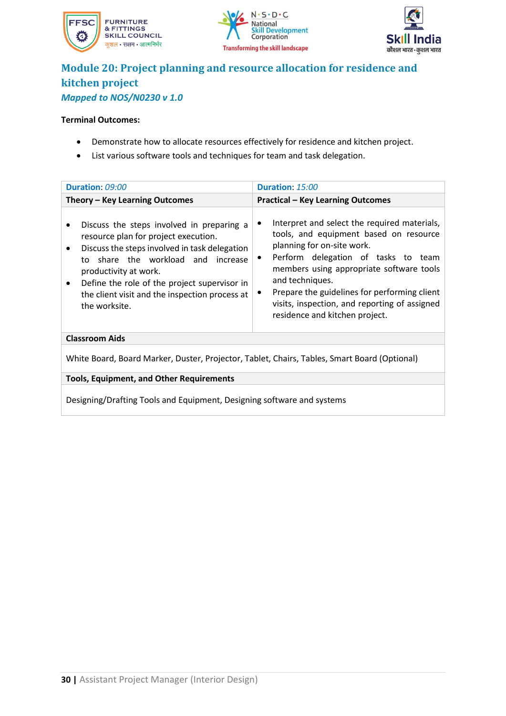





### **Module 20: Project planning and resource allocation for residence and kitchen project** *Mapped to NOS/N0230 v 1.0*

#### **Terminal Outcomes:**

- Demonstrate how to allocate resources effectively for residence and kitchen project.
- List various software tools and techniques for team and task delegation.

| Duration: 09:00                                                                                                                                                                                                                                                                                                                                                | Duration: 15:00                                                                                                                                                                                                                                                                                                                                                            |  |
|----------------------------------------------------------------------------------------------------------------------------------------------------------------------------------------------------------------------------------------------------------------------------------------------------------------------------------------------------------------|----------------------------------------------------------------------------------------------------------------------------------------------------------------------------------------------------------------------------------------------------------------------------------------------------------------------------------------------------------------------------|--|
| Theory - Key Learning Outcomes                                                                                                                                                                                                                                                                                                                                 | <b>Practical - Key Learning Outcomes</b>                                                                                                                                                                                                                                                                                                                                   |  |
| Discuss the steps involved in preparing a<br>$\bullet$<br>resource plan for project execution.<br>Discuss the steps involved in task delegation<br>$\bullet$<br>share the workload and increase<br>to<br>productivity at work.<br>Define the role of the project supervisor in<br>$\bullet$<br>the client visit and the inspection process at<br>the worksite. | Interpret and select the required materials,<br>tools, and equipment based on resource<br>planning for on-site work.<br>Perform delegation of tasks to team<br>$\bullet$<br>members using appropriate software tools<br>and techniques.<br>Prepare the guidelines for performing client<br>visits, inspection, and reporting of assigned<br>residence and kitchen project. |  |
| <b>Classroom Aids</b>                                                                                                                                                                                                                                                                                                                                          |                                                                                                                                                                                                                                                                                                                                                                            |  |
| White Board, Board Marker, Duster, Projector, Tablet, Chairs, Tables, Smart Board (Optional)                                                                                                                                                                                                                                                                   |                                                                                                                                                                                                                                                                                                                                                                            |  |
|                                                                                                                                                                                                                                                                                                                                                                |                                                                                                                                                                                                                                                                                                                                                                            |  |

**Tools, Equipment, and Other Requirements**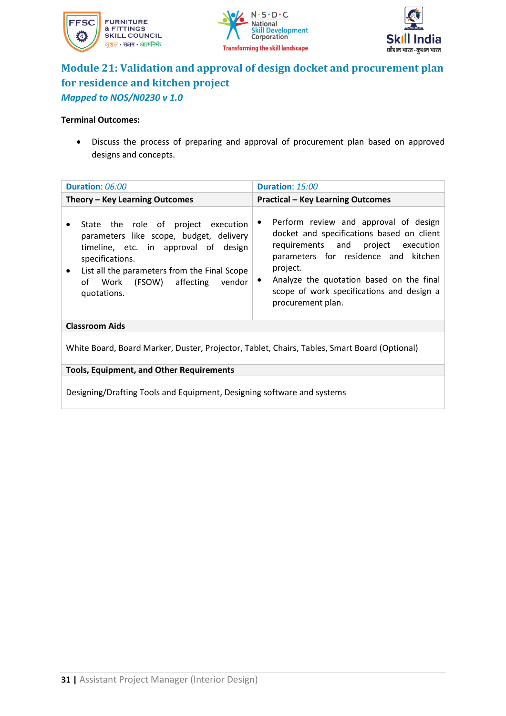





### **Module 21: Validation and approval of design docket and procurement plan for residence and kitchen project** *Mapped to NOS/N0230 v 1.0*

### **Terminal Outcomes:**

• Discuss the process of preparing and approval of procurement plan based on approved designs and concepts.

| Duration: 06:00                                                                                                                                                                                                                                          | Duration: 15:00                                                                                                                                                                                                                                                                                                         |  |
|----------------------------------------------------------------------------------------------------------------------------------------------------------------------------------------------------------------------------------------------------------|-------------------------------------------------------------------------------------------------------------------------------------------------------------------------------------------------------------------------------------------------------------------------------------------------------------------------|--|
| Theory – Key Learning Outcomes                                                                                                                                                                                                                           | <b>Practical - Key Learning Outcomes</b>                                                                                                                                                                                                                                                                                |  |
| State the role of project execution<br>parameters like scope, budget, delivery<br>timeline, etc. in approval of design<br>specifications.<br>List all the parameters from the Final Scope<br>$\bullet$<br>of Work (FSOW) affecting vendor<br>quotations. | Perform review and approval of design<br>$\bullet$<br>docket and specifications based on client<br>requirements and<br>project execution<br>parameters for residence and kitchen<br>project.<br>Analyze the quotation based on the final<br>$\bullet$<br>scope of work specifications and design a<br>procurement plan. |  |
| <b>Classroom Aids</b>                                                                                                                                                                                                                                    |                                                                                                                                                                                                                                                                                                                         |  |
| White Board, Board Marker, Duster, Projector, Tablet, Chairs, Tables, Smart Board (Optional)                                                                                                                                                             |                                                                                                                                                                                                                                                                                                                         |  |
| <b>Tools, Equipment, and Other Requirements</b>                                                                                                                                                                                                          |                                                                                                                                                                                                                                                                                                                         |  |
|                                                                                                                                                                                                                                                          |                                                                                                                                                                                                                                                                                                                         |  |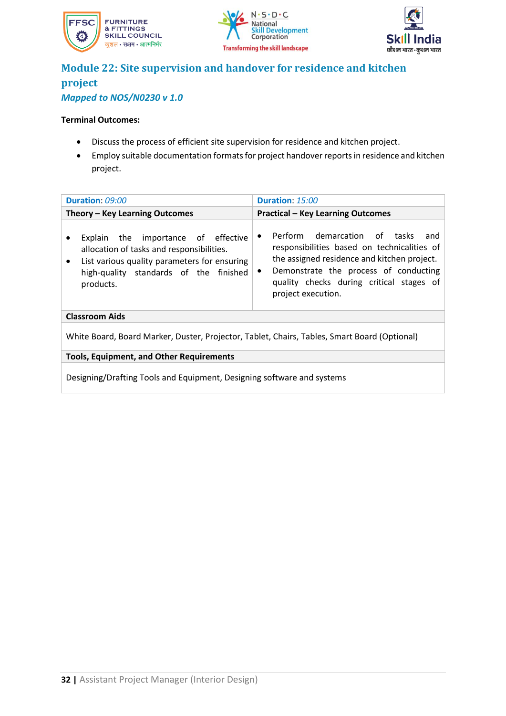





### **Module 22: Site supervision and handover for residence and kitchen project** *Mapped to NOS/N0230 v 1.0*

### **Terminal Outcomes:**

- Discuss the process of efficient site supervision for residence and kitchen project.
- Employ suitable documentation formats for project handover reports in residence and kitchen project.

| Duration: 09:00                                                                                                                                                                         | Duration: 15:00                                                                                                                                                                                                                                                        |  |
|-----------------------------------------------------------------------------------------------------------------------------------------------------------------------------------------|------------------------------------------------------------------------------------------------------------------------------------------------------------------------------------------------------------------------------------------------------------------------|--|
| Theory - Key Learning Outcomes                                                                                                                                                          | <b>Practical - Key Learning Outcomes</b>                                                                                                                                                                                                                               |  |
| Explain the importance of effective<br>allocation of tasks and responsibilities.<br>List various quality parameters for ensuring<br>high-quality standards of the finished<br>products. | Perform demarcation of tasks<br>and<br>$\bullet$<br>responsibilities based on technicalities of<br>the assigned residence and kitchen project.<br>Demonstrate the process of conducting<br>$\bullet$<br>quality checks during critical stages of<br>project execution. |  |
| <b>Classroom Aids</b>                                                                                                                                                                   |                                                                                                                                                                                                                                                                        |  |
| White Board, Board Marker, Duster, Projector, Tablet, Chairs, Tables, Smart Board (Optional)                                                                                            |                                                                                                                                                                                                                                                                        |  |
| <b>Tools, Equipment, and Other Requirements</b>                                                                                                                                         |                                                                                                                                                                                                                                                                        |  |
| Designing/Drafting Tools and Equipment, Designing software and systems                                                                                                                  |                                                                                                                                                                                                                                                                        |  |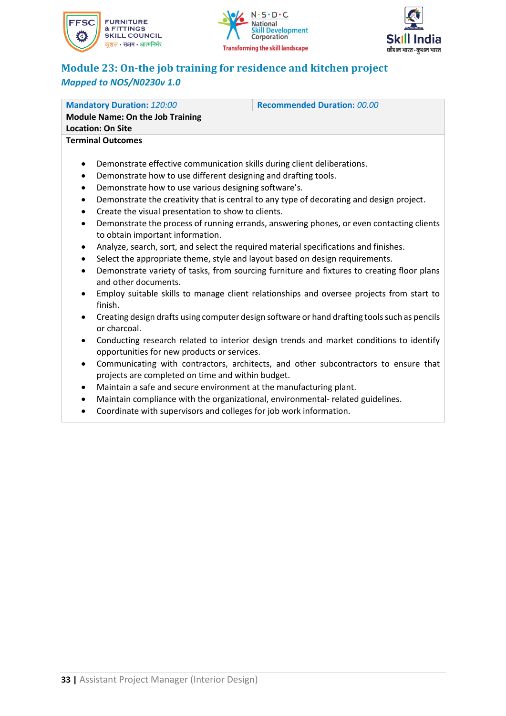





# **Module 23: On-the job training for residence and kitchen project** *Mapped to NOS/N0230v 1.0*

| <b>Mandatory Duration: 120:00</b>                                                                         | <b>Recommended Duration: 00.00</b> |  |
|-----------------------------------------------------------------------------------------------------------|------------------------------------|--|
| <b>Module Name: On the Job Training</b>                                                                   |                                    |  |
| <b>Location: On Site</b>                                                                                  |                                    |  |
| <b>Terminal Outcomes</b>                                                                                  |                                    |  |
|                                                                                                           |                                    |  |
| Demonstrate effective communication skills during client deliberations.<br>٠                              |                                    |  |
| Demonstrate how to use different designing and drafting tools.<br>٠                                       |                                    |  |
| Demonstrate how to use various designing software's.<br>$\bullet$                                         |                                    |  |
| Demonstrate the creativity that is central to any type of decorating and design project.<br>$\bullet$     |                                    |  |
| Create the visual presentation to show to clients.<br>$\bullet$                                           |                                    |  |
| Demonstrate the process of running errands, answering phones, or even contacting clients<br>$\bullet$     |                                    |  |
| to obtain important information.                                                                          |                                    |  |
| Analyze, search, sort, and select the required material specifications and finishes.<br>$\bullet$         |                                    |  |
| Select the appropriate theme, style and layout based on design requirements.<br>$\bullet$                 |                                    |  |
| Demonstrate variety of tasks, from sourcing furniture and fixtures to creating floor plans<br>$\bullet$   |                                    |  |
| and other documents.                                                                                      |                                    |  |
| Employ suitable skills to manage client relationships and oversee projects from start to<br>$\bullet$     |                                    |  |
| finish.                                                                                                   |                                    |  |
| Creating design drafts using computer design software or hand drafting tools such as pencils<br>$\bullet$ |                                    |  |
| or charcoal.                                                                                              |                                    |  |

- Conducting research related to interior design trends and market conditions to identify opportunities for new products or services.
- Communicating with contractors, architects, and other subcontractors to ensure that projects are completed on time and within budget.
- Maintain a safe and secure environment at the manufacturing plant.
- Maintain compliance with the organizational, environmental- related guidelines.
- Coordinate with supervisors and colleges for job work information.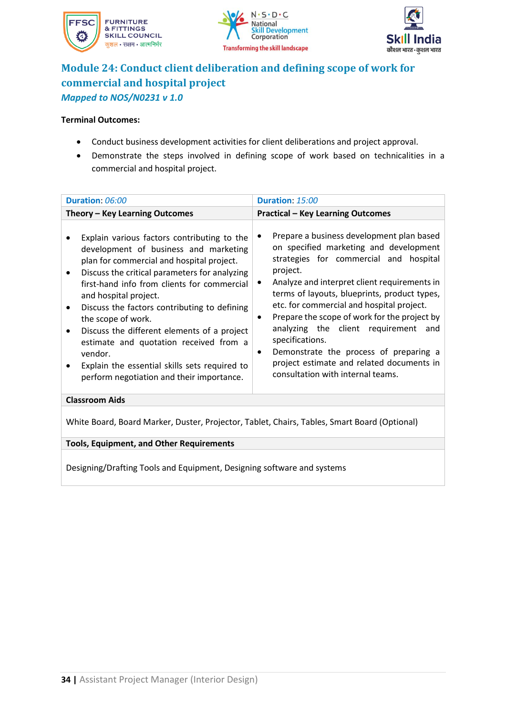





# **Module 24: Conduct client deliberation and defining scope of work for commercial and hospital project** *Mapped to NOS/N0231 v 1.0*

#### **Terminal Outcomes:**

- Conduct business development activities for client deliberations and project approval.
- Demonstrate the steps involved in defining scope of work based on technicalities in a commercial and hospital project.

| Duration: 06:00                                                                                                                                                                                                                                                                                                                                                                                                                                                                                                                         | Duration: 15:00                                                                                                                                                                                                                                                                                                                                                                                                                                                                                                                                 |  |
|-----------------------------------------------------------------------------------------------------------------------------------------------------------------------------------------------------------------------------------------------------------------------------------------------------------------------------------------------------------------------------------------------------------------------------------------------------------------------------------------------------------------------------------------|-------------------------------------------------------------------------------------------------------------------------------------------------------------------------------------------------------------------------------------------------------------------------------------------------------------------------------------------------------------------------------------------------------------------------------------------------------------------------------------------------------------------------------------------------|--|
|                                                                                                                                                                                                                                                                                                                                                                                                                                                                                                                                         |                                                                                                                                                                                                                                                                                                                                                                                                                                                                                                                                                 |  |
| Theory - Key Learning Outcomes                                                                                                                                                                                                                                                                                                                                                                                                                                                                                                          | <b>Practical - Key Learning Outcomes</b>                                                                                                                                                                                                                                                                                                                                                                                                                                                                                                        |  |
| Explain various factors contributing to the<br>development of business and marketing<br>plan for commercial and hospital project.<br>Discuss the critical parameters for analyzing<br>first-hand info from clients for commercial<br>and hospital project.<br>Discuss the factors contributing to defining<br>٠<br>the scope of work.<br>Discuss the different elements of a project<br>estimate and quotation received from a<br>vendor.<br>Explain the essential skills sets required to<br>perform negotiation and their importance. | Prepare a business development plan based<br>on specified marketing and development<br>strategies for commercial and hospital<br>project.<br>Analyze and interpret client requirements in<br>terms of layouts, blueprints, product types,<br>etc. for commercial and hospital project.<br>Prepare the scope of work for the project by<br>٠<br>analyzing the client requirement and<br>specifications.<br>Demonstrate the process of preparing a<br>$\bullet$<br>project estimate and related documents in<br>consultation with internal teams. |  |
| <b>Classroom Aids</b>                                                                                                                                                                                                                                                                                                                                                                                                                                                                                                                   |                                                                                                                                                                                                                                                                                                                                                                                                                                                                                                                                                 |  |
| White Board, Board Marker, Duster, Projector, Tablet, Chairs, Tables, Smart Board (Optional)                                                                                                                                                                                                                                                                                                                                                                                                                                            |                                                                                                                                                                                                                                                                                                                                                                                                                                                                                                                                                 |  |
| <b>Tools, Equipment, and Other Requirements</b>                                                                                                                                                                                                                                                                                                                                                                                                                                                                                         |                                                                                                                                                                                                                                                                                                                                                                                                                                                                                                                                                 |  |
|                                                                                                                                                                                                                                                                                                                                                                                                                                                                                                                                         |                                                                                                                                                                                                                                                                                                                                                                                                                                                                                                                                                 |  |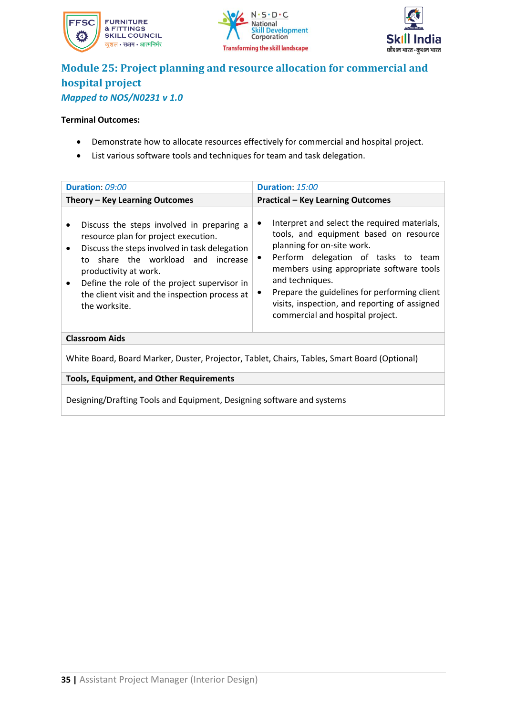





### **Module 25: Project planning and resource allocation for commercial and hospital project** *Mapped to NOS/N0231 v 1.0*

#### **Terminal Outcomes:**

- Demonstrate how to allocate resources effectively for commercial and hospital project.
- List various software tools and techniques for team and task delegation.

| Duration: 09:00                                                                                                                                                                                                                                                                                                                                             | Duration: 15:00                                                                                                                                                                                                                                                                                                                                                                   |
|-------------------------------------------------------------------------------------------------------------------------------------------------------------------------------------------------------------------------------------------------------------------------------------------------------------------------------------------------------------|-----------------------------------------------------------------------------------------------------------------------------------------------------------------------------------------------------------------------------------------------------------------------------------------------------------------------------------------------------------------------------------|
| Theory - Key Learning Outcomes                                                                                                                                                                                                                                                                                                                              | <b>Practical - Key Learning Outcomes</b>                                                                                                                                                                                                                                                                                                                                          |
| Discuss the steps involved in preparing a<br>$\bullet$<br>resource plan for project execution.<br>Discuss the steps involved in task delegation<br>$\bullet$<br>to share the workload and increase<br>productivity at work.<br>Define the role of the project supervisor in<br>$\bullet$<br>the client visit and the inspection process at<br>the worksite. | Interpret and select the required materials,<br>٠<br>tools, and equipment based on resource<br>planning for on-site work.<br>Perform delegation of tasks to team<br>$\bullet$<br>members using appropriate software tools<br>and techniques.<br>Prepare the guidelines for performing client<br>visits, inspection, and reporting of assigned<br>commercial and hospital project. |
| <b>Classroom Aids</b>                                                                                                                                                                                                                                                                                                                                       |                                                                                                                                                                                                                                                                                                                                                                                   |
| White Board, Board Marker, Duster, Projector, Tablet, Chairs, Tables, Smart Board (Optional)                                                                                                                                                                                                                                                                |                                                                                                                                                                                                                                                                                                                                                                                   |
|                                                                                                                                                                                                                                                                                                                                                             |                                                                                                                                                                                                                                                                                                                                                                                   |

**Tools, Equipment, and Other Requirements**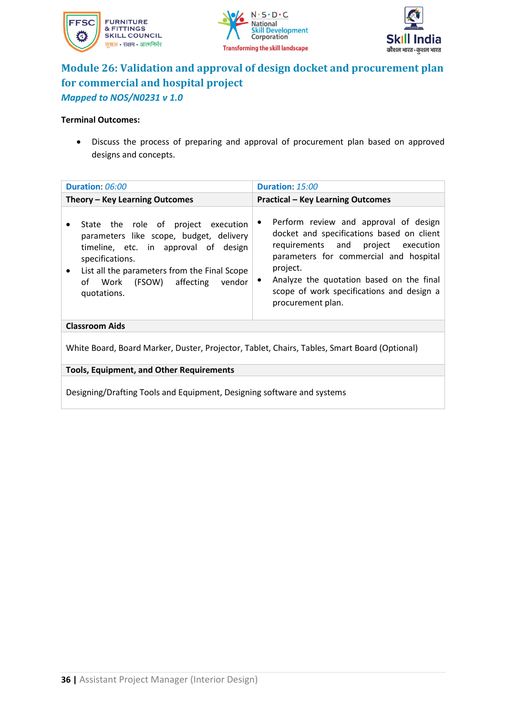





# **Module 26: Validation and approval of design docket and procurement plan for commercial and hospital project** *Mapped to NOS/N0231 v 1.0*

### **Terminal Outcomes:**

• Discuss the process of preparing and approval of procurement plan based on approved designs and concepts.

| Duration: 06:00                                                                                                                                                                                                                                          | Duration: 15:00                                                                                                                                                                                                                                                                                                |  |
|----------------------------------------------------------------------------------------------------------------------------------------------------------------------------------------------------------------------------------------------------------|----------------------------------------------------------------------------------------------------------------------------------------------------------------------------------------------------------------------------------------------------------------------------------------------------------------|--|
| Theory - Key Learning Outcomes                                                                                                                                                                                                                           | <b>Practical - Key Learning Outcomes</b>                                                                                                                                                                                                                                                                       |  |
| State the role of project execution<br>parameters like scope, budget, delivery<br>timeline, etc. in approval of design<br>specifications.<br>List all the parameters from the Final Scope<br>$\bullet$<br>of Work (FSOW) affecting vendor<br>quotations. | Perform review and approval of design<br>٠<br>docket and specifications based on client<br>requirements and project execution<br>parameters for commercial and hospital<br>project.<br>Analyze the quotation based on the final<br>$\bullet$<br>scope of work specifications and design a<br>procurement plan. |  |
| <b>Classroom Aids</b>                                                                                                                                                                                                                                    |                                                                                                                                                                                                                                                                                                                |  |
| White Board, Board Marker, Duster, Projector, Tablet, Chairs, Tables, Smart Board (Optional)                                                                                                                                                             |                                                                                                                                                                                                                                                                                                                |  |
| <b>Tools, Equipment, and Other Requirements</b>                                                                                                                                                                                                          |                                                                                                                                                                                                                                                                                                                |  |
|                                                                                                                                                                                                                                                          |                                                                                                                                                                                                                                                                                                                |  |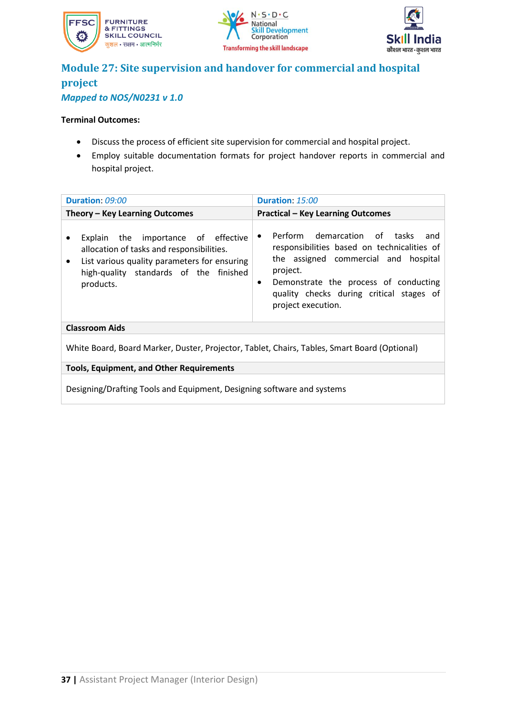





### **Module 27: Site supervision and handover for commercial and hospital project** *Mapped to NOS/N0231 v 1.0*

### **Terminal Outcomes:**

- Discuss the process of efficient site supervision for commercial and hospital project.
- Employ suitable documentation formats for project handover reports in commercial and hospital project.

| Duration: 09:00                                                                                                                                                                                      | Duration: 15:00                                                                                                                                                                                                                                                             |  |
|------------------------------------------------------------------------------------------------------------------------------------------------------------------------------------------------------|-----------------------------------------------------------------------------------------------------------------------------------------------------------------------------------------------------------------------------------------------------------------------------|--|
| Theory - Key Learning Outcomes                                                                                                                                                                       | <b>Practical - Key Learning Outcomes</b>                                                                                                                                                                                                                                    |  |
| Explain the importance of effective<br>allocation of tasks and responsibilities.<br>List various quality parameters for ensuring<br>$\bullet$<br>high-quality standards of the finished<br>products. | Perform demarcation of tasks<br>and<br>$\bullet$<br>responsibilities based on technicalities of<br>the assigned commercial and hospital<br>project.<br>Demonstrate the process of conducting<br>$\bullet$<br>quality checks during critical stages of<br>project execution. |  |
| <b>Classroom Aids</b>                                                                                                                                                                                |                                                                                                                                                                                                                                                                             |  |
| White Board, Board Marker, Duster, Projector, Tablet, Chairs, Tables, Smart Board (Optional)                                                                                                         |                                                                                                                                                                                                                                                                             |  |
| <b>Tools, Equipment, and Other Requirements</b>                                                                                                                                                      |                                                                                                                                                                                                                                                                             |  |
| Designing/Drafting Tools and Equipment, Designing software and systems                                                                                                                               |                                                                                                                                                                                                                                                                             |  |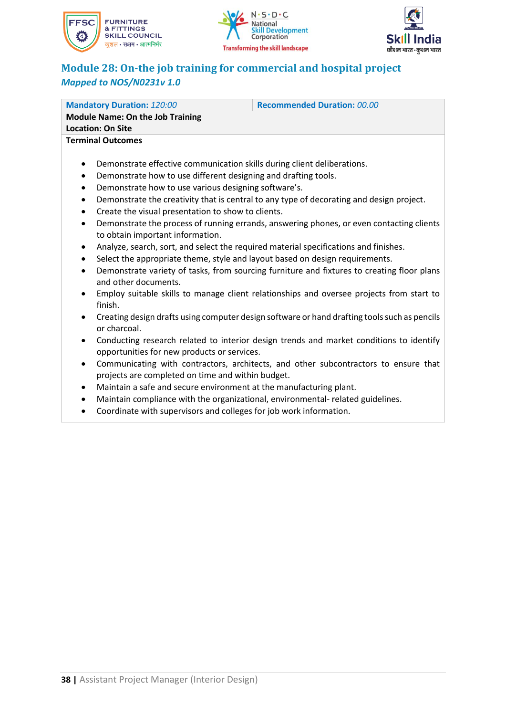





# **Module 28: On-the job training for commercial and hospital project** *Mapped to NOS/N0231v 1.0*

| <b>Mandatory Duration: 120:00</b>                                                                       | <b>Recommended Duration: 00.00</b>                                                            |  |
|---------------------------------------------------------------------------------------------------------|-----------------------------------------------------------------------------------------------|--|
| <b>Module Name: On the Job Training</b>                                                                 |                                                                                               |  |
| <b>Location: On Site</b>                                                                                |                                                                                               |  |
| <b>Terminal Outcomes</b>                                                                                |                                                                                               |  |
|                                                                                                         |                                                                                               |  |
| ٠                                                                                                       | Demonstrate effective communication skills during client deliberations.                       |  |
| Demonstrate how to use different designing and drafting tools.<br>٠                                     |                                                                                               |  |
| Demonstrate how to use various designing software's.<br>$\bullet$                                       |                                                                                               |  |
| Demonstrate the creativity that is central to any type of decorating and design project.<br>٠           |                                                                                               |  |
| Create the visual presentation to show to clients.<br>٠                                                 |                                                                                               |  |
| Demonstrate the process of running errands, answering phones, or even contacting clients<br>$\bullet$   |                                                                                               |  |
| to obtain important information.                                                                        |                                                                                               |  |
| Analyze, search, sort, and select the required material specifications and finishes.<br>٠               |                                                                                               |  |
| Select the appropriate theme, style and layout based on design requirements.<br>$\bullet$               |                                                                                               |  |
| Demonstrate variety of tasks, from sourcing furniture and fixtures to creating floor plans<br>$\bullet$ |                                                                                               |  |
| and other documents.                                                                                    |                                                                                               |  |
| Employ suitable skills to manage client relationships and oversee projects from start to<br>$\bullet$   |                                                                                               |  |
| finish.                                                                                                 |                                                                                               |  |
|                                                                                                         | Creating decign drafts using computer decign software or hand drafting tools such as negative |  |

- Creating design drafts using computer design software or hand drafting tools such as pencils or charcoal.
- Conducting research related to interior design trends and market conditions to identify opportunities for new products or services.
- Communicating with contractors, architects, and other subcontractors to ensure that projects are completed on time and within budget.
- Maintain a safe and secure environment at the manufacturing plant.
- Maintain compliance with the organizational, environmental- related guidelines.
- Coordinate with supervisors and colleges for job work information.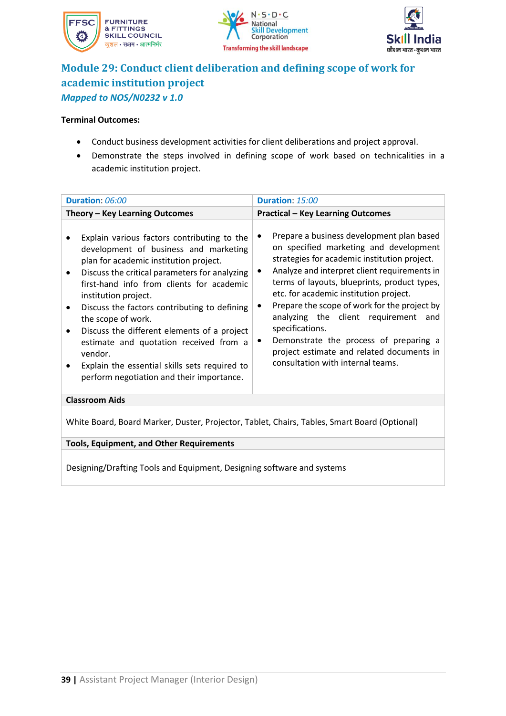





# **Module 29: Conduct client deliberation and defining scope of work for academic institution project** *Mapped to NOS/N0232 v 1.0*

#### **Terminal Outcomes:**

- Conduct business development activities for client deliberations and project approval.
- Demonstrate the steps involved in defining scope of work based on technicalities in a academic institution project.

| Duration: 06:00                                                                                                                                                                                                                                                                                                                                                                                                                                                                                                                        |  | Duration: 15:00                                                                                                                                                                                                                                                                                                                                                                                                                                                                                                                             |
|----------------------------------------------------------------------------------------------------------------------------------------------------------------------------------------------------------------------------------------------------------------------------------------------------------------------------------------------------------------------------------------------------------------------------------------------------------------------------------------------------------------------------------------|--|---------------------------------------------------------------------------------------------------------------------------------------------------------------------------------------------------------------------------------------------------------------------------------------------------------------------------------------------------------------------------------------------------------------------------------------------------------------------------------------------------------------------------------------------|
| Theory - Key Learning Outcomes                                                                                                                                                                                                                                                                                                                                                                                                                                                                                                         |  | <b>Practical - Key Learning Outcomes</b>                                                                                                                                                                                                                                                                                                                                                                                                                                                                                                    |
| Explain various factors contributing to the<br>development of business and marketing<br>plan for academic institution project.<br>Discuss the critical parameters for analyzing<br>٠<br>first-hand info from clients for academic<br>institution project.<br>Discuss the factors contributing to defining<br>٠<br>the scope of work.<br>Discuss the different elements of a project<br>estimate and quotation received from a<br>vendor.<br>Explain the essential skills sets required to<br>perform negotiation and their importance. |  | Prepare a business development plan based<br>$\bullet$<br>on specified marketing and development<br>strategies for academic institution project.<br>Analyze and interpret client requirements in<br>٠<br>terms of layouts, blueprints, product types,<br>etc. for academic institution project.<br>Prepare the scope of work for the project by<br>analyzing the client requirement and<br>specifications.<br>Demonstrate the process of preparing a<br>٠<br>project estimate and related documents in<br>consultation with internal teams. |
| <b>Classroom Aids</b>                                                                                                                                                                                                                                                                                                                                                                                                                                                                                                                  |  |                                                                                                                                                                                                                                                                                                                                                                                                                                                                                                                                             |
| White Board, Board Marker, Duster, Projector, Tablet, Chairs, Tables, Smart Board (Optional)                                                                                                                                                                                                                                                                                                                                                                                                                                           |  |                                                                                                                                                                                                                                                                                                                                                                                                                                                                                                                                             |
| <b>Tools, Equipment, and Other Requirements</b>                                                                                                                                                                                                                                                                                                                                                                                                                                                                                        |  |                                                                                                                                                                                                                                                                                                                                                                                                                                                                                                                                             |
| Designing/Drafting Tools and Equipment, Designing software and systems                                                                                                                                                                                                                                                                                                                                                                                                                                                                 |  |                                                                                                                                                                                                                                                                                                                                                                                                                                                                                                                                             |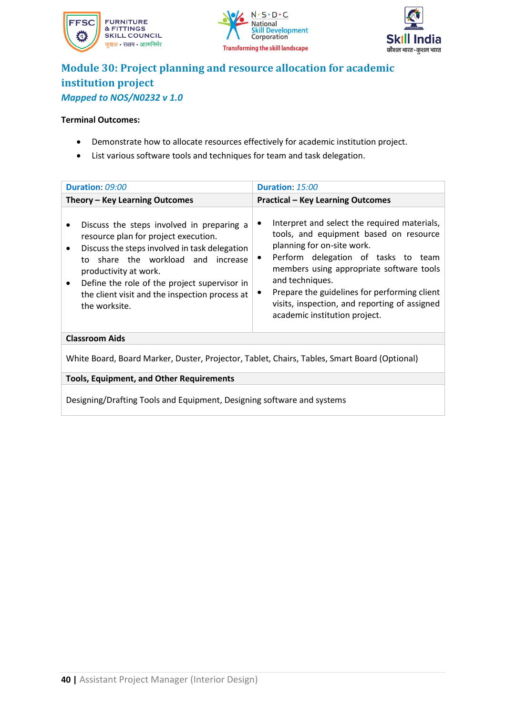





## **Module 30: Project planning and resource allocation for academic institution project** *Mapped to NOS/N0232 v 1.0*

### **Terminal Outcomes:**

- Demonstrate how to allocate resources effectively for academic institution project.
- List various software tools and techniques for team and task delegation.

| Duration: 09:00                                                                                                                                                                                                                                                                                                      | Duration: 15:00                                                                                                                                                                                                                                                                                                                                                                |  |
|----------------------------------------------------------------------------------------------------------------------------------------------------------------------------------------------------------------------------------------------------------------------------------------------------------------------|--------------------------------------------------------------------------------------------------------------------------------------------------------------------------------------------------------------------------------------------------------------------------------------------------------------------------------------------------------------------------------|--|
| Theory - Key Learning Outcomes                                                                                                                                                                                                                                                                                       | <b>Practical - Key Learning Outcomes</b>                                                                                                                                                                                                                                                                                                                                       |  |
| Discuss the steps involved in preparing a<br>resource plan for project execution.<br>Discuss the steps involved in task delegation<br>to share the workload and increase<br>productivity at work.<br>Define the role of the project supervisor in<br>the client visit and the inspection process at<br>the worksite. | Interpret and select the required materials,<br>٠<br>tools, and equipment based on resource<br>planning for on-site work.<br>Perform delegation of tasks to team<br>$\bullet$<br>members using appropriate software tools<br>and techniques.<br>Prepare the guidelines for performing client<br>visits, inspection, and reporting of assigned<br>academic institution project. |  |
| <b>Classroom Aids</b>                                                                                                                                                                                                                                                                                                |                                                                                                                                                                                                                                                                                                                                                                                |  |
| White Board, Board Marker, Duster, Projector, Tablet, Chairs, Tables, Smart Board (Optional)                                                                                                                                                                                                                         |                                                                                                                                                                                                                                                                                                                                                                                |  |
| <b>Tools, Equipment, and Other Requirements</b>                                                                                                                                                                                                                                                                      |                                                                                                                                                                                                                                                                                                                                                                                |  |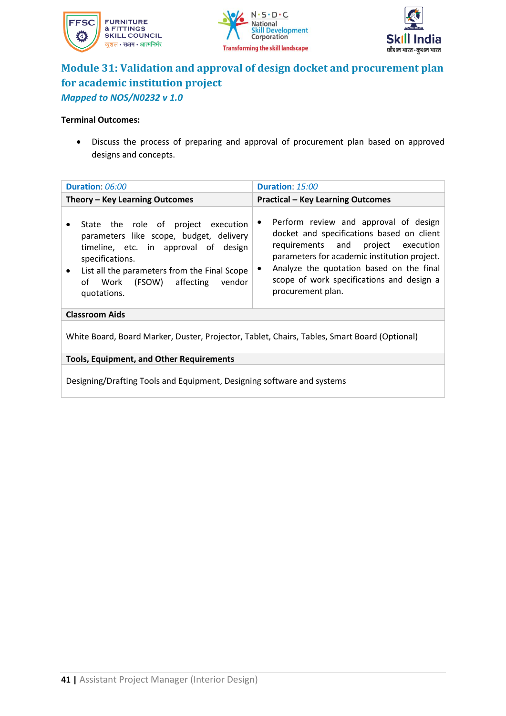





### **Module 31: Validation and approval of design docket and procurement plan for academic institution project** *Mapped to NOS/N0232 v 1.0*

### **Terminal Outcomes:**

• Discuss the process of preparing and approval of procurement plan based on approved designs and concepts.

| Duration: 06:00                                                                                                                                                                                                                                               | <b>Duration: 15:00</b>                                                                                                                                                                                                                                                                                           |  |
|---------------------------------------------------------------------------------------------------------------------------------------------------------------------------------------------------------------------------------------------------------------|------------------------------------------------------------------------------------------------------------------------------------------------------------------------------------------------------------------------------------------------------------------------------------------------------------------|--|
| Theory – Key Learning Outcomes<br><b>Practical - Key Learning Outcomes</b>                                                                                                                                                                                    |                                                                                                                                                                                                                                                                                                                  |  |
| State the role of project execution<br>٠<br>parameters like scope, budget, delivery<br>timeline, etc. in approval of design<br>specifications.<br>List all the parameters from the Final Scope<br>$\bullet$<br>of Work (FSOW) affecting vendor<br>quotations. | Perform review and approval of design<br>$\bullet$<br>docket and specifications based on client<br>requirements and project execution<br>parameters for academic institution project.<br>Analyze the quotation based on the final<br>$\bullet$<br>scope of work specifications and design a<br>procurement plan. |  |
| <b>Classroom Aids</b>                                                                                                                                                                                                                                         |                                                                                                                                                                                                                                                                                                                  |  |
| White Board, Board Marker, Duster, Projector, Tablet, Chairs, Tables, Smart Board (Optional)                                                                                                                                                                  |                                                                                                                                                                                                                                                                                                                  |  |
| <b>Tools, Equipment, and Other Requirements</b>                                                                                                                                                                                                               |                                                                                                                                                                                                                                                                                                                  |  |
| Designing/Drafting Tools and Equipment, Designing software and systems                                                                                                                                                                                        |                                                                                                                                                                                                                                                                                                                  |  |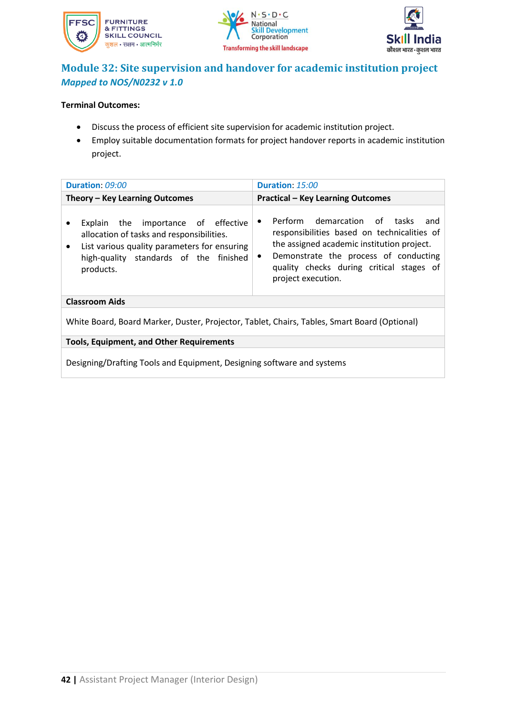





### **Module 32: Site supervision and handover for academic institution project** *Mapped to NOS/N0232 v 1.0*

### **Terminal Outcomes:**

- Discuss the process of efficient site supervision for academic institution project.
- Employ suitable documentation formats for project handover reports in academic institution project.

| Duration: 09:00                                                                                                                                                                                      | Duration: 15:00                                                                                                                                                                                                                                                       |  |
|------------------------------------------------------------------------------------------------------------------------------------------------------------------------------------------------------|-----------------------------------------------------------------------------------------------------------------------------------------------------------------------------------------------------------------------------------------------------------------------|--|
| Theory - Key Learning Outcomes                                                                                                                                                                       | <b>Practical - Key Learning Outcomes</b>                                                                                                                                                                                                                              |  |
| Explain the importance of effective<br>allocation of tasks and responsibilities.<br>List various quality parameters for ensuring<br>$\bullet$<br>high-quality standards of the finished<br>products. | Perform demarcation of tasks<br>and<br>$\bullet$<br>responsibilities based on technicalities of<br>the assigned academic institution project.<br>Demonstrate the process of conducting<br>$\bullet$<br>quality checks during critical stages of<br>project execution. |  |
| <b>Classroom Aids</b>                                                                                                                                                                                |                                                                                                                                                                                                                                                                       |  |
| White Board, Board Marker, Duster, Projector, Tablet, Chairs, Tables, Smart Board (Optional)                                                                                                         |                                                                                                                                                                                                                                                                       |  |
| <b>Tools, Equipment, and Other Requirements</b>                                                                                                                                                      |                                                                                                                                                                                                                                                                       |  |
| Designing/Drafting Tools and Equipment, Designing software and systems                                                                                                                               |                                                                                                                                                                                                                                                                       |  |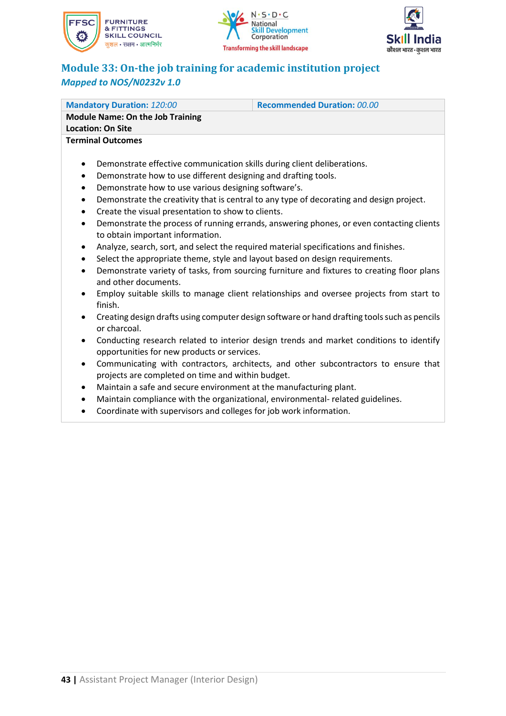





# **Module 33: On-the job training for academic institution project** *Mapped to NOS/N0232v 1.0*

| <b>Mandatory Duration: 120:00</b>                                                                     | <b>Recommended Duration: 00.00</b> |  |
|-------------------------------------------------------------------------------------------------------|------------------------------------|--|
| <b>Module Name: On the Job Training</b>                                                               |                                    |  |
| <b>Location: On Site</b>                                                                              |                                    |  |
| <b>Terminal Outcomes</b>                                                                              |                                    |  |
|                                                                                                       |                                    |  |
| Demonstrate effective communication skills during client deliberations.<br>$\bullet$                  |                                    |  |
| Demonstrate how to use different designing and drafting tools.<br>$\bullet$                           |                                    |  |
| Demonstrate how to use various designing software's.<br>$\bullet$                                     |                                    |  |
| Demonstrate the creativity that is central to any type of decorating and design project.<br>$\bullet$ |                                    |  |

- Create the visual presentation to show to clients.
- Demonstrate the process of running errands, answering phones, or even contacting clients to obtain important information.
- Analyze, search, sort, and select the required material specifications and finishes.
- Select the appropriate theme, style and layout based on design requirements.
- Demonstrate variety of tasks, from sourcing furniture and fixtures to creating floor plans and other documents.
- Employ suitable skills to manage client relationships and oversee projects from start to finish.
- Creating design drafts using computer design software or hand drafting tools such as pencils or charcoal.
- Conducting research related to interior design trends and market conditions to identify opportunities for new products or services.
- Communicating with contractors, architects, and other subcontractors to ensure that projects are completed on time and within budget.
- Maintain a safe and secure environment at the manufacturing plant.
- Maintain compliance with the organizational, environmental- related guidelines.
- Coordinate with supervisors and colleges for job work information.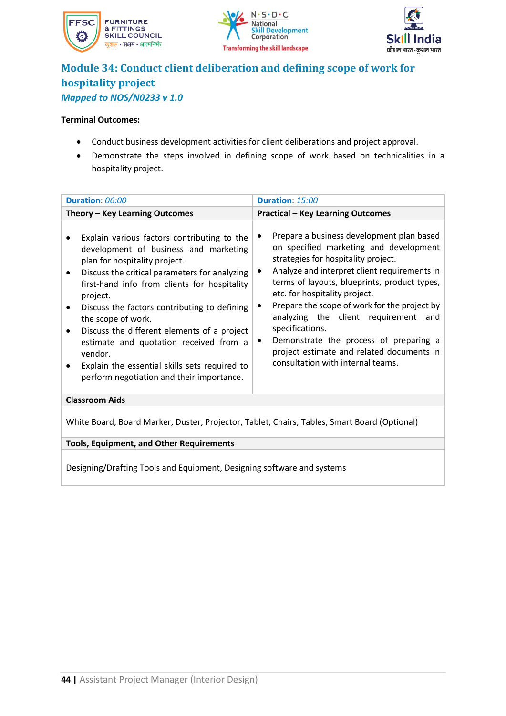





## **Module 34: Conduct client deliberation and defining scope of work for hospitality project** *Mapped to NOS/N0233 v 1.0*

#### **Terminal Outcomes:**

- Conduct business development activities for client deliberations and project approval.
- Demonstrate the steps involved in defining scope of work based on technicalities in a hospitality project.

| Duration: 06:00                                                                                                                                                                                                                                                                                                                                                                                                                                                                                                 | Duration: 15:00                                                                                                                                                                                                                                                                                                                                                                                                                                                                                         |  |
|-----------------------------------------------------------------------------------------------------------------------------------------------------------------------------------------------------------------------------------------------------------------------------------------------------------------------------------------------------------------------------------------------------------------------------------------------------------------------------------------------------------------|---------------------------------------------------------------------------------------------------------------------------------------------------------------------------------------------------------------------------------------------------------------------------------------------------------------------------------------------------------------------------------------------------------------------------------------------------------------------------------------------------------|--|
| Theory - Key Learning Outcomes                                                                                                                                                                                                                                                                                                                                                                                                                                                                                  | <b>Practical - Key Learning Outcomes</b>                                                                                                                                                                                                                                                                                                                                                                                                                                                                |  |
| Explain various factors contributing to the<br>development of business and marketing<br>plan for hospitality project.<br>Discuss the critical parameters for analyzing<br>٠<br>first-hand info from clients for hospitality<br>project.<br>Discuss the factors contributing to defining<br>the scope of work.<br>Discuss the different elements of a project<br>estimate and quotation received from a<br>vendor.<br>Explain the essential skills sets required to<br>perform negotiation and their importance. | Prepare a business development plan based<br>on specified marketing and development<br>strategies for hospitality project.<br>Analyze and interpret client requirements in<br>terms of layouts, blueprints, product types,<br>etc. for hospitality project.<br>Prepare the scope of work for the project by<br>analyzing the client requirement and<br>specifications.<br>Demonstrate the process of preparing a<br>٠<br>project estimate and related documents in<br>consultation with internal teams. |  |
| <b>Classroom Aids</b>                                                                                                                                                                                                                                                                                                                                                                                                                                                                                           |                                                                                                                                                                                                                                                                                                                                                                                                                                                                                                         |  |
| White Board, Board Marker, Duster, Projector, Tablet, Chairs, Tables, Smart Board (Optional)                                                                                                                                                                                                                                                                                                                                                                                                                    |                                                                                                                                                                                                                                                                                                                                                                                                                                                                                                         |  |
| <b>Tools, Equipment, and Other Requirements</b>                                                                                                                                                                                                                                                                                                                                                                                                                                                                 |                                                                                                                                                                                                                                                                                                                                                                                                                                                                                                         |  |
|                                                                                                                                                                                                                                                                                                                                                                                                                                                                                                                 |                                                                                                                                                                                                                                                                                                                                                                                                                                                                                                         |  |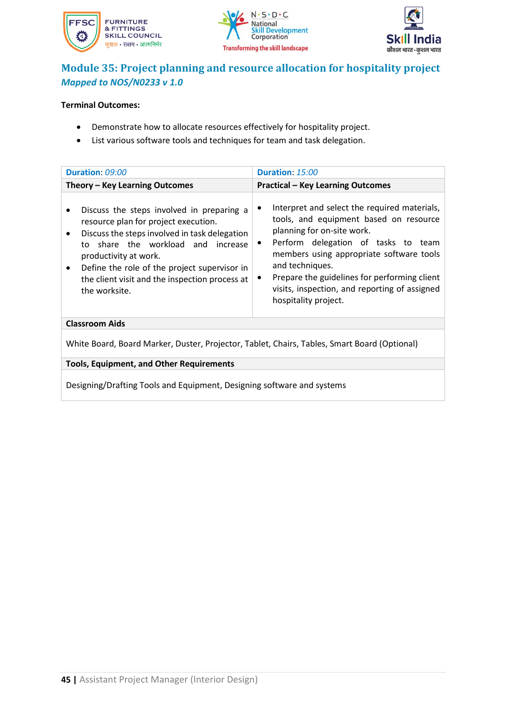





### **Module 35: Project planning and resource allocation for hospitality project** *Mapped to NOS/N0233 v 1.0*

### **Terminal Outcomes:**

- Demonstrate how to allocate resources effectively for hospitality project.
- List various software tools and techniques for team and task delegation.

| Duration: 09:00                                                                                                                                                                                                                                                                                                                                             | Duration: 15:00                                                                                                                                                                                                                                                                                                                                          |
|-------------------------------------------------------------------------------------------------------------------------------------------------------------------------------------------------------------------------------------------------------------------------------------------------------------------------------------------------------------|----------------------------------------------------------------------------------------------------------------------------------------------------------------------------------------------------------------------------------------------------------------------------------------------------------------------------------------------------------|
| Theory - Key Learning Outcomes                                                                                                                                                                                                                                                                                                                              | <b>Practical - Key Learning Outcomes</b>                                                                                                                                                                                                                                                                                                                 |
| Discuss the steps involved in preparing a<br>$\bullet$<br>resource plan for project execution.<br>Discuss the steps involved in task delegation<br>$\bullet$<br>to share the workload and increase<br>productivity at work.<br>Define the role of the project supervisor in<br>$\bullet$<br>the client visit and the inspection process at<br>the worksite. | Interpret and select the required materials,<br>tools, and equipment based on resource<br>planning for on-site work.<br>Perform delegation of tasks to team<br>٠<br>members using appropriate software tools<br>and techniques.<br>Prepare the guidelines for performing client<br>visits, inspection, and reporting of assigned<br>hospitality project. |
| <b>Classroom Aids</b>                                                                                                                                                                                                                                                                                                                                       |                                                                                                                                                                                                                                                                                                                                                          |
| White Board, Board Marker, Duster, Projector, Tablet, Chairs, Tables, Smart Board (Optional)                                                                                                                                                                                                                                                                |                                                                                                                                                                                                                                                                                                                                                          |

**Tools, Equipment, and Other Requirements**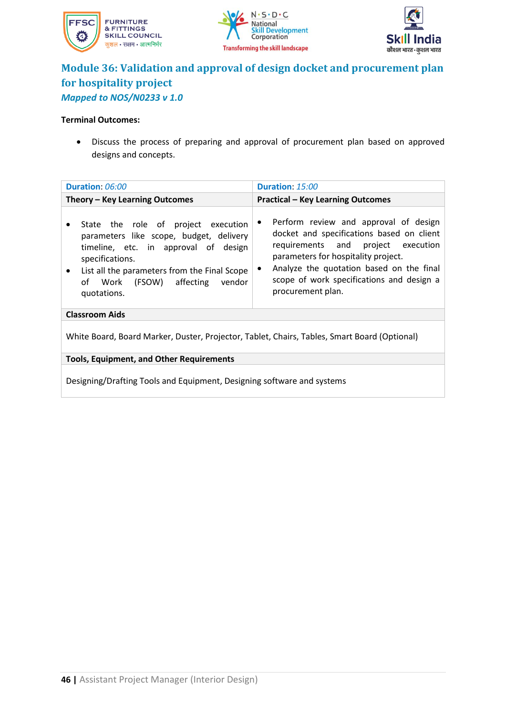





### **Module 36: Validation and approval of design docket and procurement plan for hospitality project** *Mapped to NOS/N0233 v 1.0*

### **Terminal Outcomes:**

• Discuss the process of preparing and approval of procurement plan based on approved designs and concepts.

| Duration: 06:00                                                                                                                                                                                                                                             | Duration: 15:00                                                                                                                                                                                                                                                                                         |  |  |  |
|-------------------------------------------------------------------------------------------------------------------------------------------------------------------------------------------------------------------------------------------------------------|---------------------------------------------------------------------------------------------------------------------------------------------------------------------------------------------------------------------------------------------------------------------------------------------------------|--|--|--|
| Theory - Key Learning Outcomes                                                                                                                                                                                                                              | <b>Practical - Key Learning Outcomes</b>                                                                                                                                                                                                                                                                |  |  |  |
| State the role of project execution<br>parameters like scope, budget, delivery<br>timeline, etc. in approval of design<br>specifications.<br>List all the parameters from the Final Scope<br>$\bullet$<br>affecting vendor<br>of Work (FSOW)<br>quotations. | Perform review and approval of design<br>$\bullet$<br>docket and specifications based on client<br>requirements and project execution<br>parameters for hospitality project.<br>Analyze the quotation based on the final<br>$\bullet$<br>scope of work specifications and design a<br>procurement plan. |  |  |  |
| <b>Classroom Aids</b>                                                                                                                                                                                                                                       |                                                                                                                                                                                                                                                                                                         |  |  |  |
| White Board, Board Marker, Duster, Projector, Tablet, Chairs, Tables, Smart Board (Optional)                                                                                                                                                                |                                                                                                                                                                                                                                                                                                         |  |  |  |
| <b>Tools, Equipment, and Other Requirements</b>                                                                                                                                                                                                             |                                                                                                                                                                                                                                                                                                         |  |  |  |
| Designing/Drafting Tools and Equipment, Designing software and systems                                                                                                                                                                                      |                                                                                                                                                                                                                                                                                                         |  |  |  |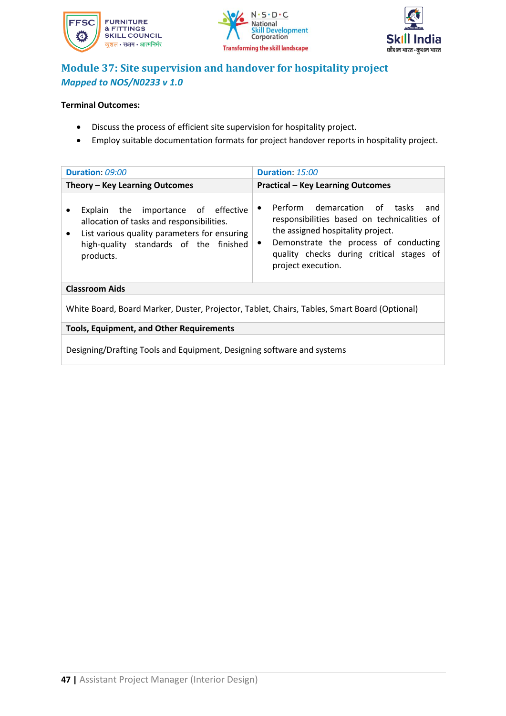





# **Module 37: Site supervision and handover for hospitality project** *Mapped to NOS/N0233 v 1.0*

### **Terminal Outcomes:**

- Discuss the process of efficient site supervision for hospitality project.
- Employ suitable documentation formats for project handover reports in hospitality project.

| Duration: 09:00                                                                                                                                                                                      | Duration: 15:00                                                                                                                                                                                                                                              |  |  |  |
|------------------------------------------------------------------------------------------------------------------------------------------------------------------------------------------------------|--------------------------------------------------------------------------------------------------------------------------------------------------------------------------------------------------------------------------------------------------------------|--|--|--|
| Theory - Key Learning Outcomes                                                                                                                                                                       | <b>Practical - Key Learning Outcomes</b>                                                                                                                                                                                                                     |  |  |  |
| Explain the importance of effective<br>allocation of tasks and responsibilities.<br>List various quality parameters for ensuring<br>$\bullet$<br>high-quality standards of the finished<br>products. | Perform demarcation of tasks<br>and<br>$\bullet$<br>responsibilities based on technicalities of<br>the assigned hospitality project.<br>Demonstrate the process of conducting<br>$\bullet$<br>quality checks during critical stages of<br>project execution. |  |  |  |
| <b>Classroom Aids</b>                                                                                                                                                                                |                                                                                                                                                                                                                                                              |  |  |  |
| White Board, Board Marker, Duster, Projector, Tablet, Chairs, Tables, Smart Board (Optional)                                                                                                         |                                                                                                                                                                                                                                                              |  |  |  |
| <b>Tools, Equipment, and Other Requirements</b>                                                                                                                                                      |                                                                                                                                                                                                                                                              |  |  |  |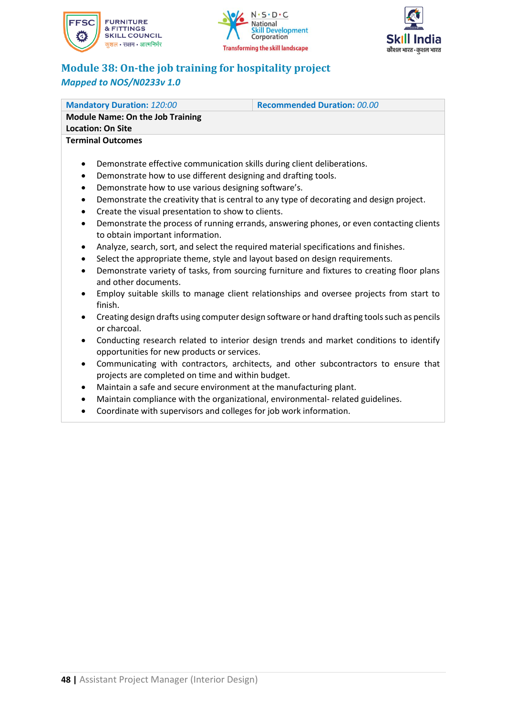





# **Module 38: On-the job training for hospitality project** *Mapped to NOS/N0233v 1.0*

| <b>Mandatory Duration: 120:00</b>                                                                                                                                                                                                                                                                                                                                                                                                                                                                                                                                                                                                                             | <b>Recommended Duration: 00.00</b>                                                                                                                                                                                                                                                                                                                                                                                                                                             |  |  |  |
|---------------------------------------------------------------------------------------------------------------------------------------------------------------------------------------------------------------------------------------------------------------------------------------------------------------------------------------------------------------------------------------------------------------------------------------------------------------------------------------------------------------------------------------------------------------------------------------------------------------------------------------------------------------|--------------------------------------------------------------------------------------------------------------------------------------------------------------------------------------------------------------------------------------------------------------------------------------------------------------------------------------------------------------------------------------------------------------------------------------------------------------------------------|--|--|--|
| <b>Module Name: On the Job Training</b>                                                                                                                                                                                                                                                                                                                                                                                                                                                                                                                                                                                                                       |                                                                                                                                                                                                                                                                                                                                                                                                                                                                                |  |  |  |
| <b>Location: On Site</b>                                                                                                                                                                                                                                                                                                                                                                                                                                                                                                                                                                                                                                      |                                                                                                                                                                                                                                                                                                                                                                                                                                                                                |  |  |  |
| <b>Terminal Outcomes</b>                                                                                                                                                                                                                                                                                                                                                                                                                                                                                                                                                                                                                                      |                                                                                                                                                                                                                                                                                                                                                                                                                                                                                |  |  |  |
| Demonstrate effective communication skills during client deliberations.<br>$\bullet$<br>Demonstrate how to use different designing and drafting tools.<br>$\bullet$<br>Demonstrate how to use various designing software's.<br>$\bullet$<br>$\bullet$<br>Create the visual presentation to show to clients.<br>$\bullet$<br>$\bullet$<br>to obtain important information.<br>Analyze, search, sort, and select the required material specifications and finishes.<br>$\bullet$<br>Select the appropriate theme, style and layout based on design requirements.<br>٠<br>$\bullet$<br>and other documents.<br>$\bullet$<br>finish.<br>$\bullet$<br>or charcoal. | Demonstrate the creativity that is central to any type of decorating and design project.<br>Demonstrate the process of running errands, answering phones, or even contacting clients<br>Demonstrate variety of tasks, from sourcing furniture and fixtures to creating floor plans<br>Employ suitable skills to manage client relationships and oversee projects from start to<br>Creating design drafts using computer design software or hand drafting tools such as pencils |  |  |  |

- Conducting research related to interior design trends and market conditions to identify opportunities for new products or services.
- Communicating with contractors, architects, and other subcontractors to ensure that projects are completed on time and within budget.
- Maintain a safe and secure environment at the manufacturing plant.
- Maintain compliance with the organizational, environmental- related guidelines.
- Coordinate with supervisors and colleges for job work information.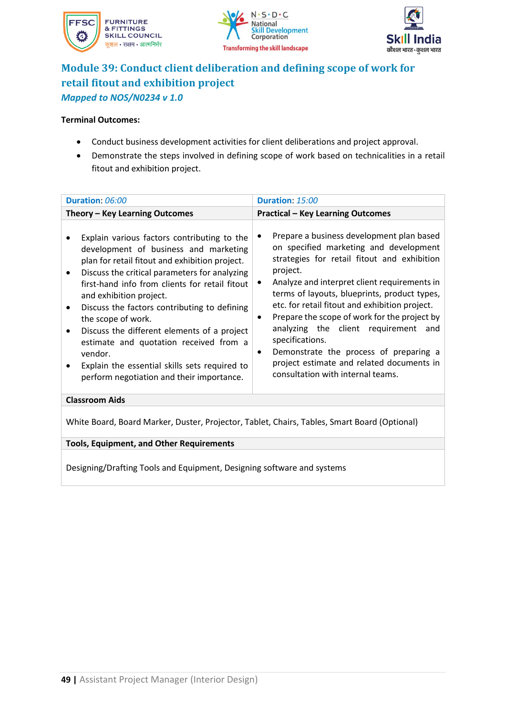





# **Module 39: Conduct client deliberation and defining scope of work for retail fitout and exhibition project** *Mapped to NOS/N0234 v 1.0*

#### **Terminal Outcomes:**

- Conduct business development activities for client deliberations and project approval.
- Demonstrate the steps involved in defining scope of work based on technicalities in a retail fitout and exhibition project.

| Duration: 06:00                                                                                                                                                                                                                                                                                                                                                                                                                                                                                                                                           | Duration: 15:00                                                                                                                                                                                                                                                                                                                                                                                                                                                                                                                                   |  |  |  |
|-----------------------------------------------------------------------------------------------------------------------------------------------------------------------------------------------------------------------------------------------------------------------------------------------------------------------------------------------------------------------------------------------------------------------------------------------------------------------------------------------------------------------------------------------------------|---------------------------------------------------------------------------------------------------------------------------------------------------------------------------------------------------------------------------------------------------------------------------------------------------------------------------------------------------------------------------------------------------------------------------------------------------------------------------------------------------------------------------------------------------|--|--|--|
| Theory - Key Learning Outcomes                                                                                                                                                                                                                                                                                                                                                                                                                                                                                                                            | <b>Practical - Key Learning Outcomes</b>                                                                                                                                                                                                                                                                                                                                                                                                                                                                                                          |  |  |  |
| Explain various factors contributing to the<br>development of business and marketing<br>plan for retail fitout and exhibition project.<br>Discuss the critical parameters for analyzing<br>$\bullet$<br>first-hand info from clients for retail fitout<br>and exhibition project.<br>Discuss the factors contributing to defining<br>the scope of work.<br>Discuss the different elements of a project<br>estimate and quotation received from a<br>vendor.<br>Explain the essential skills sets required to<br>perform negotiation and their importance. | Prepare a business development plan based<br>on specified marketing and development<br>strategies for retail fitout and exhibition<br>project.<br>Analyze and interpret client requirements in<br>terms of layouts, blueprints, product types,<br>etc. for retail fitout and exhibition project.<br>Prepare the scope of work for the project by<br>٠<br>analyzing the client requirement and<br>specifications.<br>Demonstrate the process of preparing a<br>٠<br>project estimate and related documents in<br>consultation with internal teams. |  |  |  |
| <b>Classroom Aids</b>                                                                                                                                                                                                                                                                                                                                                                                                                                                                                                                                     |                                                                                                                                                                                                                                                                                                                                                                                                                                                                                                                                                   |  |  |  |
| White Board, Board Marker, Duster, Projector, Tablet, Chairs, Tables, Smart Board (Optional)                                                                                                                                                                                                                                                                                                                                                                                                                                                              |                                                                                                                                                                                                                                                                                                                                                                                                                                                                                                                                                   |  |  |  |
| <b>Tools, Equipment, and Other Requirements</b>                                                                                                                                                                                                                                                                                                                                                                                                                                                                                                           |                                                                                                                                                                                                                                                                                                                                                                                                                                                                                                                                                   |  |  |  |
|                                                                                                                                                                                                                                                                                                                                                                                                                                                                                                                                                           |                                                                                                                                                                                                                                                                                                                                                                                                                                                                                                                                                   |  |  |  |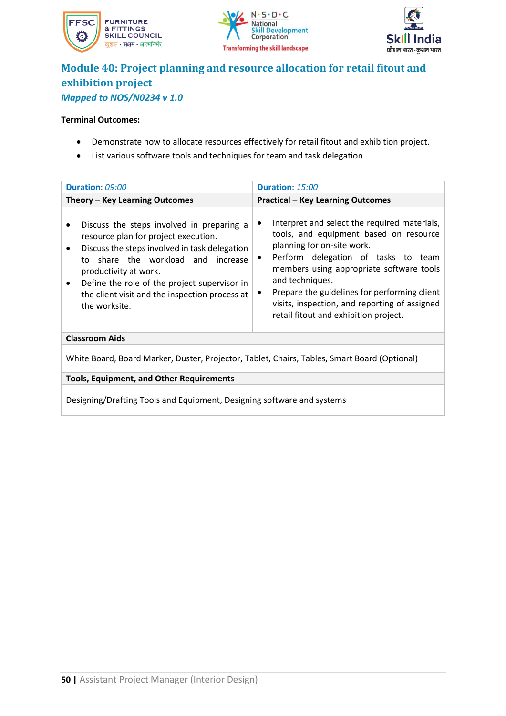





### **Module 40: Project planning and resource allocation for retail fitout and exhibition project** *Mapped to NOS/N0234 v 1.0*

#### **Terminal Outcomes:**

- Demonstrate how to allocate resources effectively for retail fitout and exhibition project.
- List various software tools and techniques for team and task delegation.

| Duration: 09:00<br>Theory - Key Learning Outcomes                                                                                                                                                                                                                                                                                                              | Duration: 15:00<br><b>Practical - Key Learning Outcomes</b>                                                                                                                                                                                                                                                                                                                       |  |  |  |  |
|----------------------------------------------------------------------------------------------------------------------------------------------------------------------------------------------------------------------------------------------------------------------------------------------------------------------------------------------------------------|-----------------------------------------------------------------------------------------------------------------------------------------------------------------------------------------------------------------------------------------------------------------------------------------------------------------------------------------------------------------------------------|--|--|--|--|
|                                                                                                                                                                                                                                                                                                                                                                |                                                                                                                                                                                                                                                                                                                                                                                   |  |  |  |  |
|                                                                                                                                                                                                                                                                                                                                                                |                                                                                                                                                                                                                                                                                                                                                                                   |  |  |  |  |
| Discuss the steps involved in preparing a<br>$\bullet$<br>resource plan for project execution.<br>Discuss the steps involved in task delegation<br>$\bullet$<br>share the workload and increase<br>to<br>productivity at work.<br>Define the role of the project supervisor in<br>$\bullet$<br>the client visit and the inspection process at<br>the worksite. | Interpret and select the required materials,<br>tools, and equipment based on resource<br>planning for on-site work.<br>Perform delegation of tasks to team<br>$\bullet$<br>members using appropriate software tools<br>and techniques.<br>Prepare the guidelines for performing client<br>visits, inspection, and reporting of assigned<br>retail fitout and exhibition project. |  |  |  |  |
| <b>Classroom Aids</b>                                                                                                                                                                                                                                                                                                                                          |                                                                                                                                                                                                                                                                                                                                                                                   |  |  |  |  |
| White Board, Board Marker, Duster, Projector, Tablet, Chairs, Tables, Smart Board (Optional)                                                                                                                                                                                                                                                                   |                                                                                                                                                                                                                                                                                                                                                                                   |  |  |  |  |

**Tools, Equipment, and Other Requirements**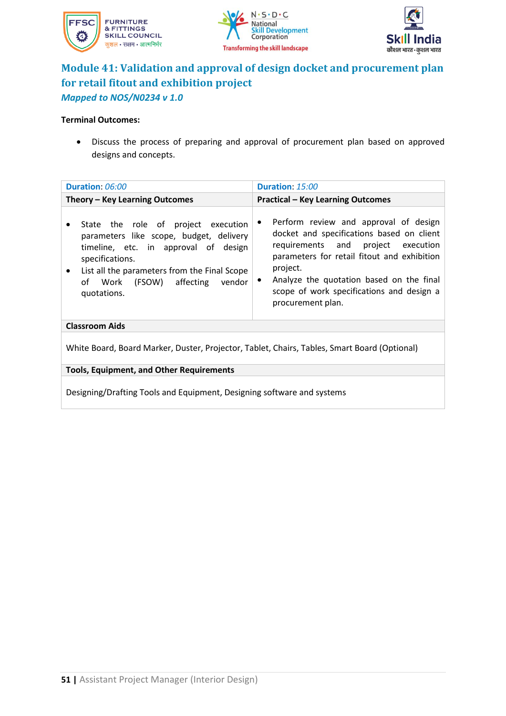





# **Module 41: Validation and approval of design docket and procurement plan for retail fitout and exhibition project** *Mapped to NOS/N0234 v 1.0*

### **Terminal Outcomes:**

• Discuss the process of preparing and approval of procurement plan based on approved designs and concepts.

| Duration: 06:00                                                                                                                                                                                                                                                  | Duration: 15:00                                                                                                                                                                                                                                                                                                             |  |  |  |
|------------------------------------------------------------------------------------------------------------------------------------------------------------------------------------------------------------------------------------------------------------------|-----------------------------------------------------------------------------------------------------------------------------------------------------------------------------------------------------------------------------------------------------------------------------------------------------------------------------|--|--|--|
| Theory – Key Learning Outcomes                                                                                                                                                                                                                                   | <b>Practical - Key Learning Outcomes</b>                                                                                                                                                                                                                                                                                    |  |  |  |
| State the role of project execution<br>٠<br>parameters like scope, budget, delivery<br>timeline, etc. in approval of design<br>specifications.<br>List all the parameters from the Final Scope<br>$\bullet$<br>of Work (FSOW) affecting<br>vendor<br>quotations. | Perform review and approval of design<br>$\bullet$<br>docket and specifications based on client<br>requirements and project execution<br>parameters for retail fitout and exhibition<br>project.<br>Analyze the quotation based on the final<br>$\bullet$<br>scope of work specifications and design a<br>procurement plan. |  |  |  |
| <b>Classroom Aids</b>                                                                                                                                                                                                                                            |                                                                                                                                                                                                                                                                                                                             |  |  |  |
| White Board, Board Marker, Duster, Projector, Tablet, Chairs, Tables, Smart Board (Optional)                                                                                                                                                                     |                                                                                                                                                                                                                                                                                                                             |  |  |  |
| <b>Tools, Equipment, and Other Requirements</b>                                                                                                                                                                                                                  |                                                                                                                                                                                                                                                                                                                             |  |  |  |
|                                                                                                                                                                                                                                                                  |                                                                                                                                                                                                                                                                                                                             |  |  |  |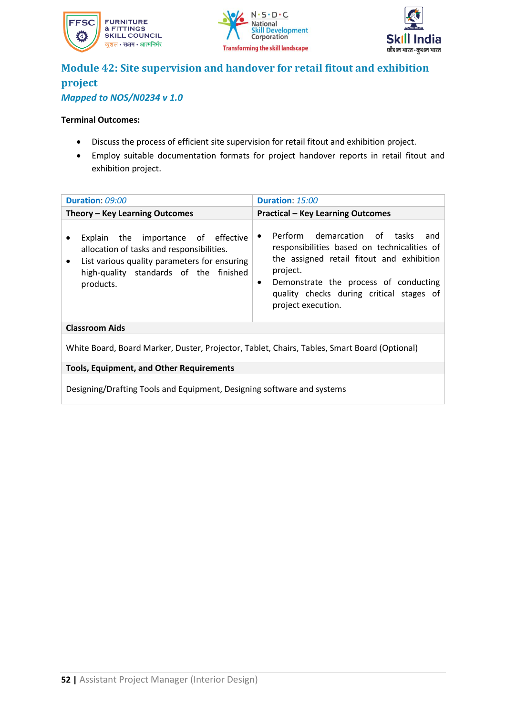





### **Module 42: Site supervision and handover for retail fitout and exhibition project** *Mapped to NOS/N0234 v 1.0*

### **Terminal Outcomes:**

- Discuss the process of efficient site supervision for retail fitout and exhibition project.
- Employ suitable documentation formats for project handover reports in retail fitout and exhibition project.

| Duration: 09:00<br>Duration: 15:00                                                                                                                                                                   |                                                                                                                                                                                                                                                                                  |  |  |  |
|------------------------------------------------------------------------------------------------------------------------------------------------------------------------------------------------------|----------------------------------------------------------------------------------------------------------------------------------------------------------------------------------------------------------------------------------------------------------------------------------|--|--|--|
| Theory - Key Learning Outcomes                                                                                                                                                                       | <b>Practical - Key Learning Outcomes</b>                                                                                                                                                                                                                                         |  |  |  |
| Explain the importance of effective<br>allocation of tasks and responsibilities.<br>List various quality parameters for ensuring<br>$\bullet$<br>high-quality standards of the finished<br>products. | Perform demarcation of tasks<br>and<br>$\bullet$<br>responsibilities based on technicalities of<br>the assigned retail fitout and exhibition<br>project.<br>Demonstrate the process of conducting<br>$\bullet$<br>quality checks during critical stages of<br>project execution. |  |  |  |
| <b>Classroom Aids</b>                                                                                                                                                                                |                                                                                                                                                                                                                                                                                  |  |  |  |
| White Board, Board Marker, Duster, Projector, Tablet, Chairs, Tables, Smart Board (Optional)                                                                                                         |                                                                                                                                                                                                                                                                                  |  |  |  |
| <b>Tools, Equipment, and Other Requirements</b>                                                                                                                                                      |                                                                                                                                                                                                                                                                                  |  |  |  |
| Designing/Drafting Tools and Equipment, Designing software and systems                                                                                                                               |                                                                                                                                                                                                                                                                                  |  |  |  |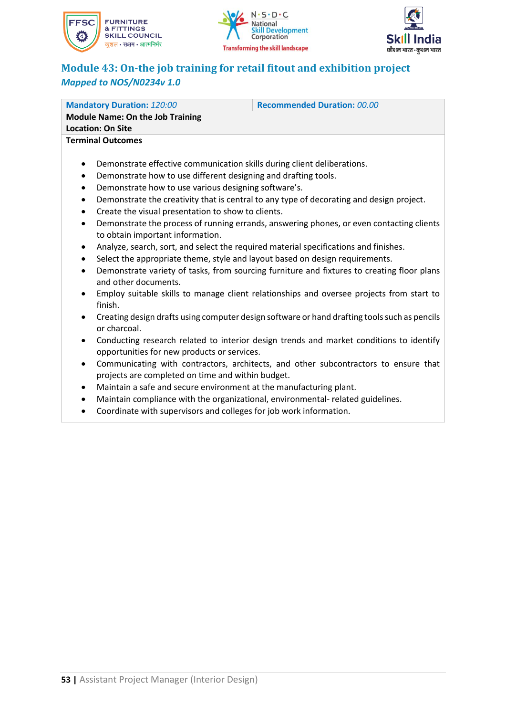

or charcoal.





# **Module 43: On-the job training for retail fitout and exhibition project** *Mapped to NOS/N0234v 1.0*

| <b>Mandatory Duration: 120:00</b>                                                                       | <b>Recommended Duration: 00.00</b> |  |  |  |
|---------------------------------------------------------------------------------------------------------|------------------------------------|--|--|--|
| <b>Module Name: On the Job Training</b>                                                                 |                                    |  |  |  |
| <b>Location: On Site</b>                                                                                |                                    |  |  |  |
| <b>Terminal Outcomes</b>                                                                                |                                    |  |  |  |
|                                                                                                         |                                    |  |  |  |
| Demonstrate effective communication skills during client deliberations.<br>$\bullet$                    |                                    |  |  |  |
| Demonstrate how to use different designing and drafting tools.<br>$\bullet$                             |                                    |  |  |  |
| Demonstrate how to use various designing software's.<br>$\bullet$                                       |                                    |  |  |  |
| Demonstrate the creativity that is central to any type of decorating and design project.<br>$\bullet$   |                                    |  |  |  |
| Create the visual presentation to show to clients.<br>$\bullet$                                         |                                    |  |  |  |
| Demonstrate the process of running errands, answering phones, or even contacting clients<br>$\bullet$   |                                    |  |  |  |
| to obtain important information.                                                                        |                                    |  |  |  |
| Analyze, search, sort, and select the required material specifications and finishes.<br>$\bullet$       |                                    |  |  |  |
| Select the appropriate theme, style and layout based on design requirements.<br>$\bullet$               |                                    |  |  |  |
| Demonstrate variety of tasks, from sourcing furniture and fixtures to creating floor plans<br>$\bullet$ |                                    |  |  |  |
| and other documents.                                                                                    |                                    |  |  |  |
| Employ suitable skills to manage client relationships and oversee projects from start to<br>$\bullet$   |                                    |  |  |  |
| finish.                                                                                                 |                                    |  |  |  |
| Creating design drafts using computer design software or hand drafting tools such as pencils<br>٠       |                                    |  |  |  |

- Conducting research related to interior design trends and market conditions to identify opportunities for new products or services.
- Communicating with contractors, architects, and other subcontractors to ensure that projects are completed on time and within budget.
- Maintain a safe and secure environment at the manufacturing plant.
- Maintain compliance with the organizational, environmental- related guidelines.
- Coordinate with supervisors and colleges for job work information.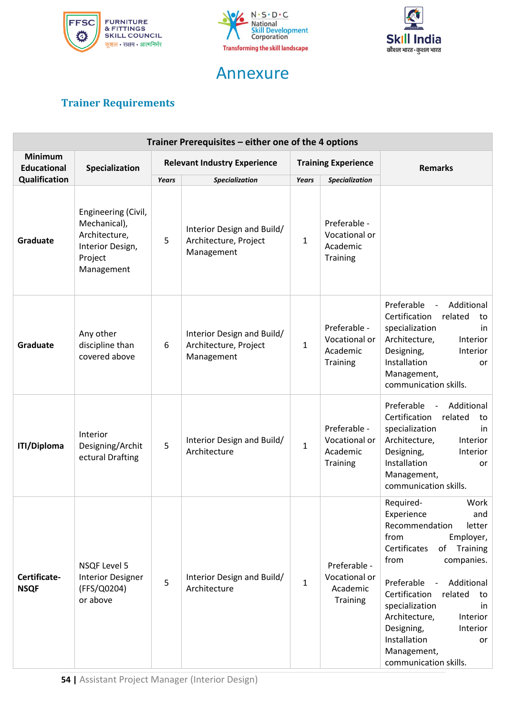



# Annexure



# <span id="page-54-0"></span>**Trainer Requirements**

| Trainer Prerequisites – either one of the 4 options |                                                                                                   |                                     |                                                                   |                            |                                                              |                                                                                                                                                                                                                                                                                                                                                           |
|-----------------------------------------------------|---------------------------------------------------------------------------------------------------|-------------------------------------|-------------------------------------------------------------------|----------------------------|--------------------------------------------------------------|-----------------------------------------------------------------------------------------------------------------------------------------------------------------------------------------------------------------------------------------------------------------------------------------------------------------------------------------------------------|
| <b>Minimum</b><br><b>Educational</b>                | Specialization                                                                                    | <b>Relevant Industry Experience</b> |                                                                   | <b>Training Experience</b> |                                                              | <b>Remarks</b>                                                                                                                                                                                                                                                                                                                                            |
| Qualification                                       |                                                                                                   | Years                               | <b>Specialization</b>                                             | Years                      | Specialization                                               |                                                                                                                                                                                                                                                                                                                                                           |
| Graduate                                            | Engineering (Civil,<br>Mechanical),<br>Architecture,<br>Interior Design,<br>Project<br>Management | 5                                   | Interior Design and Build/<br>Architecture, Project<br>Management | $\mathbf{1}$               | Preferable -<br>Vocational or<br>Academic<br>Training        |                                                                                                                                                                                                                                                                                                                                                           |
| Graduate                                            | Any other<br>discipline than<br>covered above                                                     | 6                                   | Interior Design and Build/<br>Architecture, Project<br>Management | $\mathbf{1}$               | Preferable -<br>Vocational or<br>Academic<br>Training        | Preferable<br>Additional<br>$\overline{\phantom{a}}$<br>Certification<br>related<br>to<br>specialization<br>in<br>Architecture,<br>Interior<br>Designing,<br>Interior<br>Installation<br>or<br>Management,<br>communication skills.                                                                                                                       |
| <b>ITI/Diploma</b>                                  | Interior<br>Designing/Archit<br>ectural Drafting                                                  | 5                                   | Interior Design and Build/<br>Architecture                        | $\mathbf{1}$               | Preferable -<br>Vocational or<br>Academic<br>Training        | Preferable<br>Additional<br>$\overline{\phantom{a}}$<br>Certification<br>related<br>to<br>specialization<br>in<br>Architecture,<br>Interior<br>Designing,<br>Interior<br>Installation<br>or<br>Management,<br>communication skills.                                                                                                                       |
| Certificate-<br><b>NSQF</b>                         | <b>NSQF Level 5</b><br><b>Interior Designer</b><br>(FFS/Q0204)<br>or above                        | 5                                   | Interior Design and Build/<br>Architecture                        | $\mathbf{1}$               | Preferable -<br>Vocational or<br>Academic<br><b>Training</b> | Work<br>Required-<br>Experience<br>and<br>Recommendation<br>letter<br>Employer,<br>from<br>Certificates<br>of Training<br>from<br>companies.<br>Preferable<br>- Additional<br>Certification<br>related<br>to<br>specialization<br>in<br>Architecture,<br>Interior<br>Designing,<br>Interior<br>Installation<br>or<br>Management,<br>communication skills. |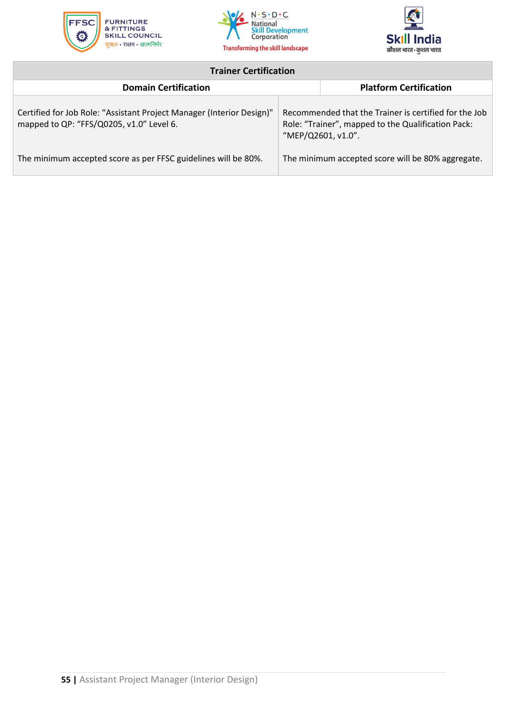





### **Trainer Certification**

<span id="page-55-0"></span>

| <b>Domain Certification</b>                                                                                       | <b>Platform Certification</b> |                                                                                                                                   |
|-------------------------------------------------------------------------------------------------------------------|-------------------------------|-----------------------------------------------------------------------------------------------------------------------------------|
| Certified for Job Role: "Assistant Project Manager (Interior Design)"<br>mapped to QP: "FFS/Q0205, v1.0" Level 6. |                               | Recommended that the Trainer is certified for the Job<br>Role: "Trainer", mapped to the Qualification Pack:<br>"MEP/Q2601, v1.0". |
| The minimum accepted score as per FFSC guidelines will be 80%.                                                    |                               | The minimum accepted score will be 80% aggregate.                                                                                 |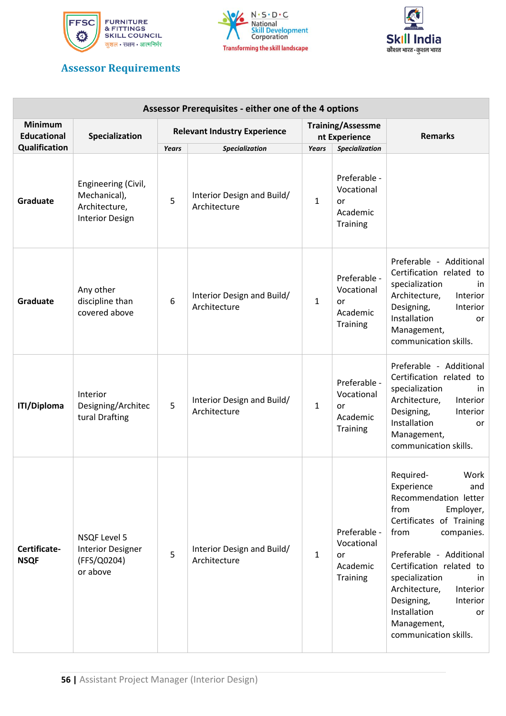





### **Assessor Requirements**

| Assessor Prerequisites - either one of the 4 options |                                                                                |                                     |                                            |                                           |                                                          |                                                                                                                                                                                                                                                                                                                                            |
|------------------------------------------------------|--------------------------------------------------------------------------------|-------------------------------------|--------------------------------------------|-------------------------------------------|----------------------------------------------------------|--------------------------------------------------------------------------------------------------------------------------------------------------------------------------------------------------------------------------------------------------------------------------------------------------------------------------------------------|
| <b>Minimum</b><br><b>Educational</b>                 | Specialization                                                                 | <b>Relevant Industry Experience</b> |                                            | <b>Training/Assessme</b><br>nt Experience |                                                          | <b>Remarks</b>                                                                                                                                                                                                                                                                                                                             |
| Qualification                                        |                                                                                | Years                               | Specialization                             | <b>Years</b>                              | <b>Specialization</b>                                    |                                                                                                                                                                                                                                                                                                                                            |
| Graduate                                             | Engineering (Civil,<br>Mechanical),<br>Architecture,<br><b>Interior Design</b> | 5                                   | Interior Design and Build/<br>Architecture | $\mathbf{1}$                              | Preferable -<br>Vocational<br>or<br>Academic<br>Training |                                                                                                                                                                                                                                                                                                                                            |
| Graduate                                             | Any other<br>discipline than<br>covered above                                  | 6                                   | Interior Design and Build/<br>Architecture | $\mathbf{1}$                              | Preferable -<br>Vocational<br>or<br>Academic<br>Training | Preferable - Additional<br>Certification related to<br>specialization<br>in<br>Architecture,<br>Interior<br>Designing,<br>Interior<br>Installation<br>or<br>Management,<br>communication skills.                                                                                                                                           |
| <b>ITI/Diploma</b>                                   | Interior<br>Designing/Architec<br>tural Drafting                               | 5                                   | Interior Design and Build/<br>Architecture | $\mathbf{1}$                              | Preferable -<br>Vocational<br>or<br>Academic<br>Training | Preferable - Additional<br>Certification related to<br>specialization<br>in<br>Architecture,<br>Interior<br>Designing,<br>Interior<br>Installation<br>or<br>Management,<br>communication skills.                                                                                                                                           |
| Certificate-<br><b>NSQF</b>                          | <b>NSQF Level 5</b><br><b>Interior Designer</b><br>(FFS/Q0204)<br>or above     | 5                                   | Interior Design and Build/<br>Architecture | $\mathbf{1}$                              | Preferable -<br>Vocational<br>or<br>Academic<br>Training | Required-<br>Work<br>Experience<br>and<br>Recommendation letter<br>from<br>Employer,<br>Certificates of Training<br>from<br>companies.<br>Preferable - Additional<br>Certification related to<br>specialization<br>in<br>Architecture,<br>Interior<br>Designing,<br>Interior<br>Installation<br>or<br>Management,<br>communication skills. |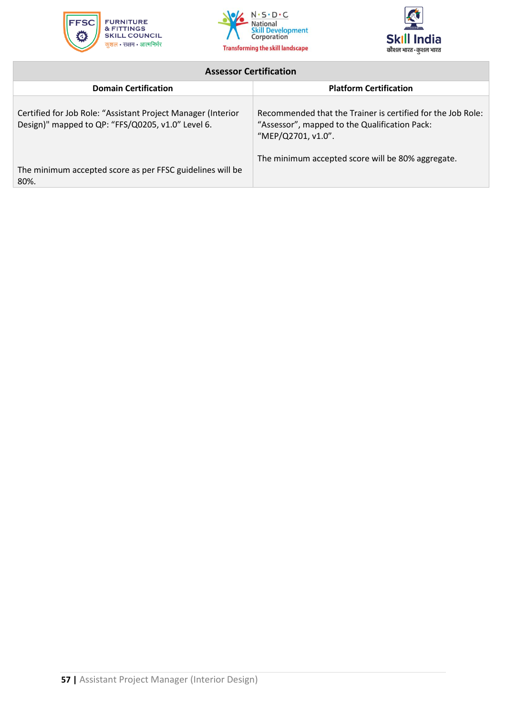





### **Assessor Certification**

<span id="page-57-0"></span>

| <b>Domain Certification</b>                                                                                       | <b>Platform Certification</b>                                                                                                      |
|-------------------------------------------------------------------------------------------------------------------|------------------------------------------------------------------------------------------------------------------------------------|
| Certified for Job Role: "Assistant Project Manager (Interior<br>Design)" mapped to QP: "FFS/Q0205, v1.0" Level 6. | Recommended that the Trainer is certified for the Job Role:<br>"Assessor", mapped to the Qualification Pack:<br>"MEP/Q2701, v1.0". |
| The minimum accepted score as per FFSC guidelines will be<br>80%.                                                 | The minimum accepted score will be 80% aggregate.                                                                                  |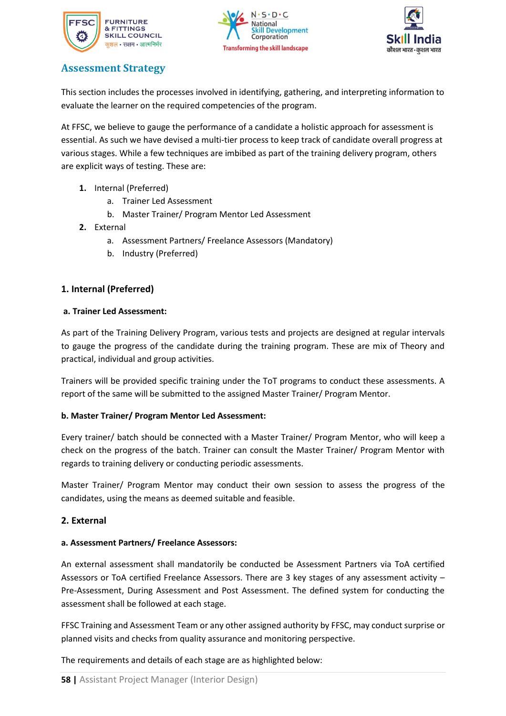





### **Assessment Strategy**

This section includes the processes involved in identifying, gathering, and interpreting information to evaluate the learner on the required competencies of the program.

At FFSC, we believe to gauge the performance of a candidate a holistic approach for assessment is essential. As such we have devised a multi-tier process to keep track of candidate overall progress at various stages. While a few techniques are imbibed as part of the training delivery program, others are explicit ways of testing. These are:

- **1.** Internal (Preferred)
	- a. Trainer Led Assessment
	- b. Master Trainer/ Program Mentor Led Assessment
- **2.** External
	- a. Assessment Partners/ Freelance Assessors (Mandatory)
	- b. Industry (Preferred)

### **1. Internal (Preferred)**

### **a. Trainer Led Assessment:**

As part of the Training Delivery Program, various tests and projects are designed at regular intervals to gauge the progress of the candidate during the training program. These are mix of Theory and practical, individual and group activities.

Trainers will be provided specific training under the ToT programs to conduct these assessments. A report of the same will be submitted to the assigned Master Trainer/ Program Mentor.

### **b. Master Trainer/ Program Mentor Led Assessment:**

Every trainer/ batch should be connected with a Master Trainer/ Program Mentor, who will keep a check on the progress of the batch. Trainer can consult the Master Trainer/ Program Mentor with regards to training delivery or conducting periodic assessments.

Master Trainer/ Program Mentor may conduct their own session to assess the progress of the candidates, using the means as deemed suitable and feasible.

### **2. External**

### **a. Assessment Partners/ Freelance Assessors:**

An external assessment shall mandatorily be conducted be Assessment Partners via ToA certified Assessors or ToA certified Freelance Assessors. There are 3 key stages of any assessment activity – Pre-Assessment, During Assessment and Post Assessment. The defined system for conducting the assessment shall be followed at each stage.

FFSC Training and Assessment Team or any other assigned authority by FFSC, may conduct surprise or planned visits and checks from quality assurance and monitoring perspective.

The requirements and details of each stage are as highlighted below: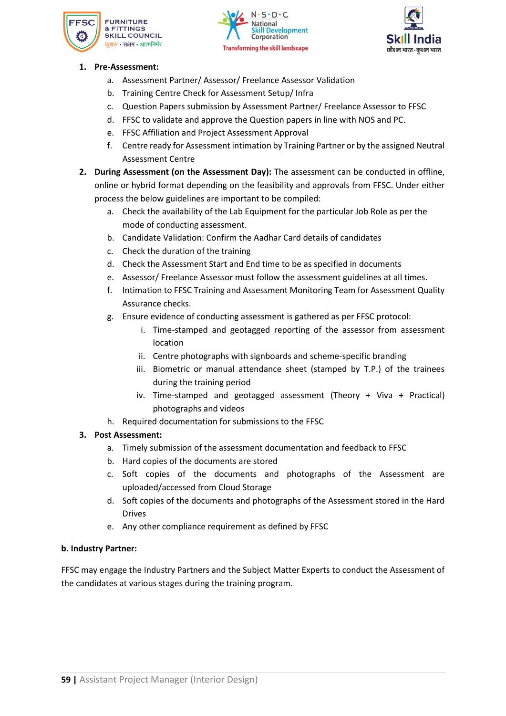





### <span id="page-59-0"></span>**1. Pre-Assessment:**

- a. Assessment Partner/ Assessor/ Freelance Assessor Validation
- b. Training Centre Check for Assessment Setup/ Infra
- c. Question Papers submission by Assessment Partner/ Freelance Assessor to FFSC
- d. FFSC to validate and approve the Question papers in line with NOS and PC.
- e. FFSC Affiliation and Project Assessment Approval
- f. Centre ready for Assessment intimation by Training Partner or by the assigned Neutral Assessment Centre
- **2. During Assessment (on the Assessment Day):** The assessment can be conducted in offline, online or hybrid format depending on the feasibility and approvals from FFSC. Under either process the below guidelines are important to be compiled:
	- a. Check the availability of the Lab Equipment for the particular Job Role as per the mode of conducting assessment.
	- b. Candidate Validation: Confirm the Aadhar Card details of candidates
	- c. Check the duration of the training
	- d. Check the Assessment Start and End time to be as specified in documents
	- e. Assessor/ Freelance Assessor must follow the assessment guidelines at all times.
	- f. Intimation to FFSC Training and Assessment Monitoring Team for Assessment Quality Assurance checks.
	- g. Ensure evidence of conducting assessment is gathered as per FFSC protocol:
		- i. Time-stamped and geotagged reporting of the assessor from assessment location
		- ii. Centre photographs with signboards and scheme-specific branding
		- iii. Biometric or manual attendance sheet (stamped by T.P.) of the trainees during the training period
		- iv. Time-stamped and geotagged assessment (Theory + Viva + Practical) photographs and videos
	- h. Required documentation for submissions to the FFSC

### **3. Post Assessment:**

- a. Timely submission of the assessment documentation and feedback to FFSC
- b. Hard copies of the documents are stored
- c. Soft copies of the documents and photographs of the Assessment are uploaded/accessed from Cloud Storage
- d. Soft copies of the documents and photographs of the Assessment stored in the Hard Drives
- e. Any other compliance requirement as defined by FFSC

### **b. Industry Partner:**

FFSC may engage the Industry Partners and the Subject Matter Experts to conduct the Assessment of the candidates at various stages during the training program.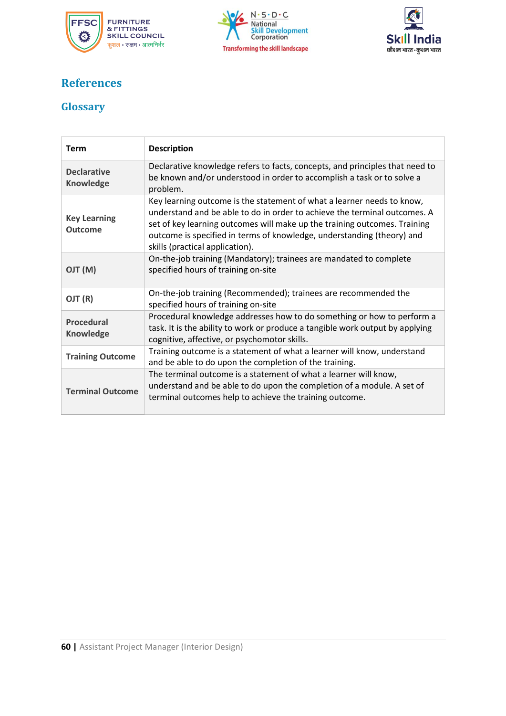





# **References**

### <span id="page-60-0"></span>**Glossary**

| <b>Term</b>                           | <b>Description</b>                                                                                                                                                                                                                                                                                                                            |
|---------------------------------------|-----------------------------------------------------------------------------------------------------------------------------------------------------------------------------------------------------------------------------------------------------------------------------------------------------------------------------------------------|
| <b>Declarative</b><br>Knowledge       | Declarative knowledge refers to facts, concepts, and principles that need to<br>be known and/or understood in order to accomplish a task or to solve a<br>problem.                                                                                                                                                                            |
| <b>Key Learning</b><br><b>Outcome</b> | Key learning outcome is the statement of what a learner needs to know,<br>understand and be able to do in order to achieve the terminal outcomes. A<br>set of key learning outcomes will make up the training outcomes. Training<br>outcome is specified in terms of knowledge, understanding (theory) and<br>skills (practical application). |
| (M) TLO                               | On-the-job training (Mandatory); trainees are mandated to complete<br>specified hours of training on-site                                                                                                                                                                                                                                     |
| OJT (R)                               | On-the-job training (Recommended); trainees are recommended the<br>specified hours of training on-site                                                                                                                                                                                                                                        |
| <b>Procedural</b><br><b>Knowledge</b> | Procedural knowledge addresses how to do something or how to perform a<br>task. It is the ability to work or produce a tangible work output by applying<br>cognitive, affective, or psychomotor skills.                                                                                                                                       |
| <b>Training Outcome</b>               | Training outcome is a statement of what a learner will know, understand<br>and be able to do upon the completion of the training.                                                                                                                                                                                                             |
| <b>Terminal Outcome</b>               | The terminal outcome is a statement of what a learner will know,<br>understand and be able to do upon the completion of a module. A set of<br>terminal outcomes help to achieve the training outcome.                                                                                                                                         |